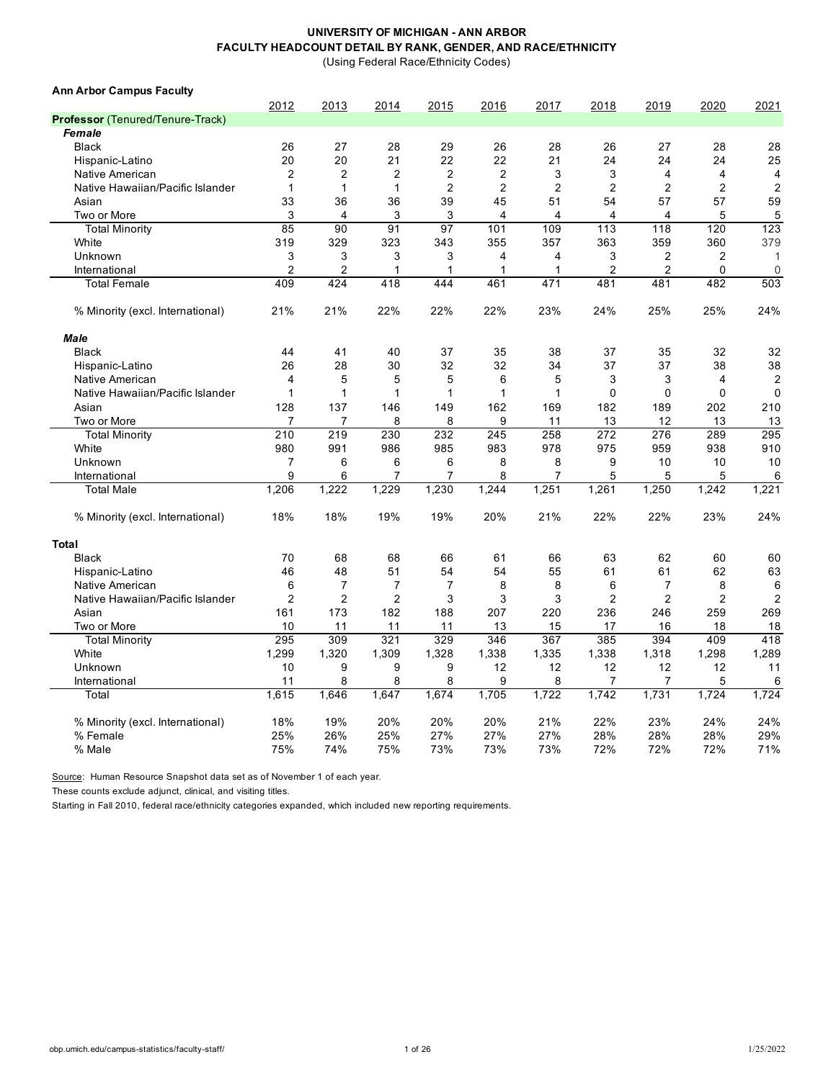(Using Federal Race/Ethnicity Codes)

| <b>Ann Arbor Campus Faculty</b>  |                         |                |                |                  |                |                |                |                |                |                |
|----------------------------------|-------------------------|----------------|----------------|------------------|----------------|----------------|----------------|----------------|----------------|----------------|
|                                  | 2012                    | 2013           | 2014           | 2015             | 2016           | 2017           | 2018           | 2019           | 2020           | 2021           |
| Professor (Tenured/Tenure-Track) |                         |                |                |                  |                |                |                |                |                |                |
| Female                           |                         |                |                |                  |                |                |                |                |                |                |
| <b>Black</b>                     | 26                      | 27             | 28             | 29               | 26             | 28             | 26             | 27             | 28             | 28             |
| Hispanic-Latino                  | 20                      | 20             | 21             | 22               | 22             | 21             | 24             | 24             | 24             | 25             |
| Native American                  | $\overline{\mathbf{c}}$ | $\overline{2}$ | $\overline{2}$ | $\boldsymbol{2}$ | $\overline{2}$ | 3              | 3              | 4              | 4              | 4              |
| Native Hawaiian/Pacific Islander | $\mathbf{1}$            | $\mathbf{1}$   | $\mathbf{1}$   | $\overline{2}$   | $\overline{2}$ | $\overline{2}$ | $\overline{2}$ | $\overline{2}$ | $\overline{2}$ | $\overline{c}$ |
| Asian                            | 33                      | 36             | 36             | 39               | 45             | 51             | 54             | 57             | 57             | 59             |
| Two or More                      | 3                       | 4              | 3              | 3                | 4              | 4              | $\overline{4}$ | 4              | 5              | 5              |
| <b>Total Minority</b>            | 85                      | 90             | 91             | 97               | 101            | 109            | 113            | 118            | 120            | 123            |
| White                            | 319                     | 329            | 323            | 343              | 355            | 357            | 363            | 359            | 360            | 379            |
| Unknown                          | 3                       | 3              | 3              | 3                | 4              | 4              | 3              | $\overline{2}$ | 2              | $\mathbf{1}$   |
| International                    | $\overline{2}$          | $\overline{2}$ | 1              | 1                | 1              | 1              | $\overline{2}$ | $\overline{2}$ | 0              | $\mathbf 0$    |
| <b>Total Female</b>              | 409                     | 424            | 418            | 444              | 461            | 471            | 481            | 481            | 482            | 503            |
| % Minority (excl. International) | 21%                     | 21%            | 22%            | 22%              | 22%            | 23%            | 24%            | 25%            | 25%            | 24%            |
| <b>Male</b>                      |                         |                |                |                  |                |                |                |                |                |                |
| <b>Black</b>                     | 44                      | 41             | 40             | 37               | 35             | 38             | 37             | 35             | 32             | 32             |
| Hispanic-Latino                  | 26                      | 28             | 30             | 32               | 32             | 34             | 37             | 37             | 38             | 38             |
| Native American                  | 4                       | 5              | 5              | 5                | 6              | 5              | 3              | 3              | 4              | $\overline{2}$ |
| Native Hawaiian/Pacific Islander | $\mathbf{1}$            | 1              | 1              | $\mathbf{1}$     | 1              | 1              | $\mathbf 0$    | $\mathbf 0$    | $\mathbf 0$    | $\mathbf 0$    |
| Asian                            | 128                     | 137            | 146            | 149              | 162            | 169            | 182            | 189            | 202            | 210            |
| Two or More                      | 7                       | $\overline{7}$ | 8              | 8                | 9              | 11             | 13             | 12             | 13             | 13             |
| <b>Total Minority</b>            | 210                     | 219            | 230            | 232              | 245            | 258            | 272            | 276            | 289            | 295            |
| White                            | 980                     | 991            | 986            | 985              | 983            | 978            | 975            | 959            | 938            | 910            |
| Unknown                          | $\overline{7}$          | 6              | 6              | 6                | 8              | 8              | 9              | 10             | 10             | 10             |
| International                    | 9                       | 6              | $\overline{7}$ | 7                | 8              | $\overline{7}$ | 5              | 5              | 5              | 6              |
| <b>Total Male</b>                | 1,206                   | 1,222          | 1,229          | 1,230            | 1,244          | 1,251          | 1,261          | 1,250          | 1,242          | 1,221          |
| % Minority (excl. International) | 18%                     | 18%            | 19%            | 19%              | 20%            | 21%            | 22%            | 22%            | 23%            | 24%            |
| <b>Total</b>                     |                         |                |                |                  |                |                |                |                |                |                |
| <b>Black</b>                     | 70                      | 68             | 68             | 66               | 61             | 66             | 63             | 62             | 60             | 60             |
| Hispanic-Latino                  | 46                      | 48             | 51             | 54               | 54             | 55             | 61             | 61             | 62             | 63             |
| Native American                  | 6                       | 7              | $\overline{7}$ | $\overline{7}$   | 8              | 8              | 6              | 7              | 8              | 6              |
| Native Hawaiian/Pacific Islander | $\overline{2}$          | $\overline{2}$ | $\overline{2}$ | 3                | 3              | 3              | $\overline{2}$ | $\overline{2}$ | $\overline{2}$ | $\overline{2}$ |
| Asian                            | 161                     | 173            | 182            | 188              | 207            | 220            | 236            | 246            | 259            | 269            |
| Two or More                      | 10                      | 11             | 11             | 11               | 13             | 15             | 17             | 16             | 18             | 18             |
| <b>Total Minority</b>            | 295                     | 309            | 321            | 329              | 346            | 367            | 385            | 394            | 409            | 418            |
| White                            | 1,299                   | 1,320          | 1,309          | 1,328            | 1,338          | 1,335          | 1,338          | 1,318          | 1,298          | 1,289          |
| Unknown                          | 10                      | 9              | 9              | 9                | 12             | 12             | 12             | 12             | 12             | 11             |
| International                    | 11                      | 8              | 8              | 8                | 9              | 8              | 7              | 7              | 5              | 6              |
| Total                            | 1,615                   | 1,646          | 1,647          | 1,674            | 1,705          | 1,722          | 1,742          | 1,731          | 1,724          | 1,724          |
|                                  |                         |                |                |                  |                |                |                |                |                |                |
| % Minority (excl. International) | 18%                     | 19%            | 20%            | 20%              | 20%            | 21%            | 22%            | 23%            | 24%            | 24%            |
| % Female                         | 25%                     | 26%            | 25%            | 27%              | 27%            | 27%            | 28%            | 28%            | 28%            | 29%            |
| % Male                           | 75%                     | 74%            | 75%            | 73%              | 73%            | 73%            | 72%            | 72%            | 72%            | 71%            |

Source: Human Resource Snapshot data set as of November 1 of each year.

These counts exclude adjunct, clinical, and visiting titles.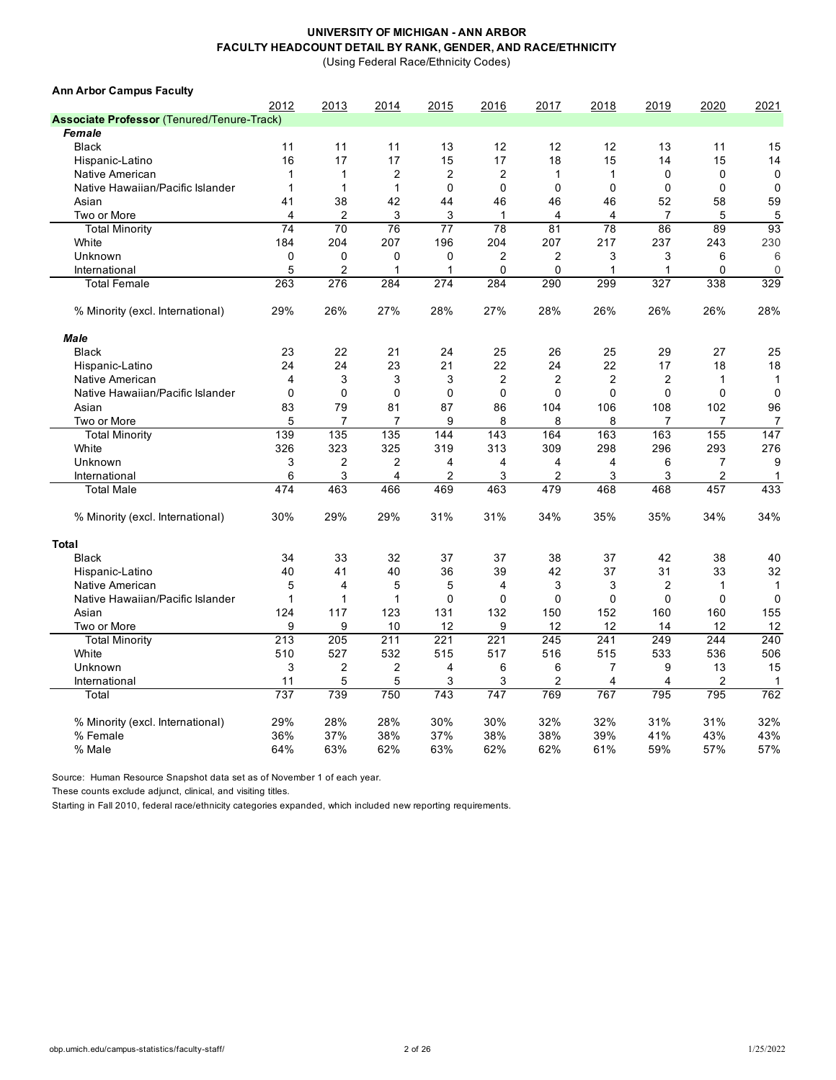(Using Federal Race/Ethnicity Codes)

| <b>Ann Arbor Campus Faculty</b>                   |                |                |                |                |                |                |                |                |                |                |
|---------------------------------------------------|----------------|----------------|----------------|----------------|----------------|----------------|----------------|----------------|----------------|----------------|
|                                                   | 2012           | 2013           | 2014           | 2015           | 2016           | 2017           | 2018           | 2019           | 2020           | 2021           |
| <b>Associate Professor (Tenured/Tenure-Track)</b> |                |                |                |                |                |                |                |                |                |                |
| <b>Female</b>                                     |                |                |                |                |                |                |                |                |                |                |
| <b>Black</b>                                      | 11             | 11             | 11             | 13             | 12             | 12             | 12             | 13             | 11             | 15             |
| Hispanic-Latino                                   | 16             | 17             | 17             | 15             | 17             | 18             | 15             | 14             | 15             | 14             |
| Native American                                   | $\mathbf{1}$   | 1              | $\overline{2}$ | $\overline{2}$ | $\overline{2}$ | $\mathbf{1}$   | $\mathbf{1}$   | $\mathbf 0$    | 0              | $\mathbf 0$    |
| Native Hawaiian/Pacific Islander                  | $\mathbf 1$    | $\mathbf{1}$   | $\mathbf{1}$   | $\mathbf 0$    | 0              | $\mathbf 0$    | $\mathbf 0$    | $\mathbf 0$    | 0              | $\mathbf 0$    |
| Asian                                             | 41             | 38             | 42             | 44             | 46             | 46             | 46             | 52             | 58             | 59             |
| Two or More                                       | $\overline{4}$ | 2              | 3              | 3              | 1              | 4              | $\overline{4}$ | $\overline{7}$ | 5              | $\mathbf 5$    |
| <b>Total Minority</b>                             | 74             | 70             | 76             | 77             | 78             | 81             | 78             | 86             | 89             | 93             |
| White                                             | 184            | 204            | 207            | 196            | 204            | 207            | 217            | 237            | 243            | 230            |
| Unknown                                           | 0              | 0              | 0              | 0              | $\overline{2}$ | $\overline{2}$ | 3              | 3              | 6              | 6              |
| International                                     | 5              | 2              | 1              | 1              | 0              | $\mathbf 0$    | 1              | 1              | 0              | $\mathbf 0$    |
| <b>Total Female</b>                               | 263            | 276            | 284            | 274            | 284            | 290            | 299            | 327            | 338            | 329            |
| % Minority (excl. International)                  | 29%            | 26%            | 27%            | 28%            | 27%            | 28%            | 26%            | 26%            | 26%            | 28%            |
| <b>Male</b>                                       |                |                |                |                |                |                |                |                |                |                |
| <b>Black</b>                                      | 23             | 22             | 21             | 24             | 25             | 26             | 25             | 29             | 27             | 25             |
| Hispanic-Latino                                   | 24             | 24             | 23             | 21             | 22             | 24             | 22             | 17             | 18             | 18             |
| Native American                                   | $\overline{4}$ | 3              | 3              | 3              | $\overline{2}$ | $\overline{2}$ | $\overline{2}$ | $\overline{2}$ | $\mathbf{1}$   | $\mathbf{1}$   |
| Native Hawaiian/Pacific Islander                  | $\mathbf 0$    | $\mathbf 0$    | 0              | $\mathbf 0$    | 0              | $\mathbf 0$    | $\Omega$       | $\mathbf 0$    | 0              | $\mathbf 0$    |
| Asian                                             | 83             | 79             | 81             | 87             | 86             | 104            | 106            | 108            | 102            | 96             |
| Two or More                                       | 5              | $\overline{7}$ | $\overline{7}$ | 9              | 8              | 8              | 8              | 7              | $\overline{7}$ | $\overline{7}$ |
| <b>Total Minority</b>                             | 139            | 135            | 135            | 144            | 143            | 164            | 163            | 163            | 155            | 147            |
| White                                             | 326            | 323            | 325            | 319            | 313            | 309            | 298            | 296            | 293            | 276            |
| Unknown                                           | 3              | $\overline{2}$ | $\overline{2}$ | $\overline{4}$ | 4              | 4              | 4              | 6              | $\overline{7}$ | 9              |
| International                                     | 6              | 3              | 4              | $\overline{2}$ | 3              | 2              | 3              | 3              | $\overline{2}$ | $\mathbf{1}$   |
| <b>Total Male</b>                                 | 474            | 463            | 466            | 469            | 463            | 479            | 468            | 468            | 457            | 433            |
| % Minority (excl. International)                  | 30%            | 29%            | 29%            | 31%            | 31%            | 34%            | 35%            | 35%            | 34%            | 34%            |
| Total                                             |                |                |                |                |                |                |                |                |                |                |
| <b>Black</b>                                      | 34             | 33             | 32             | 37             | 37             | 38             | 37             | 42             | 38             | 40             |
| Hispanic-Latino                                   | 40             | 41             | 40             | 36             | 39             | 42             | 37             | 31             | 33             | 32             |
| Native American                                   | 5              | 4              | 5              | 5              | 4              | 3              | 3              | $\overline{2}$ | $\mathbf{1}$   | $\mathbf{1}$   |
| Native Hawaiian/Pacific Islander                  | $\mathbf{1}$   | $\mathbf{1}$   | $\mathbf{1}$   | $\mathbf 0$    | 0              | $\mathbf 0$    | $\mathbf 0$    | $\mathbf 0$    | $\mathbf 0$    | $\mathbf 0$    |
| Asian                                             | 124            | 117            | 123            | 131            | 132            | 150            | 152            | 160            | 160            | 155            |
| Two or More                                       | 9              | 9              | 10             | 12             | 9              | 12             | 12             | 14             | 12             | 12             |
| <b>Total Minority</b>                             | 213            | 205            | 211            | 221            | 221            | 245            | 241            | 249            | 244            | 240            |
| White                                             | 510            | 527            | 532            | 515            | 517            | 516            | 515            | 533            | 536            | 506            |
| Unknown                                           | 3              | $\overline{2}$ | $\overline{2}$ | 4              | 6              | 6              | $\overline{7}$ | 9              | 13             | 15             |
| International                                     | 11             | 5              | 5              | 3              | 3              | $\overline{2}$ | 4              | 4              | $\overline{2}$ | $\mathbf 1$    |
| Total                                             | 737            | 739            | 750            | 743            | 747            | 769            | 767            | 795            | 795            | 762            |
| % Minority (excl. International)                  | 29%            | 28%            | 28%            | 30%            | 30%            | 32%            | 32%            | 31%            | 31%            | 32%            |
| % Female                                          | 36%            | 37%            | 38%            | 37%            | 38%            | 38%            | 39%            | 41%            | 43%            | 43%            |
| % Male                                            | 64%            | 63%            | 62%            | 63%            | 62%            | 62%            | 61%            | 59%            | 57%            | 57%            |

Source: Human Resource Snapshot data set as of November 1 of each year.

These counts exclude adjunct, clinical, and visiting titles.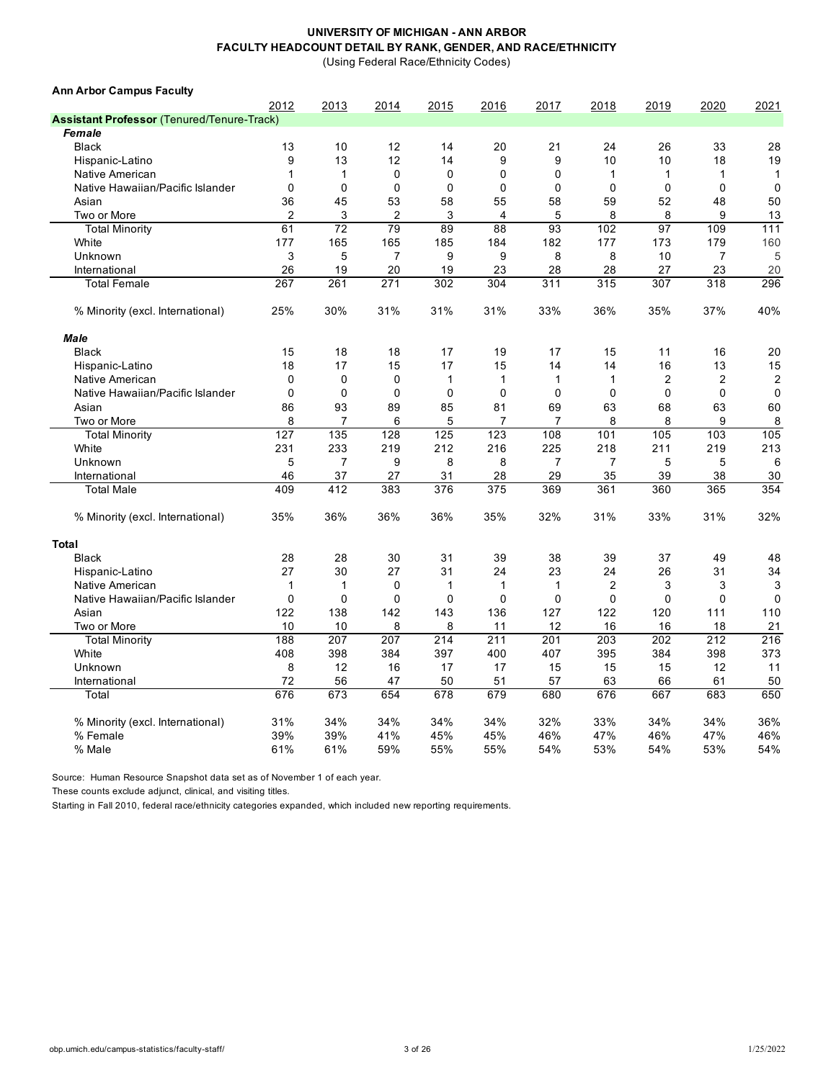(Using Federal Race/Ethnicity Codes)

| <b>Ann Arbor Campus Faculty</b>                   |                |             |                |              |              |                |                |                |                |                |
|---------------------------------------------------|----------------|-------------|----------------|--------------|--------------|----------------|----------------|----------------|----------------|----------------|
|                                                   | 2012           | 2013        | 2014           | 2015         | 2016         | 2017           | 2018           | 2019           | 2020           | 2021           |
| <b>Assistant Professor (Tenured/Tenure-Track)</b> |                |             |                |              |              |                |                |                |                |                |
| Female                                            |                |             |                |              |              |                |                |                |                |                |
| <b>Black</b>                                      | 13             | 10          | 12             | 14           | 20           | 21             | 24             | 26             | 33             | 28             |
| Hispanic-Latino                                   | 9              | 13          | 12             | 14           | 9            | 9              | 10             | 10             | 18             | 19             |
| Native American                                   | 1              | 1           | $\mathbf 0$    | 0            | $\mathbf 0$  | $\Omega$       | $\mathbf{1}$   | 1              | 1              | $\mathbf{1}$   |
| Native Hawaiian/Pacific Islander                  | $\mathbf 0$    | $\mathbf 0$ | $\mathbf 0$    | $\mathbf 0$  | $\mathbf 0$  | 0              | $\mathbf{0}$   | $\Omega$       | 0              | $\mathbf 0$    |
| Asian                                             | 36             | 45          | 53             | 58           | 55           | 58             | 59             | 52             | 48             | 50             |
| Two or More                                       | $\overline{2}$ | 3           | $\overline{2}$ | 3            | 4            | 5              | 8              | 8              | 9              | 13             |
| <b>Total Minority</b>                             | 61             | 72          | 79             | 89           | 88           | 93             | 102            | 97             | 109            | 111            |
| White                                             | 177            | 165         | 165            | 185          | 184          | 182            | 177            | 173            | 179            | 160            |
| Unknown                                           | 3              | 5           | $\overline{7}$ | 9            | 9            | 8              | 8              | 10             | 7              | 5              |
| International                                     | 26             | 19          | 20             | 19           | 23           | 28             | 28             | 27             | 23             | 20             |
| <b>Total Female</b>                               | 267            | 261         | 271            | 302          | 304          | 311            | 315            | 307            | 318            | 296            |
| % Minority (excl. International)                  | 25%            | 30%         | 31%            | 31%          | 31%          | 33%            | 36%            | 35%            | 37%            | 40%            |
| <b>Male</b>                                       |                |             |                |              |              |                |                |                |                |                |
| <b>Black</b>                                      | 15             | 18          | 18             | 17           | 19           | 17             | 15             | 11             | 16             | 20             |
| Hispanic-Latino                                   | 18             | 17          | 15             | 17           | 15           | 14             | 14             | 16             | 13             | 15             |
| Native American                                   | $\mathbf 0$    | $\mathbf 0$ | $\Omega$       | $\mathbf{1}$ | $\mathbf{1}$ | $\mathbf{1}$   | $\mathbf{1}$   | $\overline{c}$ | $\overline{2}$ | $\overline{c}$ |
| Native Hawaiian/Pacific Islander                  | $\mathbf 0$    | $\mathbf 0$ | $\mathbf 0$    | $\mathbf 0$  | $\mathbf 0$  | $\mathbf 0$    | $\mathbf 0$    | $\mathbf 0$    | 0              | $\mathbf 0$    |
| Asian                                             | 86             | 93          | 89             | 85           | 81           | 69             | 63             | 68             | 63             | 60             |
| Two or More                                       | 8              | 7           | 6              | 5            | 7            | 7              | 8              | 8              | 9              | 8              |
| <b>Total Minority</b>                             | 127            | 135         | 128            | 125          | 123          | 108            | 101            | 105            | 103            | 105            |
| White                                             | 231            | 233         | 219            | 212          | 216          | 225            | 218            | 211            | 219            | 213            |
| Unknown                                           | 5              | 7           | 9              | 8            | 8            | $\overline{7}$ | 7              | 5              | 5              | 6              |
| International                                     | 46             | 37          | 27             | 31           | 28           | 29             | 35             | 39             | 38             | 30             |
| <b>Total Male</b>                                 | 409            | 412         | 383            | 376          | 375          | 369            | 361            | 360            | 365            | 354            |
| % Minority (excl. International)                  | 35%            | 36%         | 36%            | 36%          | 35%          | 32%            | 31%            | 33%            | 31%            | 32%            |
| <b>Total</b>                                      |                |             |                |              |              |                |                |                |                |                |
| <b>Black</b>                                      | 28             | 28          | 30             | 31           | 39           | 38             | 39             | 37             | 49             | 48             |
| Hispanic-Latino                                   | 27             | 30          | 27             | 31           | 24           | 23             | 24             | 26             | 31             | 34             |
| Native American                                   | 1              | 1           | $\mathbf 0$    | $\mathbf{1}$ | 1            | $\mathbf{1}$   | $\overline{2}$ | 3              | 3              | 3              |
| Native Hawaiian/Pacific Islander                  | $\Omega$       | $\Omega$    | $\Omega$       | $\Omega$     | $\Omega$     | $\Omega$       | $\mathbf 0$    | $\Omega$       | $\Omega$       | $\Omega$       |
| Asian                                             | 122            | 138         | 142            | 143          | 136          | 127            | 122            | 120            | 111            | 110            |
| Two or More                                       | 10             | 10          | 8              | 8            | 11           | 12             | 16             | 16             | 18             | 21             |
| <b>Total Minority</b>                             | 188            | 207         | 207            | 214          | 211          | 201            | 203            | 202            | 212            | 216            |
| White                                             | 408            | 398         | 384            | 397          | 400          | 407            | 395            | 384            | 398            | 373            |
| Unknown                                           | 8              | 12          | 16             | 17           | 17           | 15             | 15             | 15             | 12             | 11             |
| International                                     | 72             | 56          | 47             | 50           | 51           | 57             | 63             | 66             | 61             | 50             |
| Total                                             | 676            | 673         | 654            | 678          | 679          | 680            | 676            | 667            | 683            | 650            |
| % Minority (excl. International)                  | 31%            | 34%         | 34%            | 34%          | 34%          | 32%            | 33%            | 34%            | 34%            | 36%            |
| % Female                                          | 39%            | 39%         | 41%            | 45%          | 45%          | 46%            | 47%            | 46%            | 47%            | 46%            |
| % Male                                            | 61%            | 61%         | 59%            | 55%          | 55%          | 54%            | 53%            | 54%            | 53%            | 54%            |
|                                                   |                |             |                |              |              |                |                |                |                |                |

Source: Human Resource Snapshot data set as of November 1 of each year.

These counts exclude adjunct, clinical, and visiting titles.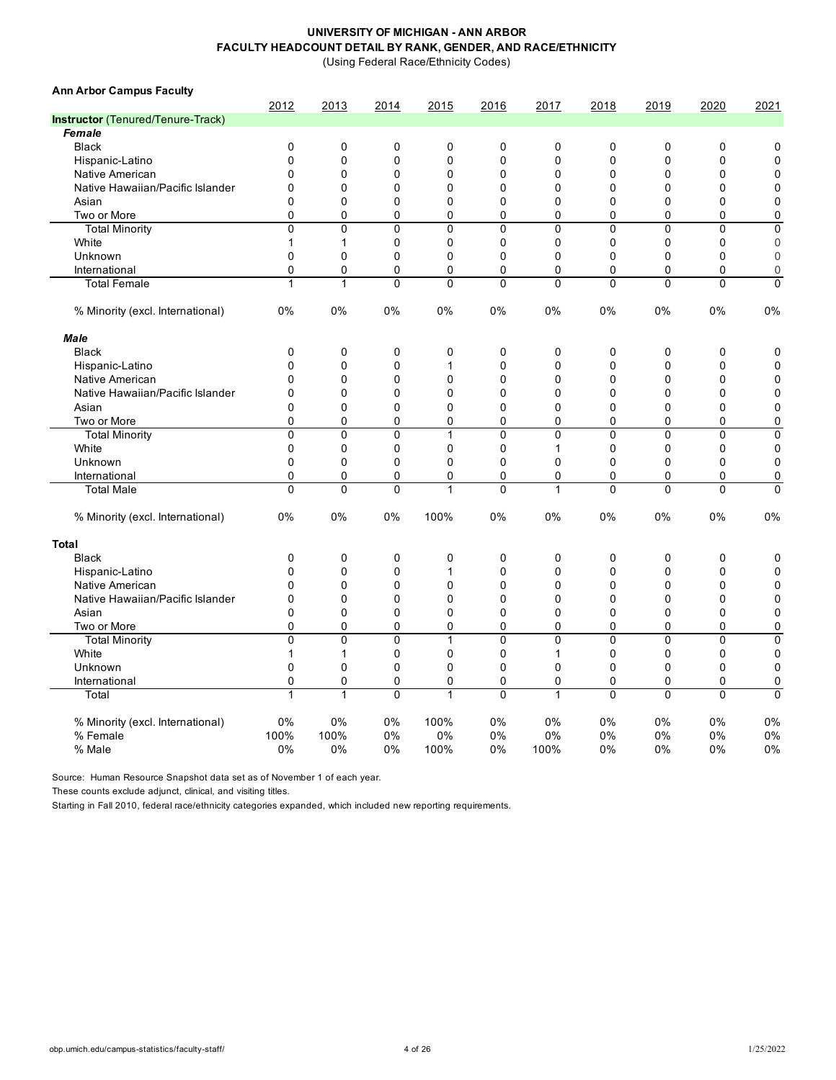(Using Federal Race/Ethnicity Codes)

| 2012<br>2020<br>2013<br>2014<br>2015<br>2016<br>2017<br>2018<br>2019<br>2021<br>Instructor (Tenured/Tenure-Track)<br>Female<br>$\mathbf 0$<br>0<br>0<br>$\mathbf 0$<br>$\mathbf 0$<br>$\mathbf 0$<br><b>Black</b><br>0<br>0<br>0<br>0<br>0<br>$\mathbf 0$<br>0<br>$\mathbf 0$<br>0<br>$\mathbf 0$<br>$\mathbf 0$<br>$\mathbf 0$<br>0<br>$\mathbf 0$<br>Hispanic-Latino<br>Native American<br>0<br>$\mathbf 0$<br>0<br>$\mathbf 0$<br>0<br>$\mathbf 0$<br>$\mathbf 0$<br>$\mathbf 0$<br>0<br>0<br>Native Hawaiian/Pacific Islander<br>0<br>$\Omega$<br>$\mathbf 0$<br>0<br>$\Omega$<br>$\Omega$<br>0<br>$\mathbf 0$<br>0<br>$\mathbf{0}$<br>$\mathbf 0$<br>Asian<br>0<br>$\mathbf 0$<br>0<br>$\mathbf 0$<br>0<br>$\mathbf 0$<br>$\mathbf 0$<br>$\mathbf 0$<br>0<br>$\mathbf 0$<br>Two or More<br>0<br>0<br>0<br>$\mathbf 0$<br>0<br>$\mathbf 0$<br>$\mathbf 0$<br>0<br>0<br><b>Total Minority</b><br>$\mathbf{0}$<br>$\mathbf 0$<br>$\mathbf{0}$<br>$\mathbf{0}$<br>$\overline{0}$<br>$\mathbf{0}$<br>$\mathbf{0}$<br>$\mathbf{0}$<br>$\mathbf 0$<br>$\Omega$<br>$\mathbf 0$<br>$\mathbf 0$<br>White<br>$\mathbf{1}$<br>$\mathbf{1}$<br>0<br>$\mathbf 0$<br>0<br>$\mathbf 0$<br>$\mathbf 0$<br>0<br>$\mathbf{0}$<br>Unknown<br>$\Omega$<br>$\Omega$<br>$\Omega$<br>$\Omega$<br>$\Omega$<br>$\Omega$<br>$\mathbf{0}$<br>$\Omega$<br>$\mathbf 0$<br>$\mathbf 0$<br>$\Omega$<br>$\mathbf{0}$<br>$\Omega$<br>0<br>$\mathbf 0$<br>$\mathbf{0}$<br>$\mathbf{0}$<br>$\mathbf{0}$<br>$\mathbf 0$<br>International<br>$\mathbf{1}$<br>$\overline{0}$<br>$\overline{0}$<br><b>Total Female</b><br>$\mathbf{1}$<br>$\Omega$<br>$\Omega$<br>$\mathbf{0}$<br>$\mathbf{0}$<br>$\mathbf{0}$<br>$\mathbf{0}$<br>0%<br>0%<br>0%<br>0%<br>0%<br>0%<br>0%<br>0%<br>0%<br>0%<br>% Minority (excl. International)<br><b>Male</b><br>$\mathbf 0$<br>0<br>0<br>$\pmb{0}$<br>0<br>$\mathbf 0$<br>$\mathbf 0$<br>$\mathbf 0$<br>$\mathbf 0$<br>$\mathbf 0$<br><b>Black</b><br>$\mathbf 0$<br>$\mathbf 0$<br>0<br>0<br>$\mathbf 0$<br>$\mathbf 0$<br>$\mathbf 0$<br>0<br>$\mathbf 0$<br>Hispanic-Latino<br>$\mathbf{1}$<br>$\mathbf{0}$<br>$\mathbf 0$<br>Native American<br>$\mathbf{0}$<br>$\Omega$<br>$\Omega$<br>$\Omega$<br>$\mathbf 0$<br>$\Omega$<br>$\mathbf{0}$<br>0<br>Native Hawaiian/Pacific Islander<br>$\overline{0}$<br>$\Omega$<br>$\Omega$<br>$\mathbf{0}$<br>$\mathbf{0}$<br>$\mathbf{0}$<br>$\Omega$<br>$\mathbf{0}$<br>$\mathbf 0$<br>$\mathbf{0}$<br>$\mathbf 0$<br>0<br>0<br>$\mathbf 0$<br>0<br>$\mathbf 0$<br>$\mathbf 0$<br>0<br>0<br>$\mathbf 0$<br>Asian<br>$\pmb{0}$<br>$\mathbf{0}$<br>0<br>$\Omega$<br>$\mathbf 0$<br>0<br>$\mathbf 0$<br>$\mathbf{0}$<br>$\mathbf{0}$<br>0<br>Two or More<br>$\overline{0}$<br>$\overline{0}$<br>$\overline{0}$<br>$\overline{0}$<br>$\overline{0}$<br>$\overline{0}$<br>$\overline{0}$<br><b>Total Minority</b><br>$\mathbf{1}$<br>0<br>$\mathbf 0$<br>White<br>$\mathbf 0$<br>$\mathbf 0$<br>0<br>$\mathbf 0$<br>0<br>$\mathbf 0$<br>0<br>$\mathbf 0$<br>$\mathbf 0$<br>$\mathbf 1$<br>$\Omega$<br>0<br>$\mathbf 0$<br>$\Omega$<br>$\mathbf 0$<br>Unknown<br>$\mathbf 0$<br>0<br>$\Omega$<br>$\mathbf 0$<br>0<br>$\mathbf 0$<br>0<br>0<br>$\mathbf 0$<br>International<br>0<br>$\mathbf 0$<br>0<br>$\mathbf 0$<br>0<br>0<br>$\overline{0}$<br>$\mathbf 0$<br>$\mathbf 0$<br>$\mathbf{1}$<br>$\mathbf 0$<br>$\mathbf{0}$<br>$\mathbf 0$<br><b>Total Male</b><br>$\mathbf{1}$<br>$\mathbf 0$<br>0<br>0%<br>0%<br>100%<br>0%<br>0%<br>0%<br>0%<br>0%<br>% Minority (excl. International)<br>0%<br>0%<br><b>Total</b><br>$\mathbf 0$<br><b>Black</b><br>$\mathbf 0$<br>0<br>0<br>0<br>0<br>$\mathbf 0$<br>0<br>$\mathbf 0$<br>0<br>0<br>0<br>$\mathbf 0$<br>Hispanic-Latino<br>0<br>0<br>$\mathbf{1}$<br>$\mathbf 0$<br>$\mathbf 0$<br>$\mathbf 0$<br>$\mathbf 0$<br>0<br>$\Omega$<br>$\Omega$<br>0<br>$\Omega$<br>0<br>$\mathbf 0$<br>Native American<br>$\mathbf{0}$<br>$\Omega$<br>$\Omega$<br>0<br>0<br>$\mathbf 0$<br>Native Hawaiian/Pacific Islander<br>0<br>0<br>$\mathbf 0$<br>$\mathbf 0$<br>$\mathbf 0$<br>$\mathbf 0$<br>0<br>Asian<br>0<br>0<br>0<br>$\mathbf 0$<br>0<br>$\mathbf 0$<br>$\mathbf 0$<br>0<br>0<br>0<br>$\mathbf 0$<br>$\Omega$<br>$\Omega$<br>$\Omega$<br>0<br>0<br>$\mathbf 0$<br>$\Omega$<br>$\Omega$<br>$\Omega$<br>Two or More<br>$\overline{0}$<br>$\overline{0}$<br>$\mathbf 0$<br>$\mathbf 0$<br>$\mathbf 0$<br><b>Total Minority</b><br>$\mathbf{0}$<br>1<br>$\mathbf{0}$<br>$\mathbf{0}$<br>0<br>White<br>$\mathbf{1}$<br>$\mathbf{1}$<br>$\Omega$<br>0<br>0<br>$\mathbf{1}$<br>$\mathbf 0$<br>$\Omega$<br>0<br>0<br>$\mathbf 0$<br>Unknown<br>0<br>0<br>$\mathbf 0$<br>0<br>$\mathbf 0$<br>$\Omega$<br>$\mathbf{0}$<br>0<br>$\mathbf 0$<br>$\mathbf 0$<br>0<br>0<br>$\pmb{0}$<br>0<br>$\mathbf 0$<br>$\mathbf 0$<br>$\mathbf 0$<br>0<br>$\mathbf 0$<br>International<br>1<br>$\mathbf 0$<br>1<br>0<br>$\Omega$<br>$\Omega$<br>$\Omega$<br>0<br>Total<br>1<br>1<br>0%<br>0%<br>0%<br>100%<br>0%<br>0%<br>0%<br>0%<br>0%<br>0%<br>% Minority (excl. International)<br>100%<br>100%<br>0%<br>0%<br>0%<br>0%<br>$0\%$<br>0%<br>$0\%$<br>% Female<br>0%<br>0%<br>0%<br>0%<br>0%<br>100%<br>0%<br>100%<br>0%<br>0%<br>0%<br>% Male | <b>Ann Arbor Campus Faculty</b> |  |  |  |  |  |
|------------------------------------------------------------------------------------------------------------------------------------------------------------------------------------------------------------------------------------------------------------------------------------------------------------------------------------------------------------------------------------------------------------------------------------------------------------------------------------------------------------------------------------------------------------------------------------------------------------------------------------------------------------------------------------------------------------------------------------------------------------------------------------------------------------------------------------------------------------------------------------------------------------------------------------------------------------------------------------------------------------------------------------------------------------------------------------------------------------------------------------------------------------------------------------------------------------------------------------------------------------------------------------------------------------------------------------------------------------------------------------------------------------------------------------------------------------------------------------------------------------------------------------------------------------------------------------------------------------------------------------------------------------------------------------------------------------------------------------------------------------------------------------------------------------------------------------------------------------------------------------------------------------------------------------------------------------------------------------------------------------------------------------------------------------------------------------------------------------------------------------------------------------------------------------------------------------------------------------------------------------------------------------------------------------------------------------------------------------------------------------------------------------------------------------------------------------------------------------------------------------------------------------------------------------------------------------------------------------------------------------------------------------------------------------------------------------------------------------------------------------------------------------------------------------------------------------------------------------------------------------------------------------------------------------------------------------------------------------------------------------------------------------------------------------------------------------------------------------------------------------------------------------------------------------------------------------------------------------------------------------------------------------------------------------------------------------------------------------------------------------------------------------------------------------------------------------------------------------------------------------------------------------------------------------------------------------------------------------------------------------------------------------------------------------------------------------------------------------------------------------------------------------------------------------------------------------------------------------------------------------------------------------------------------------------------------------------------------------------------------------------------------------------------------------------------------------------------------------------------------------------------------------------------------------------------------------------------------------------------------------------------------------------------------------------------------------------------------------------------------------------------------------------------------------------------------------------------------------------------------------------------------------------------------------------------------------------------------------------------------------------------------------------------------------------------------------------------------------------------------------------------------------------------------------------------------------------------------------------------------------------------------------------------------------------------------------------------------------------------------------------------------------------------------------------------------------------------------------------------------------------------------------------------------------------------------|---------------------------------|--|--|--|--|--|
|                                                                                                                                                                                                                                                                                                                                                                                                                                                                                                                                                                                                                                                                                                                                                                                                                                                                                                                                                                                                                                                                                                                                                                                                                                                                                                                                                                                                                                                                                                                                                                                                                                                                                                                                                                                                                                                                                                                                                                                                                                                                                                                                                                                                                                                                                                                                                                                                                                                                                                                                                                                                                                                                                                                                                                                                                                                                                                                                                                                                                                                                                                                                                                                                                                                                                                                                                                                                                                                                                                                                                                                                                                                                                                                                                                                                                                                                                                                                                                                                                                                                                                                                                                                                                                                                                                                                                                                                                                                                                                                                                                                                                                                                                                                                                                                                                                                                                                                                                                                                                                                                                                                                                                                                      |                                 |  |  |  |  |  |
|                                                                                                                                                                                                                                                                                                                                                                                                                                                                                                                                                                                                                                                                                                                                                                                                                                                                                                                                                                                                                                                                                                                                                                                                                                                                                                                                                                                                                                                                                                                                                                                                                                                                                                                                                                                                                                                                                                                                                                                                                                                                                                                                                                                                                                                                                                                                                                                                                                                                                                                                                                                                                                                                                                                                                                                                                                                                                                                                                                                                                                                                                                                                                                                                                                                                                                                                                                                                                                                                                                                                                                                                                                                                                                                                                                                                                                                                                                                                                                                                                                                                                                                                                                                                                                                                                                                                                                                                                                                                                                                                                                                                                                                                                                                                                                                                                                                                                                                                                                                                                                                                                                                                                                                                      |                                 |  |  |  |  |  |
|                                                                                                                                                                                                                                                                                                                                                                                                                                                                                                                                                                                                                                                                                                                                                                                                                                                                                                                                                                                                                                                                                                                                                                                                                                                                                                                                                                                                                                                                                                                                                                                                                                                                                                                                                                                                                                                                                                                                                                                                                                                                                                                                                                                                                                                                                                                                                                                                                                                                                                                                                                                                                                                                                                                                                                                                                                                                                                                                                                                                                                                                                                                                                                                                                                                                                                                                                                                                                                                                                                                                                                                                                                                                                                                                                                                                                                                                                                                                                                                                                                                                                                                                                                                                                                                                                                                                                                                                                                                                                                                                                                                                                                                                                                                                                                                                                                                                                                                                                                                                                                                                                                                                                                                                      |                                 |  |  |  |  |  |
|                                                                                                                                                                                                                                                                                                                                                                                                                                                                                                                                                                                                                                                                                                                                                                                                                                                                                                                                                                                                                                                                                                                                                                                                                                                                                                                                                                                                                                                                                                                                                                                                                                                                                                                                                                                                                                                                                                                                                                                                                                                                                                                                                                                                                                                                                                                                                                                                                                                                                                                                                                                                                                                                                                                                                                                                                                                                                                                                                                                                                                                                                                                                                                                                                                                                                                                                                                                                                                                                                                                                                                                                                                                                                                                                                                                                                                                                                                                                                                                                                                                                                                                                                                                                                                                                                                                                                                                                                                                                                                                                                                                                                                                                                                                                                                                                                                                                                                                                                                                                                                                                                                                                                                                                      |                                 |  |  |  |  |  |
|                                                                                                                                                                                                                                                                                                                                                                                                                                                                                                                                                                                                                                                                                                                                                                                                                                                                                                                                                                                                                                                                                                                                                                                                                                                                                                                                                                                                                                                                                                                                                                                                                                                                                                                                                                                                                                                                                                                                                                                                                                                                                                                                                                                                                                                                                                                                                                                                                                                                                                                                                                                                                                                                                                                                                                                                                                                                                                                                                                                                                                                                                                                                                                                                                                                                                                                                                                                                                                                                                                                                                                                                                                                                                                                                                                                                                                                                                                                                                                                                                                                                                                                                                                                                                                                                                                                                                                                                                                                                                                                                                                                                                                                                                                                                                                                                                                                                                                                                                                                                                                                                                                                                                                                                      |                                 |  |  |  |  |  |
|                                                                                                                                                                                                                                                                                                                                                                                                                                                                                                                                                                                                                                                                                                                                                                                                                                                                                                                                                                                                                                                                                                                                                                                                                                                                                                                                                                                                                                                                                                                                                                                                                                                                                                                                                                                                                                                                                                                                                                                                                                                                                                                                                                                                                                                                                                                                                                                                                                                                                                                                                                                                                                                                                                                                                                                                                                                                                                                                                                                                                                                                                                                                                                                                                                                                                                                                                                                                                                                                                                                                                                                                                                                                                                                                                                                                                                                                                                                                                                                                                                                                                                                                                                                                                                                                                                                                                                                                                                                                                                                                                                                                                                                                                                                                                                                                                                                                                                                                                                                                                                                                                                                                                                                                      |                                 |  |  |  |  |  |
|                                                                                                                                                                                                                                                                                                                                                                                                                                                                                                                                                                                                                                                                                                                                                                                                                                                                                                                                                                                                                                                                                                                                                                                                                                                                                                                                                                                                                                                                                                                                                                                                                                                                                                                                                                                                                                                                                                                                                                                                                                                                                                                                                                                                                                                                                                                                                                                                                                                                                                                                                                                                                                                                                                                                                                                                                                                                                                                                                                                                                                                                                                                                                                                                                                                                                                                                                                                                                                                                                                                                                                                                                                                                                                                                                                                                                                                                                                                                                                                                                                                                                                                                                                                                                                                                                                                                                                                                                                                                                                                                                                                                                                                                                                                                                                                                                                                                                                                                                                                                                                                                                                                                                                                                      |                                 |  |  |  |  |  |
|                                                                                                                                                                                                                                                                                                                                                                                                                                                                                                                                                                                                                                                                                                                                                                                                                                                                                                                                                                                                                                                                                                                                                                                                                                                                                                                                                                                                                                                                                                                                                                                                                                                                                                                                                                                                                                                                                                                                                                                                                                                                                                                                                                                                                                                                                                                                                                                                                                                                                                                                                                                                                                                                                                                                                                                                                                                                                                                                                                                                                                                                                                                                                                                                                                                                                                                                                                                                                                                                                                                                                                                                                                                                                                                                                                                                                                                                                                                                                                                                                                                                                                                                                                                                                                                                                                                                                                                                                                                                                                                                                                                                                                                                                                                                                                                                                                                                                                                                                                                                                                                                                                                                                                                                      |                                 |  |  |  |  |  |
|                                                                                                                                                                                                                                                                                                                                                                                                                                                                                                                                                                                                                                                                                                                                                                                                                                                                                                                                                                                                                                                                                                                                                                                                                                                                                                                                                                                                                                                                                                                                                                                                                                                                                                                                                                                                                                                                                                                                                                                                                                                                                                                                                                                                                                                                                                                                                                                                                                                                                                                                                                                                                                                                                                                                                                                                                                                                                                                                                                                                                                                                                                                                                                                                                                                                                                                                                                                                                                                                                                                                                                                                                                                                                                                                                                                                                                                                                                                                                                                                                                                                                                                                                                                                                                                                                                                                                                                                                                                                                                                                                                                                                                                                                                                                                                                                                                                                                                                                                                                                                                                                                                                                                                                                      |                                 |  |  |  |  |  |
|                                                                                                                                                                                                                                                                                                                                                                                                                                                                                                                                                                                                                                                                                                                                                                                                                                                                                                                                                                                                                                                                                                                                                                                                                                                                                                                                                                                                                                                                                                                                                                                                                                                                                                                                                                                                                                                                                                                                                                                                                                                                                                                                                                                                                                                                                                                                                                                                                                                                                                                                                                                                                                                                                                                                                                                                                                                                                                                                                                                                                                                                                                                                                                                                                                                                                                                                                                                                                                                                                                                                                                                                                                                                                                                                                                                                                                                                                                                                                                                                                                                                                                                                                                                                                                                                                                                                                                                                                                                                                                                                                                                                                                                                                                                                                                                                                                                                                                                                                                                                                                                                                                                                                                                                      |                                 |  |  |  |  |  |
|                                                                                                                                                                                                                                                                                                                                                                                                                                                                                                                                                                                                                                                                                                                                                                                                                                                                                                                                                                                                                                                                                                                                                                                                                                                                                                                                                                                                                                                                                                                                                                                                                                                                                                                                                                                                                                                                                                                                                                                                                                                                                                                                                                                                                                                                                                                                                                                                                                                                                                                                                                                                                                                                                                                                                                                                                                                                                                                                                                                                                                                                                                                                                                                                                                                                                                                                                                                                                                                                                                                                                                                                                                                                                                                                                                                                                                                                                                                                                                                                                                                                                                                                                                                                                                                                                                                                                                                                                                                                                                                                                                                                                                                                                                                                                                                                                                                                                                                                                                                                                                                                                                                                                                                                      |                                 |  |  |  |  |  |
|                                                                                                                                                                                                                                                                                                                                                                                                                                                                                                                                                                                                                                                                                                                                                                                                                                                                                                                                                                                                                                                                                                                                                                                                                                                                                                                                                                                                                                                                                                                                                                                                                                                                                                                                                                                                                                                                                                                                                                                                                                                                                                                                                                                                                                                                                                                                                                                                                                                                                                                                                                                                                                                                                                                                                                                                                                                                                                                                                                                                                                                                                                                                                                                                                                                                                                                                                                                                                                                                                                                                                                                                                                                                                                                                                                                                                                                                                                                                                                                                                                                                                                                                                                                                                                                                                                                                                                                                                                                                                                                                                                                                                                                                                                                                                                                                                                                                                                                                                                                                                                                                                                                                                                                                      |                                 |  |  |  |  |  |
|                                                                                                                                                                                                                                                                                                                                                                                                                                                                                                                                                                                                                                                                                                                                                                                                                                                                                                                                                                                                                                                                                                                                                                                                                                                                                                                                                                                                                                                                                                                                                                                                                                                                                                                                                                                                                                                                                                                                                                                                                                                                                                                                                                                                                                                                                                                                                                                                                                                                                                                                                                                                                                                                                                                                                                                                                                                                                                                                                                                                                                                                                                                                                                                                                                                                                                                                                                                                                                                                                                                                                                                                                                                                                                                                                                                                                                                                                                                                                                                                                                                                                                                                                                                                                                                                                                                                                                                                                                                                                                                                                                                                                                                                                                                                                                                                                                                                                                                                                                                                                                                                                                                                                                                                      |                                 |  |  |  |  |  |
|                                                                                                                                                                                                                                                                                                                                                                                                                                                                                                                                                                                                                                                                                                                                                                                                                                                                                                                                                                                                                                                                                                                                                                                                                                                                                                                                                                                                                                                                                                                                                                                                                                                                                                                                                                                                                                                                                                                                                                                                                                                                                                                                                                                                                                                                                                                                                                                                                                                                                                                                                                                                                                                                                                                                                                                                                                                                                                                                                                                                                                                                                                                                                                                                                                                                                                                                                                                                                                                                                                                                                                                                                                                                                                                                                                                                                                                                                                                                                                                                                                                                                                                                                                                                                                                                                                                                                                                                                                                                                                                                                                                                                                                                                                                                                                                                                                                                                                                                                                                                                                                                                                                                                                                                      |                                 |  |  |  |  |  |
|                                                                                                                                                                                                                                                                                                                                                                                                                                                                                                                                                                                                                                                                                                                                                                                                                                                                                                                                                                                                                                                                                                                                                                                                                                                                                                                                                                                                                                                                                                                                                                                                                                                                                                                                                                                                                                                                                                                                                                                                                                                                                                                                                                                                                                                                                                                                                                                                                                                                                                                                                                                                                                                                                                                                                                                                                                                                                                                                                                                                                                                                                                                                                                                                                                                                                                                                                                                                                                                                                                                                                                                                                                                                                                                                                                                                                                                                                                                                                                                                                                                                                                                                                                                                                                                                                                                                                                                                                                                                                                                                                                                                                                                                                                                                                                                                                                                                                                                                                                                                                                                                                                                                                                                                      |                                 |  |  |  |  |  |
|                                                                                                                                                                                                                                                                                                                                                                                                                                                                                                                                                                                                                                                                                                                                                                                                                                                                                                                                                                                                                                                                                                                                                                                                                                                                                                                                                                                                                                                                                                                                                                                                                                                                                                                                                                                                                                                                                                                                                                                                                                                                                                                                                                                                                                                                                                                                                                                                                                                                                                                                                                                                                                                                                                                                                                                                                                                                                                                                                                                                                                                                                                                                                                                                                                                                                                                                                                                                                                                                                                                                                                                                                                                                                                                                                                                                                                                                                                                                                                                                                                                                                                                                                                                                                                                                                                                                                                                                                                                                                                                                                                                                                                                                                                                                                                                                                                                                                                                                                                                                                                                                                                                                                                                                      |                                 |  |  |  |  |  |
|                                                                                                                                                                                                                                                                                                                                                                                                                                                                                                                                                                                                                                                                                                                                                                                                                                                                                                                                                                                                                                                                                                                                                                                                                                                                                                                                                                                                                                                                                                                                                                                                                                                                                                                                                                                                                                                                                                                                                                                                                                                                                                                                                                                                                                                                                                                                                                                                                                                                                                                                                                                                                                                                                                                                                                                                                                                                                                                                                                                                                                                                                                                                                                                                                                                                                                                                                                                                                                                                                                                                                                                                                                                                                                                                                                                                                                                                                                                                                                                                                                                                                                                                                                                                                                                                                                                                                                                                                                                                                                                                                                                                                                                                                                                                                                                                                                                                                                                                                                                                                                                                                                                                                                                                      |                                 |  |  |  |  |  |
|                                                                                                                                                                                                                                                                                                                                                                                                                                                                                                                                                                                                                                                                                                                                                                                                                                                                                                                                                                                                                                                                                                                                                                                                                                                                                                                                                                                                                                                                                                                                                                                                                                                                                                                                                                                                                                                                                                                                                                                                                                                                                                                                                                                                                                                                                                                                                                                                                                                                                                                                                                                                                                                                                                                                                                                                                                                                                                                                                                                                                                                                                                                                                                                                                                                                                                                                                                                                                                                                                                                                                                                                                                                                                                                                                                                                                                                                                                                                                                                                                                                                                                                                                                                                                                                                                                                                                                                                                                                                                                                                                                                                                                                                                                                                                                                                                                                                                                                                                                                                                                                                                                                                                                                                      |                                 |  |  |  |  |  |
|                                                                                                                                                                                                                                                                                                                                                                                                                                                                                                                                                                                                                                                                                                                                                                                                                                                                                                                                                                                                                                                                                                                                                                                                                                                                                                                                                                                                                                                                                                                                                                                                                                                                                                                                                                                                                                                                                                                                                                                                                                                                                                                                                                                                                                                                                                                                                                                                                                                                                                                                                                                                                                                                                                                                                                                                                                                                                                                                                                                                                                                                                                                                                                                                                                                                                                                                                                                                                                                                                                                                                                                                                                                                                                                                                                                                                                                                                                                                                                                                                                                                                                                                                                                                                                                                                                                                                                                                                                                                                                                                                                                                                                                                                                                                                                                                                                                                                                                                                                                                                                                                                                                                                                                                      |                                 |  |  |  |  |  |
|                                                                                                                                                                                                                                                                                                                                                                                                                                                                                                                                                                                                                                                                                                                                                                                                                                                                                                                                                                                                                                                                                                                                                                                                                                                                                                                                                                                                                                                                                                                                                                                                                                                                                                                                                                                                                                                                                                                                                                                                                                                                                                                                                                                                                                                                                                                                                                                                                                                                                                                                                                                                                                                                                                                                                                                                                                                                                                                                                                                                                                                                                                                                                                                                                                                                                                                                                                                                                                                                                                                                                                                                                                                                                                                                                                                                                                                                                                                                                                                                                                                                                                                                                                                                                                                                                                                                                                                                                                                                                                                                                                                                                                                                                                                                                                                                                                                                                                                                                                                                                                                                                                                                                                                                      |                                 |  |  |  |  |  |
|                                                                                                                                                                                                                                                                                                                                                                                                                                                                                                                                                                                                                                                                                                                                                                                                                                                                                                                                                                                                                                                                                                                                                                                                                                                                                                                                                                                                                                                                                                                                                                                                                                                                                                                                                                                                                                                                                                                                                                                                                                                                                                                                                                                                                                                                                                                                                                                                                                                                                                                                                                                                                                                                                                                                                                                                                                                                                                                                                                                                                                                                                                                                                                                                                                                                                                                                                                                                                                                                                                                                                                                                                                                                                                                                                                                                                                                                                                                                                                                                                                                                                                                                                                                                                                                                                                                                                                                                                                                                                                                                                                                                                                                                                                                                                                                                                                                                                                                                                                                                                                                                                                                                                                                                      |                                 |  |  |  |  |  |
|                                                                                                                                                                                                                                                                                                                                                                                                                                                                                                                                                                                                                                                                                                                                                                                                                                                                                                                                                                                                                                                                                                                                                                                                                                                                                                                                                                                                                                                                                                                                                                                                                                                                                                                                                                                                                                                                                                                                                                                                                                                                                                                                                                                                                                                                                                                                                                                                                                                                                                                                                                                                                                                                                                                                                                                                                                                                                                                                                                                                                                                                                                                                                                                                                                                                                                                                                                                                                                                                                                                                                                                                                                                                                                                                                                                                                                                                                                                                                                                                                                                                                                                                                                                                                                                                                                                                                                                                                                                                                                                                                                                                                                                                                                                                                                                                                                                                                                                                                                                                                                                                                                                                                                                                      |                                 |  |  |  |  |  |
|                                                                                                                                                                                                                                                                                                                                                                                                                                                                                                                                                                                                                                                                                                                                                                                                                                                                                                                                                                                                                                                                                                                                                                                                                                                                                                                                                                                                                                                                                                                                                                                                                                                                                                                                                                                                                                                                                                                                                                                                                                                                                                                                                                                                                                                                                                                                                                                                                                                                                                                                                                                                                                                                                                                                                                                                                                                                                                                                                                                                                                                                                                                                                                                                                                                                                                                                                                                                                                                                                                                                                                                                                                                                                                                                                                                                                                                                                                                                                                                                                                                                                                                                                                                                                                                                                                                                                                                                                                                                                                                                                                                                                                                                                                                                                                                                                                                                                                                                                                                                                                                                                                                                                                                                      |                                 |  |  |  |  |  |
|                                                                                                                                                                                                                                                                                                                                                                                                                                                                                                                                                                                                                                                                                                                                                                                                                                                                                                                                                                                                                                                                                                                                                                                                                                                                                                                                                                                                                                                                                                                                                                                                                                                                                                                                                                                                                                                                                                                                                                                                                                                                                                                                                                                                                                                                                                                                                                                                                                                                                                                                                                                                                                                                                                                                                                                                                                                                                                                                                                                                                                                                                                                                                                                                                                                                                                                                                                                                                                                                                                                                                                                                                                                                                                                                                                                                                                                                                                                                                                                                                                                                                                                                                                                                                                                                                                                                                                                                                                                                                                                                                                                                                                                                                                                                                                                                                                                                                                                                                                                                                                                                                                                                                                                                      |                                 |  |  |  |  |  |
|                                                                                                                                                                                                                                                                                                                                                                                                                                                                                                                                                                                                                                                                                                                                                                                                                                                                                                                                                                                                                                                                                                                                                                                                                                                                                                                                                                                                                                                                                                                                                                                                                                                                                                                                                                                                                                                                                                                                                                                                                                                                                                                                                                                                                                                                                                                                                                                                                                                                                                                                                                                                                                                                                                                                                                                                                                                                                                                                                                                                                                                                                                                                                                                                                                                                                                                                                                                                                                                                                                                                                                                                                                                                                                                                                                                                                                                                                                                                                                                                                                                                                                                                                                                                                                                                                                                                                                                                                                                                                                                                                                                                                                                                                                                                                                                                                                                                                                                                                                                                                                                                                                                                                                                                      |                                 |  |  |  |  |  |
|                                                                                                                                                                                                                                                                                                                                                                                                                                                                                                                                                                                                                                                                                                                                                                                                                                                                                                                                                                                                                                                                                                                                                                                                                                                                                                                                                                                                                                                                                                                                                                                                                                                                                                                                                                                                                                                                                                                                                                                                                                                                                                                                                                                                                                                                                                                                                                                                                                                                                                                                                                                                                                                                                                                                                                                                                                                                                                                                                                                                                                                                                                                                                                                                                                                                                                                                                                                                                                                                                                                                                                                                                                                                                                                                                                                                                                                                                                                                                                                                                                                                                                                                                                                                                                                                                                                                                                                                                                                                                                                                                                                                                                                                                                                                                                                                                                                                                                                                                                                                                                                                                                                                                                                                      |                                 |  |  |  |  |  |
|                                                                                                                                                                                                                                                                                                                                                                                                                                                                                                                                                                                                                                                                                                                                                                                                                                                                                                                                                                                                                                                                                                                                                                                                                                                                                                                                                                                                                                                                                                                                                                                                                                                                                                                                                                                                                                                                                                                                                                                                                                                                                                                                                                                                                                                                                                                                                                                                                                                                                                                                                                                                                                                                                                                                                                                                                                                                                                                                                                                                                                                                                                                                                                                                                                                                                                                                                                                                                                                                                                                                                                                                                                                                                                                                                                                                                                                                                                                                                                                                                                                                                                                                                                                                                                                                                                                                                                                                                                                                                                                                                                                                                                                                                                                                                                                                                                                                                                                                                                                                                                                                                                                                                                                                      |                                 |  |  |  |  |  |
|                                                                                                                                                                                                                                                                                                                                                                                                                                                                                                                                                                                                                                                                                                                                                                                                                                                                                                                                                                                                                                                                                                                                                                                                                                                                                                                                                                                                                                                                                                                                                                                                                                                                                                                                                                                                                                                                                                                                                                                                                                                                                                                                                                                                                                                                                                                                                                                                                                                                                                                                                                                                                                                                                                                                                                                                                                                                                                                                                                                                                                                                                                                                                                                                                                                                                                                                                                                                                                                                                                                                                                                                                                                                                                                                                                                                                                                                                                                                                                                                                                                                                                                                                                                                                                                                                                                                                                                                                                                                                                                                                                                                                                                                                                                                                                                                                                                                                                                                                                                                                                                                                                                                                                                                      |                                 |  |  |  |  |  |
|                                                                                                                                                                                                                                                                                                                                                                                                                                                                                                                                                                                                                                                                                                                                                                                                                                                                                                                                                                                                                                                                                                                                                                                                                                                                                                                                                                                                                                                                                                                                                                                                                                                                                                                                                                                                                                                                                                                                                                                                                                                                                                                                                                                                                                                                                                                                                                                                                                                                                                                                                                                                                                                                                                                                                                                                                                                                                                                                                                                                                                                                                                                                                                                                                                                                                                                                                                                                                                                                                                                                                                                                                                                                                                                                                                                                                                                                                                                                                                                                                                                                                                                                                                                                                                                                                                                                                                                                                                                                                                                                                                                                                                                                                                                                                                                                                                                                                                                                                                                                                                                                                                                                                                                                      |                                 |  |  |  |  |  |
|                                                                                                                                                                                                                                                                                                                                                                                                                                                                                                                                                                                                                                                                                                                                                                                                                                                                                                                                                                                                                                                                                                                                                                                                                                                                                                                                                                                                                                                                                                                                                                                                                                                                                                                                                                                                                                                                                                                                                                                                                                                                                                                                                                                                                                                                                                                                                                                                                                                                                                                                                                                                                                                                                                                                                                                                                                                                                                                                                                                                                                                                                                                                                                                                                                                                                                                                                                                                                                                                                                                                                                                                                                                                                                                                                                                                                                                                                                                                                                                                                                                                                                                                                                                                                                                                                                                                                                                                                                                                                                                                                                                                                                                                                                                                                                                                                                                                                                                                                                                                                                                                                                                                                                                                      |                                 |  |  |  |  |  |
|                                                                                                                                                                                                                                                                                                                                                                                                                                                                                                                                                                                                                                                                                                                                                                                                                                                                                                                                                                                                                                                                                                                                                                                                                                                                                                                                                                                                                                                                                                                                                                                                                                                                                                                                                                                                                                                                                                                                                                                                                                                                                                                                                                                                                                                                                                                                                                                                                                                                                                                                                                                                                                                                                                                                                                                                                                                                                                                                                                                                                                                                                                                                                                                                                                                                                                                                                                                                                                                                                                                                                                                                                                                                                                                                                                                                                                                                                                                                                                                                                                                                                                                                                                                                                                                                                                                                                                                                                                                                                                                                                                                                                                                                                                                                                                                                                                                                                                                                                                                                                                                                                                                                                                                                      |                                 |  |  |  |  |  |
|                                                                                                                                                                                                                                                                                                                                                                                                                                                                                                                                                                                                                                                                                                                                                                                                                                                                                                                                                                                                                                                                                                                                                                                                                                                                                                                                                                                                                                                                                                                                                                                                                                                                                                                                                                                                                                                                                                                                                                                                                                                                                                                                                                                                                                                                                                                                                                                                                                                                                                                                                                                                                                                                                                                                                                                                                                                                                                                                                                                                                                                                                                                                                                                                                                                                                                                                                                                                                                                                                                                                                                                                                                                                                                                                                                                                                                                                                                                                                                                                                                                                                                                                                                                                                                                                                                                                                                                                                                                                                                                                                                                                                                                                                                                                                                                                                                                                                                                                                                                                                                                                                                                                                                                                      |                                 |  |  |  |  |  |
|                                                                                                                                                                                                                                                                                                                                                                                                                                                                                                                                                                                                                                                                                                                                                                                                                                                                                                                                                                                                                                                                                                                                                                                                                                                                                                                                                                                                                                                                                                                                                                                                                                                                                                                                                                                                                                                                                                                                                                                                                                                                                                                                                                                                                                                                                                                                                                                                                                                                                                                                                                                                                                                                                                                                                                                                                                                                                                                                                                                                                                                                                                                                                                                                                                                                                                                                                                                                                                                                                                                                                                                                                                                                                                                                                                                                                                                                                                                                                                                                                                                                                                                                                                                                                                                                                                                                                                                                                                                                                                                                                                                                                                                                                                                                                                                                                                                                                                                                                                                                                                                                                                                                                                                                      |                                 |  |  |  |  |  |
|                                                                                                                                                                                                                                                                                                                                                                                                                                                                                                                                                                                                                                                                                                                                                                                                                                                                                                                                                                                                                                                                                                                                                                                                                                                                                                                                                                                                                                                                                                                                                                                                                                                                                                                                                                                                                                                                                                                                                                                                                                                                                                                                                                                                                                                                                                                                                                                                                                                                                                                                                                                                                                                                                                                                                                                                                                                                                                                                                                                                                                                                                                                                                                                                                                                                                                                                                                                                                                                                                                                                                                                                                                                                                                                                                                                                                                                                                                                                                                                                                                                                                                                                                                                                                                                                                                                                                                                                                                                                                                                                                                                                                                                                                                                                                                                                                                                                                                                                                                                                                                                                                                                                                                                                      |                                 |  |  |  |  |  |
|                                                                                                                                                                                                                                                                                                                                                                                                                                                                                                                                                                                                                                                                                                                                                                                                                                                                                                                                                                                                                                                                                                                                                                                                                                                                                                                                                                                                                                                                                                                                                                                                                                                                                                                                                                                                                                                                                                                                                                                                                                                                                                                                                                                                                                                                                                                                                                                                                                                                                                                                                                                                                                                                                                                                                                                                                                                                                                                                                                                                                                                                                                                                                                                                                                                                                                                                                                                                                                                                                                                                                                                                                                                                                                                                                                                                                                                                                                                                                                                                                                                                                                                                                                                                                                                                                                                                                                                                                                                                                                                                                                                                                                                                                                                                                                                                                                                                                                                                                                                                                                                                                                                                                                                                      |                                 |  |  |  |  |  |
|                                                                                                                                                                                                                                                                                                                                                                                                                                                                                                                                                                                                                                                                                                                                                                                                                                                                                                                                                                                                                                                                                                                                                                                                                                                                                                                                                                                                                                                                                                                                                                                                                                                                                                                                                                                                                                                                                                                                                                                                                                                                                                                                                                                                                                                                                                                                                                                                                                                                                                                                                                                                                                                                                                                                                                                                                                                                                                                                                                                                                                                                                                                                                                                                                                                                                                                                                                                                                                                                                                                                                                                                                                                                                                                                                                                                                                                                                                                                                                                                                                                                                                                                                                                                                                                                                                                                                                                                                                                                                                                                                                                                                                                                                                                                                                                                                                                                                                                                                                                                                                                                                                                                                                                                      |                                 |  |  |  |  |  |
|                                                                                                                                                                                                                                                                                                                                                                                                                                                                                                                                                                                                                                                                                                                                                                                                                                                                                                                                                                                                                                                                                                                                                                                                                                                                                                                                                                                                                                                                                                                                                                                                                                                                                                                                                                                                                                                                                                                                                                                                                                                                                                                                                                                                                                                                                                                                                                                                                                                                                                                                                                                                                                                                                                                                                                                                                                                                                                                                                                                                                                                                                                                                                                                                                                                                                                                                                                                                                                                                                                                                                                                                                                                                                                                                                                                                                                                                                                                                                                                                                                                                                                                                                                                                                                                                                                                                                                                                                                                                                                                                                                                                                                                                                                                                                                                                                                                                                                                                                                                                                                                                                                                                                                                                      |                                 |  |  |  |  |  |
|                                                                                                                                                                                                                                                                                                                                                                                                                                                                                                                                                                                                                                                                                                                                                                                                                                                                                                                                                                                                                                                                                                                                                                                                                                                                                                                                                                                                                                                                                                                                                                                                                                                                                                                                                                                                                                                                                                                                                                                                                                                                                                                                                                                                                                                                                                                                                                                                                                                                                                                                                                                                                                                                                                                                                                                                                                                                                                                                                                                                                                                                                                                                                                                                                                                                                                                                                                                                                                                                                                                                                                                                                                                                                                                                                                                                                                                                                                                                                                                                                                                                                                                                                                                                                                                                                                                                                                                                                                                                                                                                                                                                                                                                                                                                                                                                                                                                                                                                                                                                                                                                                                                                                                                                      |                                 |  |  |  |  |  |
|                                                                                                                                                                                                                                                                                                                                                                                                                                                                                                                                                                                                                                                                                                                                                                                                                                                                                                                                                                                                                                                                                                                                                                                                                                                                                                                                                                                                                                                                                                                                                                                                                                                                                                                                                                                                                                                                                                                                                                                                                                                                                                                                                                                                                                                                                                                                                                                                                                                                                                                                                                                                                                                                                                                                                                                                                                                                                                                                                                                                                                                                                                                                                                                                                                                                                                                                                                                                                                                                                                                                                                                                                                                                                                                                                                                                                                                                                                                                                                                                                                                                                                                                                                                                                                                                                                                                                                                                                                                                                                                                                                                                                                                                                                                                                                                                                                                                                                                                                                                                                                                                                                                                                                                                      |                                 |  |  |  |  |  |
|                                                                                                                                                                                                                                                                                                                                                                                                                                                                                                                                                                                                                                                                                                                                                                                                                                                                                                                                                                                                                                                                                                                                                                                                                                                                                                                                                                                                                                                                                                                                                                                                                                                                                                                                                                                                                                                                                                                                                                                                                                                                                                                                                                                                                                                                                                                                                                                                                                                                                                                                                                                                                                                                                                                                                                                                                                                                                                                                                                                                                                                                                                                                                                                                                                                                                                                                                                                                                                                                                                                                                                                                                                                                                                                                                                                                                                                                                                                                                                                                                                                                                                                                                                                                                                                                                                                                                                                                                                                                                                                                                                                                                                                                                                                                                                                                                                                                                                                                                                                                                                                                                                                                                                                                      |                                 |  |  |  |  |  |
|                                                                                                                                                                                                                                                                                                                                                                                                                                                                                                                                                                                                                                                                                                                                                                                                                                                                                                                                                                                                                                                                                                                                                                                                                                                                                                                                                                                                                                                                                                                                                                                                                                                                                                                                                                                                                                                                                                                                                                                                                                                                                                                                                                                                                                                                                                                                                                                                                                                                                                                                                                                                                                                                                                                                                                                                                                                                                                                                                                                                                                                                                                                                                                                                                                                                                                                                                                                                                                                                                                                                                                                                                                                                                                                                                                                                                                                                                                                                                                                                                                                                                                                                                                                                                                                                                                                                                                                                                                                                                                                                                                                                                                                                                                                                                                                                                                                                                                                                                                                                                                                                                                                                                                                                      |                                 |  |  |  |  |  |
|                                                                                                                                                                                                                                                                                                                                                                                                                                                                                                                                                                                                                                                                                                                                                                                                                                                                                                                                                                                                                                                                                                                                                                                                                                                                                                                                                                                                                                                                                                                                                                                                                                                                                                                                                                                                                                                                                                                                                                                                                                                                                                                                                                                                                                                                                                                                                                                                                                                                                                                                                                                                                                                                                                                                                                                                                                                                                                                                                                                                                                                                                                                                                                                                                                                                                                                                                                                                                                                                                                                                                                                                                                                                                                                                                                                                                                                                                                                                                                                                                                                                                                                                                                                                                                                                                                                                                                                                                                                                                                                                                                                                                                                                                                                                                                                                                                                                                                                                                                                                                                                                                                                                                                                                      |                                 |  |  |  |  |  |
|                                                                                                                                                                                                                                                                                                                                                                                                                                                                                                                                                                                                                                                                                                                                                                                                                                                                                                                                                                                                                                                                                                                                                                                                                                                                                                                                                                                                                                                                                                                                                                                                                                                                                                                                                                                                                                                                                                                                                                                                                                                                                                                                                                                                                                                                                                                                                                                                                                                                                                                                                                                                                                                                                                                                                                                                                                                                                                                                                                                                                                                                                                                                                                                                                                                                                                                                                                                                                                                                                                                                                                                                                                                                                                                                                                                                                                                                                                                                                                                                                                                                                                                                                                                                                                                                                                                                                                                                                                                                                                                                                                                                                                                                                                                                                                                                                                                                                                                                                                                                                                                                                                                                                                                                      |                                 |  |  |  |  |  |

Source: Human Resource Snapshot data set as of November 1 of each year.

These counts exclude adjunct, clinical, and visiting titles.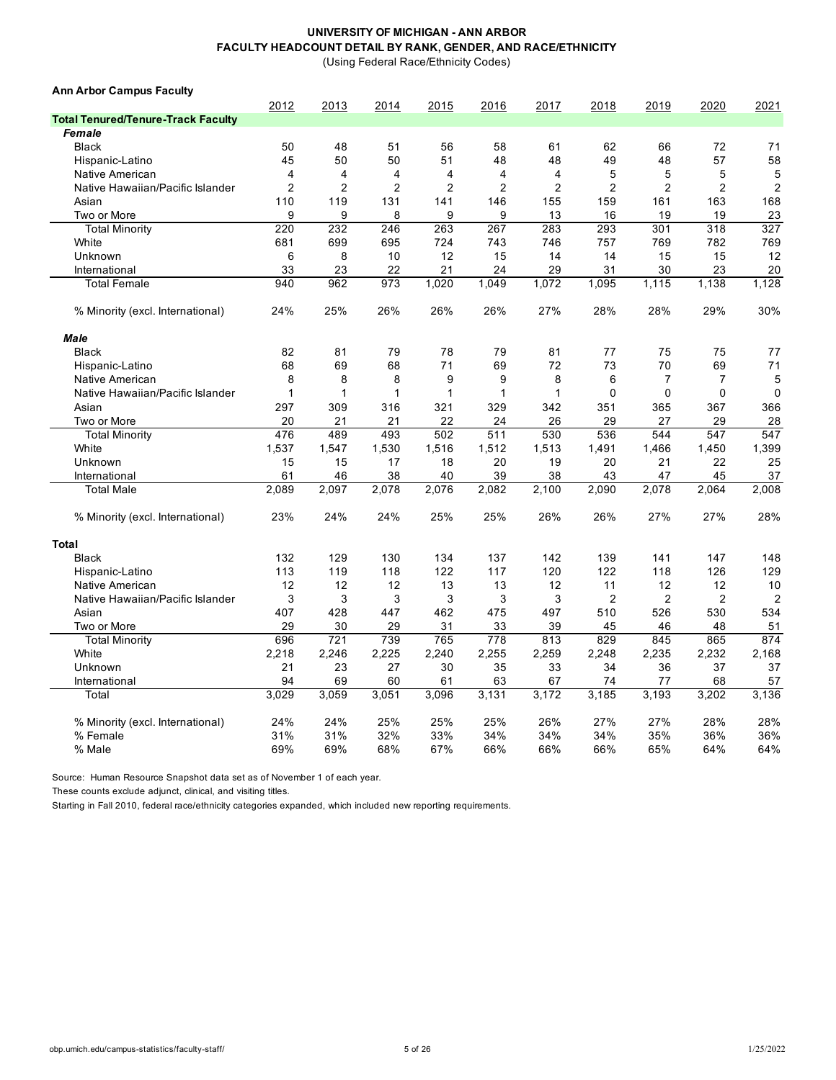(Using Federal Race/Ethnicity Codes)

| <b>Ann Arbor Campus Faculty</b>           |                |       |                |                |                |                |                |                |                |                |
|-------------------------------------------|----------------|-------|----------------|----------------|----------------|----------------|----------------|----------------|----------------|----------------|
|                                           | 2012           | 2013  | 2014           | 2015           | 2016           | 2017           | 2018           | 2019           | 2020           | 2021           |
| <b>Total Tenured/Tenure-Track Faculty</b> |                |       |                |                |                |                |                |                |                |                |
| Female                                    |                |       |                |                |                |                |                |                |                |                |
| <b>Black</b>                              | 50             | 48    | 51             | 56             | 58             | 61             | 62             | 66             | 72             | 71             |
| Hispanic-Latino                           | 45             | 50    | 50             | 51             | 48             | 48             | 49             | 48             | 57             | 58             |
| Native American                           | $\overline{4}$ | 4     | 4              | $\overline{4}$ | 4              | $\overline{4}$ | 5              | 5              | 5              | 5              |
| Native Hawaiian/Pacific Islander          | $\overline{2}$ | 2     | $\overline{2}$ | $\overline{2}$ | $\overline{2}$ | 2              | $\overline{2}$ | $\overline{c}$ | $\overline{c}$ | $\mathbf 2$    |
| Asian                                     | 110            | 119   | 131            | 141            | 146            | 155            | 159            | 161            | 163            | 168            |
| Two or More                               | 9              | 9     | 8              | 9              | 9              | 13             | 16             | 19             | 19             | 23             |
| <b>Total Minority</b>                     | 220            | 232   | 246            | 263            | 267            | 283            | 293            | 301            | 318            | 327            |
| White                                     | 681            | 699   | 695            | 724            | 743            | 746            | 757            | 769            | 782            | 769            |
| Unknown                                   | 6              | 8     | 10             | 12             | 15             | 14             | 14             | 15             | 15             | 12             |
| International                             | 33             | 23    | 22             | 21             | 24             | 29             | 31             | 30             | 23             | 20             |
| <b>Total Female</b>                       | 940            | 962   | 973            | 1,020          | 1,049          | 1,072          | 1,095          | 1,115          | 1,138          | 1,128          |
| % Minority (excl. International)          | 24%            | 25%   | 26%            | 26%            | 26%            | 27%            | 28%            | 28%            | 29%            | 30%            |
| Male                                      |                |       |                |                |                |                |                |                |                |                |
| <b>Black</b>                              | 82             | 81    | 79             | 78             | 79             | 81             | 77             | 75             | 75             | 77             |
| Hispanic-Latino                           | 68             | 69    | 68             | 71             | 69             | 72             | 73             | 70             | 69             | 71             |
| Native American                           | 8              | 8     | 8              | 9              | 9              | 8              | 6              | $\overline{7}$ | 7              | 5              |
| Native Hawaiian/Pacific Islander          | 1              | 1     | $\mathbf 1$    | $\mathbf{1}$   | 1              | 1              | $\mathbf 0$    | $\mathbf 0$    | 0              | $\mathbf 0$    |
| Asian                                     | 297            | 309   | 316            | 321            | 329            | 342            | 351            | 365            | 367            | 366            |
| Two or More                               | 20             | 21    | 21             | 22             | 24             | 26             | 29             | 27             | 29             | 28             |
| <b>Total Minority</b>                     | 476            | 489   | 493            | 502            | 511            | 530            | 536            | 544            | 547            | 547            |
| White                                     | 1,537          | 1,547 | 1,530          | 1,516          | 1,512          | 1,513          | 1,491          | 1,466          | 1,450          | 1,399          |
| Unknown                                   | 15             | 15    | 17             | 18             | 20             | 19             | 20             | 21             | 22             | 25             |
| International                             | 61             | 46    | 38             | 40             | 39             | 38             | 43             | 47             | 45             | 37             |
| <b>Total Male</b>                         | 2,089          | 2,097 | 2,078          | 2,076          | 2,082          | 2,100          | 2,090          | 2,078          | 2,064          | 2,008          |
| % Minority (excl. International)          | 23%            | 24%   | 24%            | 25%            | 25%            | 26%            | 26%            | 27%            | 27%            | 28%            |
| Total                                     |                |       |                |                |                |                |                |                |                |                |
| <b>Black</b>                              | 132            | 129   | 130            | 134            | 137            | 142            | 139            | 141            | 147            | 148            |
| Hispanic-Latino                           | 113            | 119   | 118            | 122            | 117            | 120            | 122            | 118            | 126            | 129            |
| Native American                           | 12             | 12    | 12             | 13             | 13             | 12             | 11             | 12             | 12             | 10             |
| Native Hawaiian/Pacific Islander          | 3              | 3     | 3              | 3              | 3              | 3              | $\overline{2}$ | 2              | $\overline{2}$ | $\overline{2}$ |
| Asian                                     | 407            | 428   | 447            | 462            | 475            | 497            | 510            | 526            | 530            | 534            |
| Two or More                               | 29             | 30    | 29             | 31             | 33             | 39             | 45             | 46             | 48             | 51             |
| <b>Total Minority</b>                     | 696            | 721   | 739            | 765            | 778            | 813            | 829            | 845            | 865            | 874            |
| White                                     | 2,218          | 2,246 | 2,225          | 2,240          | 2,255          | 2,259          | 2,248          | 2,235          | 2,232          | 2,168          |
| Unknown                                   | 21             | 23    | 27             | 30             | 35             | 33             | 34             | 36             | 37             | 37             |
| International                             | 94             | 69    | 60             | 61             | 63             | 67             | 74             | 77             | 68             | 57             |
| Total                                     | 3,029          | 3,059 | 3,051          | 3,096          | 3,131          | 3,172          | 3,185          | 3,193          | 3,202          | 3,136          |
|                                           |                |       |                |                |                |                |                |                |                |                |
| % Minority (excl. International)          | 24%            | 24%   | 25%            | 25%            | 25%            | 26%            | 27%            | 27%            | 28%            | 28%            |
| % Female                                  | 31%            | 31%   | 32%            | 33%            | 34%            | 34%            | 34%            | 35%            | 36%            | 36%            |
| % Male                                    | 69%            | 69%   | 68%            | 67%            | 66%            | 66%            | 66%            | 65%            | 64%            | 64%            |

Source: Human Resource Snapshot data set as of November 1 of each year.

These counts exclude adjunct, clinical, and visiting titles.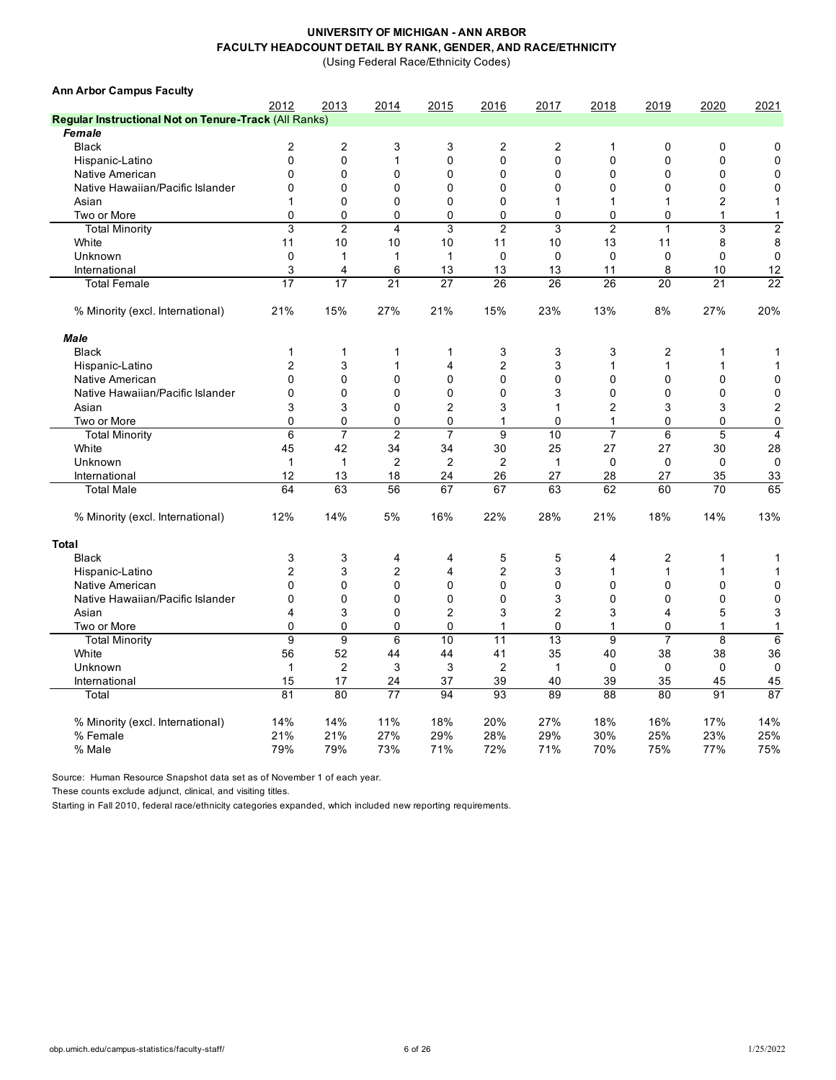(Using Federal Race/Ethnicity Codes)

| <b>Ann Arbor Campus Faculty</b>                       |                         |                |                         |                         |                  |                |                         |                |                |                         |
|-------------------------------------------------------|-------------------------|----------------|-------------------------|-------------------------|------------------|----------------|-------------------------|----------------|----------------|-------------------------|
|                                                       | 2012                    | 2013           | 2014                    | 2015                    | 2016             | 2017           | 2018                    | 2019           | 2020           | 2021                    |
| Regular Instructional Not on Tenure-Track (All Ranks) |                         |                |                         |                         |                  |                |                         |                |                |                         |
| Female                                                |                         |                |                         |                         |                  |                |                         |                |                |                         |
| <b>Black</b>                                          | $\overline{c}$          | $\overline{c}$ | 3                       | 3                       | $\overline{2}$   | $\overline{c}$ | 1                       | 0              | $\mathbf 0$    | 0                       |
| Hispanic-Latino                                       | $\mathbf{0}$            | $\mathbf{0}$   | 1                       | $\Omega$                | $\mathbf 0$      | $\mathbf{0}$   | $\Omega$                | 0              | 0              | 0                       |
| Native American                                       | $\mathbf{0}$            | $\mathbf 0$    | 0                       | 0                       | $\mathbf 0$      | $\mathbf 0$    | 0                       | 0              | $\mathbf 0$    | $\mathbf 0$             |
| Native Hawaiian/Pacific Islander                      | 0                       | 0              | $\mathbf 0$             | 0                       | $\mathbf 0$      | $\mathbf 0$    | 0                       | 0              | 0              | $\mathbf 0$             |
| Asian                                                 | 1                       | $\mathbf 0$    | 0                       | 0                       | $\mathbf 0$      | 1              | 1                       | 1              | $\overline{c}$ | 1                       |
| Two or More                                           | 0                       | $\mathbf 0$    | $\mathbf 0$             | 0                       | 0                | $\mathbf 0$    | 0                       | 0              | 1              | 1                       |
| <b>Total Minority</b>                                 | 3                       | $\overline{c}$ | $\overline{\mathbf{4}}$ | 3                       | $\overline{c}$   | 3              | $\overline{2}$          | $\mathbf{1}$   | 3              | $\overline{2}$          |
| White                                                 | 11                      | 10             | 10                      | 10                      | 11               | 10             | 13                      | 11             | 8              | 8                       |
| Unknown                                               | 0                       | $\mathbf{1}$   | $\mathbf{1}$            | $\mathbf{1}$            | 0                | $\mathbf 0$    | 0                       | $\mathbf 0$    | 0              | $\mathbf 0$             |
| International                                         | 3                       | 4              | 6                       | 13                      | 13               | 13             | 11                      | 8              | 10             | 12                      |
| <b>Total Female</b>                                   | 17                      | 17             | 21                      | 27                      | 26               | 26             | 26                      | 20             | 21             | 22                      |
| % Minority (excl. International)                      | 21%                     | 15%            | 27%                     | 21%                     | 15%              | 23%            | 13%                     | 8%             | 27%            | 20%                     |
| <b>Male</b>                                           |                         |                |                         |                         |                  |                |                         |                |                |                         |
| <b>Black</b>                                          | $\mathbf{1}$            | $\mathbf{1}$   | 1                       | 1                       | 3                | 3              | 3                       | $\overline{c}$ | 1              | 1                       |
| Hispanic-Latino                                       | $\overline{\mathbf{c}}$ | 3              | 1                       | 4                       | $\boldsymbol{2}$ | 3              | $\mathbf{1}$            | 1              | 1              | 1                       |
| Native American                                       | $\mathbf{0}$            | 0              | $\Omega$                | $\mathbf{0}$            | $\Omega$         | $\Omega$       | $\mathbf{0}$            | $\mathbf{0}$   | 0              | 0                       |
| Native Hawaiian/Pacific Islander                      | $\Omega$                | $\Omega$       | $\Omega$                | $\Omega$                | $\Omega$         | 3              | 0                       | $\Omega$       | 0              | 0                       |
| Asian                                                 | 3                       | 3              | $\Omega$                | $\overline{\mathbf{c}}$ | 3                | 1              | $\overline{\mathbf{c}}$ | 3              | 3              | $\overline{c}$          |
| Two or More                                           | $\Omega$                | 0              | 0                       | $\mathbf{0}$            | $\mathbf 1$      | $\Omega$       | 1                       | 0              | 0              | 0                       |
| <b>Total Minority</b>                                 | $\,6\,$                 | $\overline{7}$ | $\overline{c}$          | $\overline{7}$          | 9                | 10             | $\overline{7}$          | 6              | 5              | $\overline{\mathbf{4}}$ |
| White                                                 | 45                      | 42             | 34                      | 34                      | 30               | 25             | 27                      | 27             | 30             | 28                      |
| Unknown                                               | $\mathbf{1}$            | $\mathbf{1}$   | $\overline{2}$          | $\overline{c}$          | $\overline{c}$   | $\mathbf{1}$   | 0                       | $\mathbf 0$    | $\mathbf 0$    | $\mathbf 0$             |
| International                                         | 12                      | 13             | 18                      | 24                      | 26               | 27             | 28                      | 27             | 35             | 33                      |
| <b>Total Male</b>                                     | 64                      | 63             | 56                      | 67                      | 67               | 63             | 62                      | 60             | 70             | 65                      |
| % Minority (excl. International)                      | 12%                     | 14%            | 5%                      | 16%                     | 22%              | 28%            | 21%                     | 18%            | 14%            | 13%                     |
| <b>Total</b>                                          |                         |                |                         |                         |                  |                |                         |                |                |                         |
| <b>Black</b>                                          | 3                       | 3              | 4                       | 4                       | 5                | 5              | 4                       | 2              | 1              | 1                       |
| Hispanic-Latino                                       | $\overline{c}$          | 3              | $\overline{2}$          | 4                       | $\overline{2}$   | 3              | 1                       | $\mathbf{1}$   | 1              | 1                       |
| Native American                                       | $\mathbf{0}$            | $\mathbf 0$    | 0                       | 0                       | $\mathbf 0$      | $\mathbf 0$    | 0                       | 0              | $\mathbf 0$    | 0                       |
| Native Hawaiian/Pacific Islander                      | 0                       | $\mathbf 0$    | 0                       | 0                       | $\mathbf 0$      | 3              | 0                       | 0              | $\mathbf 0$    | 0                       |
| Asian                                                 | 4                       | 3              | $\Omega$                | $\overline{2}$          | 3                | $\overline{c}$ | 3                       | 4              | 5              | 3                       |
| Two or More                                           | 0                       | 0              | 0                       | $\Omega$                | $\mathbf{1}$     | $\Omega$       | $\mathbf{1}$            | 0              | 1              | 1                       |
| <b>Total Minority</b>                                 | 9                       | 9              | 6                       | 10                      | 11               | 13             | 9                       | $\overline{7}$ | 8              | 6                       |
| White                                                 | 56                      | 52             | 44                      | 44                      | 41               | 35             | 40                      | 38             | 38             | 36                      |
| Unknown                                               | $\mathbf{1}$            | $\overline{c}$ | 3                       | 3                       | $\overline{2}$   | $\mathbf{1}$   | $\mathbf 0$             | $\mathbf 0$    | $\mathbf 0$    | $\mathbf 0$             |
| International                                         | 15                      | 17             | 24                      | 37                      | 39               | 40             | 39                      | 35             | 45             | 45                      |
| Total                                                 | 81                      | 80             | 77                      | 94                      | 93               | 89             | 88                      | 80             | 91             | 87                      |
|                                                       |                         |                |                         |                         |                  |                |                         |                |                |                         |
| % Minority (excl. International)                      | 14%                     | 14%            | 11%                     | 18%                     | 20%              | 27%            | 18%                     | 16%            | 17%            | 14%                     |
| % Female                                              | 21%                     | 21%            | 27%                     | 29%                     | 28%              | 29%            | 30%                     | 25%            | 23%            | 25%                     |
| % Male                                                | 79%                     | 79%            | 73%                     | 71%                     | 72%              | 71%            | 70%                     | 75%            | 77%            | 75%                     |

Source: Human Resource Snapshot data set as of November 1 of each year.

These counts exclude adjunct, clinical, and visiting titles.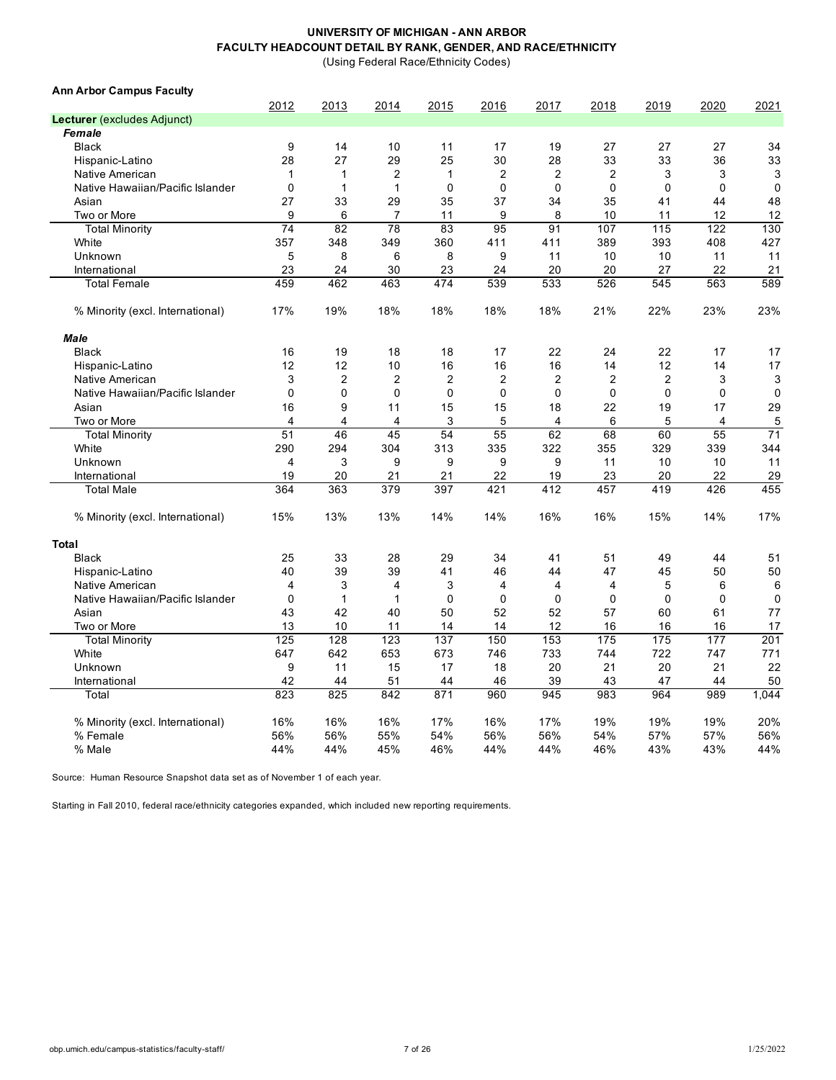(Using Federal Race/Ethnicity Codes)

| 2012<br>2013<br>2014<br>2015<br>2016<br>2017<br>2018<br>2019<br>2020<br>2021<br>Lecturer (excludes Adjunct)<br>Female<br>9<br>17<br>27<br>27<br>27<br><b>Black</b><br>14<br>10<br>11<br>19<br>34<br>28<br>27<br>29<br>25<br>30<br>28<br>33<br>33<br>36<br>33<br>Hispanic-Latino<br>$\overline{2}$<br>$\overline{2}$<br>$\overline{2}$<br>$\overline{2}$<br>3<br>Native American<br>$\mathbf{1}$<br>3<br>3<br>$\mathbf{1}$<br>1<br>$\mathbf 0$<br>0<br>$\mathbf 0$<br>$\mathbf 0$<br>$\mathbf 0$<br>$\mathbf 0$<br>$\mathbf{1}$<br>$\mathbf{1}$<br>$\mathbf 0$<br>$\mathbf 0$<br>Native Hawaiian/Pacific Islander<br>37<br>48<br>Asian<br>27<br>33<br>29<br>35<br>34<br>35<br>41<br>44<br>6<br>8<br>9<br>$\overline{7}$<br>11<br>9<br>10<br>11<br>12<br>12<br>Two or More<br>74<br>78<br>83<br>95<br>130<br><b>Total Minority</b><br>82<br>91<br>107<br>115<br>122<br>357<br>393<br>White<br>348<br>349<br>360<br>411<br>411<br>389<br>408<br>427<br>Unknown<br>5<br>8<br>6<br>8<br>9<br>11<br>10<br>10<br>11<br>11<br>23<br>30<br>20<br>20<br>27<br>22<br>21<br>International<br>24<br>23<br>24<br><b>Total Female</b><br>459<br>462<br>463<br>474<br>539<br>533<br>526<br>545<br>563<br>589<br>19%<br>18%<br>21%<br>22%<br>23%<br>23%<br>% Minority (excl. International)<br>17%<br>18%<br>18%<br>18%<br><b>Male</b><br>22<br>22<br><b>Black</b><br>16<br>19<br>18<br>18<br>17<br>24<br>17<br>17<br>12<br>16<br>14<br>12<br>17<br>12<br>10<br>16<br>16<br>14<br>Hispanic-Latino<br>3<br>$\overline{2}$<br>$\overline{2}$<br>$\overline{2}$<br>$\overline{2}$<br>$\overline{2}$<br>$\overline{2}$<br>2<br>3<br>3<br>Native American<br>$\mathbf 0$<br>0<br>$\mathbf 0$<br>$\mathbf 0$<br>0<br>$\mathbf 0$<br>0<br>Native Hawaiian/Pacific Islander<br>$\mathbf 0$<br>$\mathbf 0$<br>$\mathbf 0$<br>9<br>22<br>29<br>16<br>11<br>15<br>15<br>18<br>19<br>17<br>Asian<br>5<br>Two or More<br>$\overline{4}$<br>3<br>5<br>$\overline{4}$<br>6<br>4<br>4<br>5<br>4<br>51<br>55<br>71<br>46<br>45<br>54<br>62<br>68<br>60<br>55<br><b>Total Minority</b><br>329<br>White<br>290<br>294<br>304<br>313<br>335<br>322<br>355<br>339<br>344<br>3<br>9<br>9<br>9<br>11<br>Unknown<br>$\overline{4}$<br>9<br>11<br>10<br>10<br>19<br>22<br>29<br>International<br>20<br>21<br>21<br>19<br>23<br>20<br>22<br>364<br>379<br>397<br>412<br>426<br>455<br>363<br>421<br>457<br>419<br><b>Total Male</b><br>17%<br>% Minority (excl. International)<br>15%<br>13%<br>13%<br>14%<br>14%<br>16%<br>16%<br>15%<br>14%<br>Total<br>33<br>29<br><b>Black</b><br>25<br>28<br>34<br>41<br>51<br>49<br>44<br>51<br>39<br>39<br>50<br>40<br>41<br>46<br>44<br>47<br>45<br>50<br>Hispanic-Latino<br>3<br>Native American<br>$\overline{4}$<br>3<br>4<br>4<br>4<br>$\overline{4}$<br>5<br>6<br>6<br>Native Hawaiian/Pacific Islander<br>$\mathbf 0$<br>$\mathbf{1}$<br>$\mathbf{1}$<br>$\mathbf 0$<br>$\mathbf 0$<br>0<br>$\mathbf 0$<br>$\mathbf 0$<br>$\mathbf 0$<br>$\mathbf 0$<br>Asian<br>43<br>42<br>40<br>50<br>52<br>52<br>57<br>60<br>77<br>61<br>13<br>14<br>12<br>17<br>Two or More<br>10<br>11<br>14<br>16<br>16<br>16<br>125<br>128<br>123<br>137<br>150<br>153<br>175<br>175<br>177<br>201<br><b>Total Minority</b><br>647<br>642<br>653<br>673<br>733<br>744<br>722<br>771<br>White<br>746<br>747<br>9<br>17<br>20<br>21<br>20<br>22<br>11<br>15<br>18<br>21<br>Unknown<br>42<br>51<br>44<br>46<br>39<br>43<br>47<br>50<br>International<br>44<br>44<br>823<br>871<br>825<br>842<br>960<br>945<br>983<br>964<br>989<br>1,044<br>Total<br>16%<br>17%<br>16%<br>17%<br>19%<br>19%<br>20%<br>% Minority (excl. International)<br>16%<br>16%<br>19%<br>% Female<br>56%<br>56%<br>55%<br>54%<br>56%<br>56%<br>54%<br>57%<br>57%<br>56%<br>44%<br>46%<br>44%<br>44%<br>% Male<br>44%<br>45%<br>44%<br>46%<br>43%<br>43% | <b>Ann Arbor Campus Faculty</b> |  |  |  |  |  |
|-------------------------------------------------------------------------------------------------------------------------------------------------------------------------------------------------------------------------------------------------------------------------------------------------------------------------------------------------------------------------------------------------------------------------------------------------------------------------------------------------------------------------------------------------------------------------------------------------------------------------------------------------------------------------------------------------------------------------------------------------------------------------------------------------------------------------------------------------------------------------------------------------------------------------------------------------------------------------------------------------------------------------------------------------------------------------------------------------------------------------------------------------------------------------------------------------------------------------------------------------------------------------------------------------------------------------------------------------------------------------------------------------------------------------------------------------------------------------------------------------------------------------------------------------------------------------------------------------------------------------------------------------------------------------------------------------------------------------------------------------------------------------------------------------------------------------------------------------------------------------------------------------------------------------------------------------------------------------------------------------------------------------------------------------------------------------------------------------------------------------------------------------------------------------------------------------------------------------------------------------------------------------------------------------------------------------------------------------------------------------------------------------------------------------------------------------------------------------------------------------------------------------------------------------------------------------------------------------------------------------------------------------------------------------------------------------------------------------------------------------------------------------------------------------------------------------------------------------------------------------------------------------------------------------------------------------------------------------------------------------------------------------------------------------------------------------------------------------------------------------------------------------------------------------------------------------------------------------------------------------------------------------------------------------------------------------------------------------------------------------------------------------------------------------------------------------------------------------------------------------------------------------------------------------------------------------------------------------------------------------------------------------------------------------------------------------------------------------------------------------------------------------------------------------------|---------------------------------|--|--|--|--|--|
|                                                                                                                                                                                                                                                                                                                                                                                                                                                                                                                                                                                                                                                                                                                                                                                                                                                                                                                                                                                                                                                                                                                                                                                                                                                                                                                                                                                                                                                                                                                                                                                                                                                                                                                                                                                                                                                                                                                                                                                                                                                                                                                                                                                                                                                                                                                                                                                                                                                                                                                                                                                                                                                                                                                                                                                                                                                                                                                                                                                                                                                                                                                                                                                                                                                                                                                                                                                                                                                                                                                                                                                                                                                                                                                                                                                                       |                                 |  |  |  |  |  |
|                                                                                                                                                                                                                                                                                                                                                                                                                                                                                                                                                                                                                                                                                                                                                                                                                                                                                                                                                                                                                                                                                                                                                                                                                                                                                                                                                                                                                                                                                                                                                                                                                                                                                                                                                                                                                                                                                                                                                                                                                                                                                                                                                                                                                                                                                                                                                                                                                                                                                                                                                                                                                                                                                                                                                                                                                                                                                                                                                                                                                                                                                                                                                                                                                                                                                                                                                                                                                                                                                                                                                                                                                                                                                                                                                                                                       |                                 |  |  |  |  |  |
|                                                                                                                                                                                                                                                                                                                                                                                                                                                                                                                                                                                                                                                                                                                                                                                                                                                                                                                                                                                                                                                                                                                                                                                                                                                                                                                                                                                                                                                                                                                                                                                                                                                                                                                                                                                                                                                                                                                                                                                                                                                                                                                                                                                                                                                                                                                                                                                                                                                                                                                                                                                                                                                                                                                                                                                                                                                                                                                                                                                                                                                                                                                                                                                                                                                                                                                                                                                                                                                                                                                                                                                                                                                                                                                                                                                                       |                                 |  |  |  |  |  |
|                                                                                                                                                                                                                                                                                                                                                                                                                                                                                                                                                                                                                                                                                                                                                                                                                                                                                                                                                                                                                                                                                                                                                                                                                                                                                                                                                                                                                                                                                                                                                                                                                                                                                                                                                                                                                                                                                                                                                                                                                                                                                                                                                                                                                                                                                                                                                                                                                                                                                                                                                                                                                                                                                                                                                                                                                                                                                                                                                                                                                                                                                                                                                                                                                                                                                                                                                                                                                                                                                                                                                                                                                                                                                                                                                                                                       |                                 |  |  |  |  |  |
|                                                                                                                                                                                                                                                                                                                                                                                                                                                                                                                                                                                                                                                                                                                                                                                                                                                                                                                                                                                                                                                                                                                                                                                                                                                                                                                                                                                                                                                                                                                                                                                                                                                                                                                                                                                                                                                                                                                                                                                                                                                                                                                                                                                                                                                                                                                                                                                                                                                                                                                                                                                                                                                                                                                                                                                                                                                                                                                                                                                                                                                                                                                                                                                                                                                                                                                                                                                                                                                                                                                                                                                                                                                                                                                                                                                                       |                                 |  |  |  |  |  |
|                                                                                                                                                                                                                                                                                                                                                                                                                                                                                                                                                                                                                                                                                                                                                                                                                                                                                                                                                                                                                                                                                                                                                                                                                                                                                                                                                                                                                                                                                                                                                                                                                                                                                                                                                                                                                                                                                                                                                                                                                                                                                                                                                                                                                                                                                                                                                                                                                                                                                                                                                                                                                                                                                                                                                                                                                                                                                                                                                                                                                                                                                                                                                                                                                                                                                                                                                                                                                                                                                                                                                                                                                                                                                                                                                                                                       |                                 |  |  |  |  |  |
|                                                                                                                                                                                                                                                                                                                                                                                                                                                                                                                                                                                                                                                                                                                                                                                                                                                                                                                                                                                                                                                                                                                                                                                                                                                                                                                                                                                                                                                                                                                                                                                                                                                                                                                                                                                                                                                                                                                                                                                                                                                                                                                                                                                                                                                                                                                                                                                                                                                                                                                                                                                                                                                                                                                                                                                                                                                                                                                                                                                                                                                                                                                                                                                                                                                                                                                                                                                                                                                                                                                                                                                                                                                                                                                                                                                                       |                                 |  |  |  |  |  |
|                                                                                                                                                                                                                                                                                                                                                                                                                                                                                                                                                                                                                                                                                                                                                                                                                                                                                                                                                                                                                                                                                                                                                                                                                                                                                                                                                                                                                                                                                                                                                                                                                                                                                                                                                                                                                                                                                                                                                                                                                                                                                                                                                                                                                                                                                                                                                                                                                                                                                                                                                                                                                                                                                                                                                                                                                                                                                                                                                                                                                                                                                                                                                                                                                                                                                                                                                                                                                                                                                                                                                                                                                                                                                                                                                                                                       |                                 |  |  |  |  |  |
|                                                                                                                                                                                                                                                                                                                                                                                                                                                                                                                                                                                                                                                                                                                                                                                                                                                                                                                                                                                                                                                                                                                                                                                                                                                                                                                                                                                                                                                                                                                                                                                                                                                                                                                                                                                                                                                                                                                                                                                                                                                                                                                                                                                                                                                                                                                                                                                                                                                                                                                                                                                                                                                                                                                                                                                                                                                                                                                                                                                                                                                                                                                                                                                                                                                                                                                                                                                                                                                                                                                                                                                                                                                                                                                                                                                                       |                                 |  |  |  |  |  |
|                                                                                                                                                                                                                                                                                                                                                                                                                                                                                                                                                                                                                                                                                                                                                                                                                                                                                                                                                                                                                                                                                                                                                                                                                                                                                                                                                                                                                                                                                                                                                                                                                                                                                                                                                                                                                                                                                                                                                                                                                                                                                                                                                                                                                                                                                                                                                                                                                                                                                                                                                                                                                                                                                                                                                                                                                                                                                                                                                                                                                                                                                                                                                                                                                                                                                                                                                                                                                                                                                                                                                                                                                                                                                                                                                                                                       |                                 |  |  |  |  |  |
|                                                                                                                                                                                                                                                                                                                                                                                                                                                                                                                                                                                                                                                                                                                                                                                                                                                                                                                                                                                                                                                                                                                                                                                                                                                                                                                                                                                                                                                                                                                                                                                                                                                                                                                                                                                                                                                                                                                                                                                                                                                                                                                                                                                                                                                                                                                                                                                                                                                                                                                                                                                                                                                                                                                                                                                                                                                                                                                                                                                                                                                                                                                                                                                                                                                                                                                                                                                                                                                                                                                                                                                                                                                                                                                                                                                                       |                                 |  |  |  |  |  |
|                                                                                                                                                                                                                                                                                                                                                                                                                                                                                                                                                                                                                                                                                                                                                                                                                                                                                                                                                                                                                                                                                                                                                                                                                                                                                                                                                                                                                                                                                                                                                                                                                                                                                                                                                                                                                                                                                                                                                                                                                                                                                                                                                                                                                                                                                                                                                                                                                                                                                                                                                                                                                                                                                                                                                                                                                                                                                                                                                                                                                                                                                                                                                                                                                                                                                                                                                                                                                                                                                                                                                                                                                                                                                                                                                                                                       |                                 |  |  |  |  |  |
|                                                                                                                                                                                                                                                                                                                                                                                                                                                                                                                                                                                                                                                                                                                                                                                                                                                                                                                                                                                                                                                                                                                                                                                                                                                                                                                                                                                                                                                                                                                                                                                                                                                                                                                                                                                                                                                                                                                                                                                                                                                                                                                                                                                                                                                                                                                                                                                                                                                                                                                                                                                                                                                                                                                                                                                                                                                                                                                                                                                                                                                                                                                                                                                                                                                                                                                                                                                                                                                                                                                                                                                                                                                                                                                                                                                                       |                                 |  |  |  |  |  |
|                                                                                                                                                                                                                                                                                                                                                                                                                                                                                                                                                                                                                                                                                                                                                                                                                                                                                                                                                                                                                                                                                                                                                                                                                                                                                                                                                                                                                                                                                                                                                                                                                                                                                                                                                                                                                                                                                                                                                                                                                                                                                                                                                                                                                                                                                                                                                                                                                                                                                                                                                                                                                                                                                                                                                                                                                                                                                                                                                                                                                                                                                                                                                                                                                                                                                                                                                                                                                                                                                                                                                                                                                                                                                                                                                                                                       |                                 |  |  |  |  |  |
|                                                                                                                                                                                                                                                                                                                                                                                                                                                                                                                                                                                                                                                                                                                                                                                                                                                                                                                                                                                                                                                                                                                                                                                                                                                                                                                                                                                                                                                                                                                                                                                                                                                                                                                                                                                                                                                                                                                                                                                                                                                                                                                                                                                                                                                                                                                                                                                                                                                                                                                                                                                                                                                                                                                                                                                                                                                                                                                                                                                                                                                                                                                                                                                                                                                                                                                                                                                                                                                                                                                                                                                                                                                                                                                                                                                                       |                                 |  |  |  |  |  |
|                                                                                                                                                                                                                                                                                                                                                                                                                                                                                                                                                                                                                                                                                                                                                                                                                                                                                                                                                                                                                                                                                                                                                                                                                                                                                                                                                                                                                                                                                                                                                                                                                                                                                                                                                                                                                                                                                                                                                                                                                                                                                                                                                                                                                                                                                                                                                                                                                                                                                                                                                                                                                                                                                                                                                                                                                                                                                                                                                                                                                                                                                                                                                                                                                                                                                                                                                                                                                                                                                                                                                                                                                                                                                                                                                                                                       |                                 |  |  |  |  |  |
|                                                                                                                                                                                                                                                                                                                                                                                                                                                                                                                                                                                                                                                                                                                                                                                                                                                                                                                                                                                                                                                                                                                                                                                                                                                                                                                                                                                                                                                                                                                                                                                                                                                                                                                                                                                                                                                                                                                                                                                                                                                                                                                                                                                                                                                                                                                                                                                                                                                                                                                                                                                                                                                                                                                                                                                                                                                                                                                                                                                                                                                                                                                                                                                                                                                                                                                                                                                                                                                                                                                                                                                                                                                                                                                                                                                                       |                                 |  |  |  |  |  |
|                                                                                                                                                                                                                                                                                                                                                                                                                                                                                                                                                                                                                                                                                                                                                                                                                                                                                                                                                                                                                                                                                                                                                                                                                                                                                                                                                                                                                                                                                                                                                                                                                                                                                                                                                                                                                                                                                                                                                                                                                                                                                                                                                                                                                                                                                                                                                                                                                                                                                                                                                                                                                                                                                                                                                                                                                                                                                                                                                                                                                                                                                                                                                                                                                                                                                                                                                                                                                                                                                                                                                                                                                                                                                                                                                                                                       |                                 |  |  |  |  |  |
|                                                                                                                                                                                                                                                                                                                                                                                                                                                                                                                                                                                                                                                                                                                                                                                                                                                                                                                                                                                                                                                                                                                                                                                                                                                                                                                                                                                                                                                                                                                                                                                                                                                                                                                                                                                                                                                                                                                                                                                                                                                                                                                                                                                                                                                                                                                                                                                                                                                                                                                                                                                                                                                                                                                                                                                                                                                                                                                                                                                                                                                                                                                                                                                                                                                                                                                                                                                                                                                                                                                                                                                                                                                                                                                                                                                                       |                                 |  |  |  |  |  |
|                                                                                                                                                                                                                                                                                                                                                                                                                                                                                                                                                                                                                                                                                                                                                                                                                                                                                                                                                                                                                                                                                                                                                                                                                                                                                                                                                                                                                                                                                                                                                                                                                                                                                                                                                                                                                                                                                                                                                                                                                                                                                                                                                                                                                                                                                                                                                                                                                                                                                                                                                                                                                                                                                                                                                                                                                                                                                                                                                                                                                                                                                                                                                                                                                                                                                                                                                                                                                                                                                                                                                                                                                                                                                                                                                                                                       |                                 |  |  |  |  |  |
|                                                                                                                                                                                                                                                                                                                                                                                                                                                                                                                                                                                                                                                                                                                                                                                                                                                                                                                                                                                                                                                                                                                                                                                                                                                                                                                                                                                                                                                                                                                                                                                                                                                                                                                                                                                                                                                                                                                                                                                                                                                                                                                                                                                                                                                                                                                                                                                                                                                                                                                                                                                                                                                                                                                                                                                                                                                                                                                                                                                                                                                                                                                                                                                                                                                                                                                                                                                                                                                                                                                                                                                                                                                                                                                                                                                                       |                                 |  |  |  |  |  |
|                                                                                                                                                                                                                                                                                                                                                                                                                                                                                                                                                                                                                                                                                                                                                                                                                                                                                                                                                                                                                                                                                                                                                                                                                                                                                                                                                                                                                                                                                                                                                                                                                                                                                                                                                                                                                                                                                                                                                                                                                                                                                                                                                                                                                                                                                                                                                                                                                                                                                                                                                                                                                                                                                                                                                                                                                                                                                                                                                                                                                                                                                                                                                                                                                                                                                                                                                                                                                                                                                                                                                                                                                                                                                                                                                                                                       |                                 |  |  |  |  |  |
|                                                                                                                                                                                                                                                                                                                                                                                                                                                                                                                                                                                                                                                                                                                                                                                                                                                                                                                                                                                                                                                                                                                                                                                                                                                                                                                                                                                                                                                                                                                                                                                                                                                                                                                                                                                                                                                                                                                                                                                                                                                                                                                                                                                                                                                                                                                                                                                                                                                                                                                                                                                                                                                                                                                                                                                                                                                                                                                                                                                                                                                                                                                                                                                                                                                                                                                                                                                                                                                                                                                                                                                                                                                                                                                                                                                                       |                                 |  |  |  |  |  |
|                                                                                                                                                                                                                                                                                                                                                                                                                                                                                                                                                                                                                                                                                                                                                                                                                                                                                                                                                                                                                                                                                                                                                                                                                                                                                                                                                                                                                                                                                                                                                                                                                                                                                                                                                                                                                                                                                                                                                                                                                                                                                                                                                                                                                                                                                                                                                                                                                                                                                                                                                                                                                                                                                                                                                                                                                                                                                                                                                                                                                                                                                                                                                                                                                                                                                                                                                                                                                                                                                                                                                                                                                                                                                                                                                                                                       |                                 |  |  |  |  |  |
|                                                                                                                                                                                                                                                                                                                                                                                                                                                                                                                                                                                                                                                                                                                                                                                                                                                                                                                                                                                                                                                                                                                                                                                                                                                                                                                                                                                                                                                                                                                                                                                                                                                                                                                                                                                                                                                                                                                                                                                                                                                                                                                                                                                                                                                                                                                                                                                                                                                                                                                                                                                                                                                                                                                                                                                                                                                                                                                                                                                                                                                                                                                                                                                                                                                                                                                                                                                                                                                                                                                                                                                                                                                                                                                                                                                                       |                                 |  |  |  |  |  |
|                                                                                                                                                                                                                                                                                                                                                                                                                                                                                                                                                                                                                                                                                                                                                                                                                                                                                                                                                                                                                                                                                                                                                                                                                                                                                                                                                                                                                                                                                                                                                                                                                                                                                                                                                                                                                                                                                                                                                                                                                                                                                                                                                                                                                                                                                                                                                                                                                                                                                                                                                                                                                                                                                                                                                                                                                                                                                                                                                                                                                                                                                                                                                                                                                                                                                                                                                                                                                                                                                                                                                                                                                                                                                                                                                                                                       |                                 |  |  |  |  |  |
|                                                                                                                                                                                                                                                                                                                                                                                                                                                                                                                                                                                                                                                                                                                                                                                                                                                                                                                                                                                                                                                                                                                                                                                                                                                                                                                                                                                                                                                                                                                                                                                                                                                                                                                                                                                                                                                                                                                                                                                                                                                                                                                                                                                                                                                                                                                                                                                                                                                                                                                                                                                                                                                                                                                                                                                                                                                                                                                                                                                                                                                                                                                                                                                                                                                                                                                                                                                                                                                                                                                                                                                                                                                                                                                                                                                                       |                                 |  |  |  |  |  |
|                                                                                                                                                                                                                                                                                                                                                                                                                                                                                                                                                                                                                                                                                                                                                                                                                                                                                                                                                                                                                                                                                                                                                                                                                                                                                                                                                                                                                                                                                                                                                                                                                                                                                                                                                                                                                                                                                                                                                                                                                                                                                                                                                                                                                                                                                                                                                                                                                                                                                                                                                                                                                                                                                                                                                                                                                                                                                                                                                                                                                                                                                                                                                                                                                                                                                                                                                                                                                                                                                                                                                                                                                                                                                                                                                                                                       |                                 |  |  |  |  |  |
|                                                                                                                                                                                                                                                                                                                                                                                                                                                                                                                                                                                                                                                                                                                                                                                                                                                                                                                                                                                                                                                                                                                                                                                                                                                                                                                                                                                                                                                                                                                                                                                                                                                                                                                                                                                                                                                                                                                                                                                                                                                                                                                                                                                                                                                                                                                                                                                                                                                                                                                                                                                                                                                                                                                                                                                                                                                                                                                                                                                                                                                                                                                                                                                                                                                                                                                                                                                                                                                                                                                                                                                                                                                                                                                                                                                                       |                                 |  |  |  |  |  |
|                                                                                                                                                                                                                                                                                                                                                                                                                                                                                                                                                                                                                                                                                                                                                                                                                                                                                                                                                                                                                                                                                                                                                                                                                                                                                                                                                                                                                                                                                                                                                                                                                                                                                                                                                                                                                                                                                                                                                                                                                                                                                                                                                                                                                                                                                                                                                                                                                                                                                                                                                                                                                                                                                                                                                                                                                                                                                                                                                                                                                                                                                                                                                                                                                                                                                                                                                                                                                                                                                                                                                                                                                                                                                                                                                                                                       |                                 |  |  |  |  |  |
|                                                                                                                                                                                                                                                                                                                                                                                                                                                                                                                                                                                                                                                                                                                                                                                                                                                                                                                                                                                                                                                                                                                                                                                                                                                                                                                                                                                                                                                                                                                                                                                                                                                                                                                                                                                                                                                                                                                                                                                                                                                                                                                                                                                                                                                                                                                                                                                                                                                                                                                                                                                                                                                                                                                                                                                                                                                                                                                                                                                                                                                                                                                                                                                                                                                                                                                                                                                                                                                                                                                                                                                                                                                                                                                                                                                                       |                                 |  |  |  |  |  |
|                                                                                                                                                                                                                                                                                                                                                                                                                                                                                                                                                                                                                                                                                                                                                                                                                                                                                                                                                                                                                                                                                                                                                                                                                                                                                                                                                                                                                                                                                                                                                                                                                                                                                                                                                                                                                                                                                                                                                                                                                                                                                                                                                                                                                                                                                                                                                                                                                                                                                                                                                                                                                                                                                                                                                                                                                                                                                                                                                                                                                                                                                                                                                                                                                                                                                                                                                                                                                                                                                                                                                                                                                                                                                                                                                                                                       |                                 |  |  |  |  |  |
|                                                                                                                                                                                                                                                                                                                                                                                                                                                                                                                                                                                                                                                                                                                                                                                                                                                                                                                                                                                                                                                                                                                                                                                                                                                                                                                                                                                                                                                                                                                                                                                                                                                                                                                                                                                                                                                                                                                                                                                                                                                                                                                                                                                                                                                                                                                                                                                                                                                                                                                                                                                                                                                                                                                                                                                                                                                                                                                                                                                                                                                                                                                                                                                                                                                                                                                                                                                                                                                                                                                                                                                                                                                                                                                                                                                                       |                                 |  |  |  |  |  |
|                                                                                                                                                                                                                                                                                                                                                                                                                                                                                                                                                                                                                                                                                                                                                                                                                                                                                                                                                                                                                                                                                                                                                                                                                                                                                                                                                                                                                                                                                                                                                                                                                                                                                                                                                                                                                                                                                                                                                                                                                                                                                                                                                                                                                                                                                                                                                                                                                                                                                                                                                                                                                                                                                                                                                                                                                                                                                                                                                                                                                                                                                                                                                                                                                                                                                                                                                                                                                                                                                                                                                                                                                                                                                                                                                                                                       |                                 |  |  |  |  |  |
|                                                                                                                                                                                                                                                                                                                                                                                                                                                                                                                                                                                                                                                                                                                                                                                                                                                                                                                                                                                                                                                                                                                                                                                                                                                                                                                                                                                                                                                                                                                                                                                                                                                                                                                                                                                                                                                                                                                                                                                                                                                                                                                                                                                                                                                                                                                                                                                                                                                                                                                                                                                                                                                                                                                                                                                                                                                                                                                                                                                                                                                                                                                                                                                                                                                                                                                                                                                                                                                                                                                                                                                                                                                                                                                                                                                                       |                                 |  |  |  |  |  |
|                                                                                                                                                                                                                                                                                                                                                                                                                                                                                                                                                                                                                                                                                                                                                                                                                                                                                                                                                                                                                                                                                                                                                                                                                                                                                                                                                                                                                                                                                                                                                                                                                                                                                                                                                                                                                                                                                                                                                                                                                                                                                                                                                                                                                                                                                                                                                                                                                                                                                                                                                                                                                                                                                                                                                                                                                                                                                                                                                                                                                                                                                                                                                                                                                                                                                                                                                                                                                                                                                                                                                                                                                                                                                                                                                                                                       |                                 |  |  |  |  |  |
|                                                                                                                                                                                                                                                                                                                                                                                                                                                                                                                                                                                                                                                                                                                                                                                                                                                                                                                                                                                                                                                                                                                                                                                                                                                                                                                                                                                                                                                                                                                                                                                                                                                                                                                                                                                                                                                                                                                                                                                                                                                                                                                                                                                                                                                                                                                                                                                                                                                                                                                                                                                                                                                                                                                                                                                                                                                                                                                                                                                                                                                                                                                                                                                                                                                                                                                                                                                                                                                                                                                                                                                                                                                                                                                                                                                                       |                                 |  |  |  |  |  |
|                                                                                                                                                                                                                                                                                                                                                                                                                                                                                                                                                                                                                                                                                                                                                                                                                                                                                                                                                                                                                                                                                                                                                                                                                                                                                                                                                                                                                                                                                                                                                                                                                                                                                                                                                                                                                                                                                                                                                                                                                                                                                                                                                                                                                                                                                                                                                                                                                                                                                                                                                                                                                                                                                                                                                                                                                                                                                                                                                                                                                                                                                                                                                                                                                                                                                                                                                                                                                                                                                                                                                                                                                                                                                                                                                                                                       |                                 |  |  |  |  |  |
|                                                                                                                                                                                                                                                                                                                                                                                                                                                                                                                                                                                                                                                                                                                                                                                                                                                                                                                                                                                                                                                                                                                                                                                                                                                                                                                                                                                                                                                                                                                                                                                                                                                                                                                                                                                                                                                                                                                                                                                                                                                                                                                                                                                                                                                                                                                                                                                                                                                                                                                                                                                                                                                                                                                                                                                                                                                                                                                                                                                                                                                                                                                                                                                                                                                                                                                                                                                                                                                                                                                                                                                                                                                                                                                                                                                                       |                                 |  |  |  |  |  |
|                                                                                                                                                                                                                                                                                                                                                                                                                                                                                                                                                                                                                                                                                                                                                                                                                                                                                                                                                                                                                                                                                                                                                                                                                                                                                                                                                                                                                                                                                                                                                                                                                                                                                                                                                                                                                                                                                                                                                                                                                                                                                                                                                                                                                                                                                                                                                                                                                                                                                                                                                                                                                                                                                                                                                                                                                                                                                                                                                                                                                                                                                                                                                                                                                                                                                                                                                                                                                                                                                                                                                                                                                                                                                                                                                                                                       |                                 |  |  |  |  |  |
|                                                                                                                                                                                                                                                                                                                                                                                                                                                                                                                                                                                                                                                                                                                                                                                                                                                                                                                                                                                                                                                                                                                                                                                                                                                                                                                                                                                                                                                                                                                                                                                                                                                                                                                                                                                                                                                                                                                                                                                                                                                                                                                                                                                                                                                                                                                                                                                                                                                                                                                                                                                                                                                                                                                                                                                                                                                                                                                                                                                                                                                                                                                                                                                                                                                                                                                                                                                                                                                                                                                                                                                                                                                                                                                                                                                                       |                                 |  |  |  |  |  |
|                                                                                                                                                                                                                                                                                                                                                                                                                                                                                                                                                                                                                                                                                                                                                                                                                                                                                                                                                                                                                                                                                                                                                                                                                                                                                                                                                                                                                                                                                                                                                                                                                                                                                                                                                                                                                                                                                                                                                                                                                                                                                                                                                                                                                                                                                                                                                                                                                                                                                                                                                                                                                                                                                                                                                                                                                                                                                                                                                                                                                                                                                                                                                                                                                                                                                                                                                                                                                                                                                                                                                                                                                                                                                                                                                                                                       |                                 |  |  |  |  |  |
|                                                                                                                                                                                                                                                                                                                                                                                                                                                                                                                                                                                                                                                                                                                                                                                                                                                                                                                                                                                                                                                                                                                                                                                                                                                                                                                                                                                                                                                                                                                                                                                                                                                                                                                                                                                                                                                                                                                                                                                                                                                                                                                                                                                                                                                                                                                                                                                                                                                                                                                                                                                                                                                                                                                                                                                                                                                                                                                                                                                                                                                                                                                                                                                                                                                                                                                                                                                                                                                                                                                                                                                                                                                                                                                                                                                                       |                                 |  |  |  |  |  |

Source: Human Resource Snapshot data set as of November 1 of each year.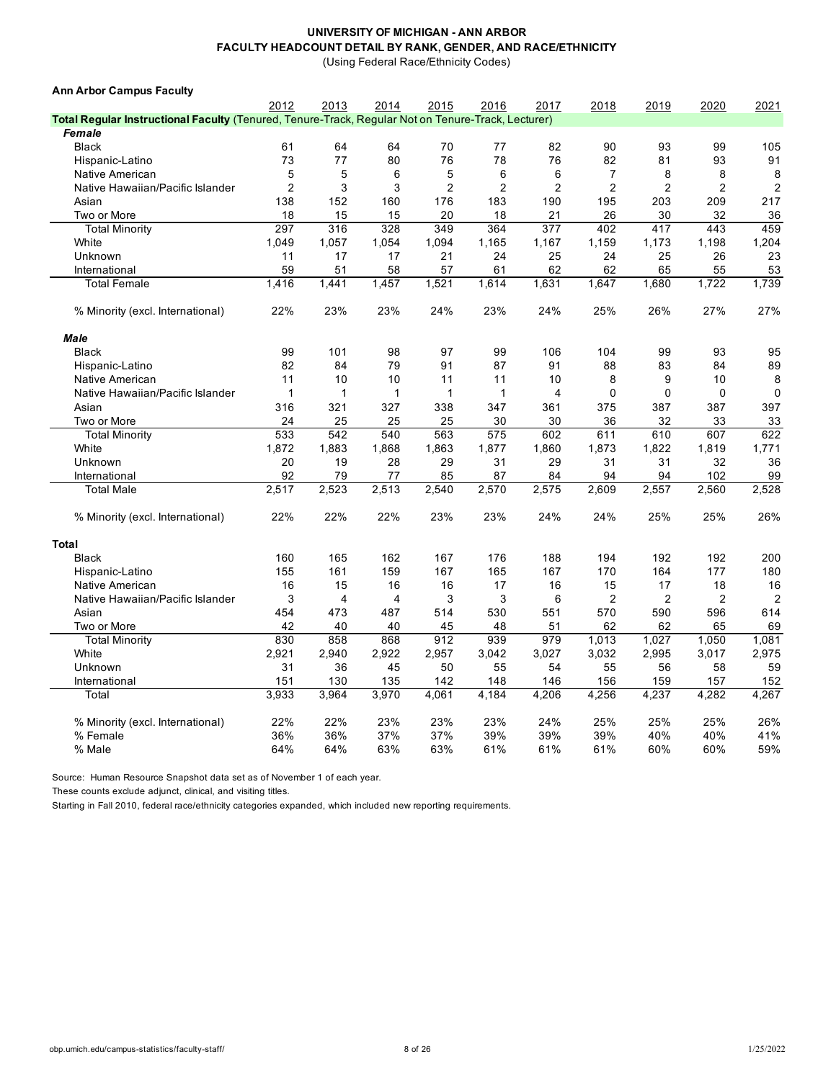(Using Federal Race/Ethnicity Codes)

| <b>Ann Arbor Campus Faculty</b>                                                                    |                |                |       |                |                |                |                |                |                |                |
|----------------------------------------------------------------------------------------------------|----------------|----------------|-------|----------------|----------------|----------------|----------------|----------------|----------------|----------------|
|                                                                                                    | 2012           | 2013           | 2014  | 2015           | 2016           | 2017           | 2018           | 2019           | 2020           | 2021           |
| Total Regular Instructional Faculty (Tenured, Tenure-Track, Regular Not on Tenure-Track, Lecturer) |                |                |       |                |                |                |                |                |                |                |
| Female                                                                                             |                |                |       |                |                |                |                |                |                |                |
| <b>Black</b>                                                                                       | 61             | 64             | 64    | 70             | 77             | 82             | 90             | 93             | 99             | 105            |
| Hispanic-Latino                                                                                    | 73             | 77             | 80    | 76             | 78             | 76             | 82             | 81             | 93             | 91             |
| Native American                                                                                    | 5              | 5              | 6     | 5              | 6              | 6              | 7              | 8              | 8              | 8              |
| Native Hawaiian/Pacific Islander                                                                   | $\overline{2}$ | 3              | 3     | $\overline{2}$ | $\overline{2}$ | $\overline{2}$ | $\overline{2}$ | $\overline{2}$ | $\overline{2}$ | $\overline{2}$ |
| Asian                                                                                              | 138            | 152            | 160   | 176            | 183            | 190            | 195            | 203            | 209            | 217            |
| Two or More                                                                                        | 18             | 15             | 15    | 20             | 18             | 21             | 26             | 30             | 32             | 36             |
| <b>Total Minority</b>                                                                              | 297            | 316            | 328   | 349            | 364            | 377            | 402            | 417            | 443            | 459            |
| White                                                                                              | 1,049          | 1,057          | 1,054 | 1,094          | 1,165          | 1,167          | 1,159          | 1,173          | 1,198          | 1,204          |
| Unknown                                                                                            | 11             | 17             | 17    | 21             | 24             | 25             | 24             | 25             | 26             | 23             |
| International                                                                                      | 59             | 51             | 58    | 57             | 61             | 62             | 62             | 65             | 55             | 53             |
| <b>Total Female</b>                                                                                | 1,416          | 1,441          | 1,457 | 1,521          | 1,614          | 1,631          | 1,647          | 1,680          | 1,722          | 1,739          |
| % Minority (excl. International)                                                                   | 22%            | 23%            | 23%   | 24%            | 23%            | 24%            | 25%            | 26%            | 27%            | 27%            |
| Male                                                                                               |                |                |       |                |                |                |                |                |                |                |
| <b>Black</b>                                                                                       | 99             | 101            | 98    | 97             | 99             | 106            | 104            | 99             | 93             | 95             |
| Hispanic-Latino                                                                                    | 82             | 84             | 79    | 91             | 87             | 91             | 88             | 83             | 84             | 89             |
| Native American                                                                                    | 11             | 10             | 10    | 11             | 11             | 10             | 8              | 9              | 10             | 8              |
| Native Hawaiian/Pacific Islander                                                                   | 1              | 1              | 1     | 1              | $\overline{1}$ | $\overline{4}$ | $\mathbf 0$    | 0              | $\mathbf 0$    | $\mathbf 0$    |
| Asian                                                                                              | 316            | 321            | 327   | 338            | 347            | 361            | 375            | 387            | 387            | 397            |
| Two or More                                                                                        | 24             | 25             | 25    | 25             | 30             | 30             | 36             | 32             | 33             | 33             |
| <b>Total Minority</b>                                                                              | 533            | 542            | 540   | 563            | 575            | 602            | 611            | 610            | 607            | 622            |
| White                                                                                              | 1,872          | 1,883          | 1,868 | 1,863          | 1,877          | 1,860          | 1,873          | 1,822          | 1,819          | 1,771          |
| Unknown                                                                                            | 20             | 19             | 28    | 29             | 31             | 29             | 31             | 31             | 32             | 36             |
| International                                                                                      | 92             | 79             | 77    | 85             | 87             | 84             | 94             | 94             | 102            | 99             |
| <b>Total Male</b>                                                                                  | 2,517          | 2,523          | 2,513 | 2,540          | 2,570          | 2,575          | 2,609          | 2,557          | 2,560          | 2,528          |
|                                                                                                    |                |                |       |                |                |                |                |                |                |                |
| % Minority (excl. International)                                                                   | 22%            | 22%            | 22%   | 23%            | 23%            | 24%            | 24%            | 25%            | 25%            | 26%            |
| <b>Total</b>                                                                                       |                |                |       |                |                |                |                |                |                |                |
| <b>Black</b>                                                                                       | 160            | 165            | 162   | 167            | 176            | 188            | 194            | 192            | 192            | 200            |
| Hispanic-Latino                                                                                    | 155            | 161            | 159   | 167            | 165            | 167            | 170            | 164            | 177            | 180            |
| Native American                                                                                    | 16             | 15             | 16    | 16             | 17             | 16             | 15             | 17             | 18             | 16             |
| Native Hawaiian/Pacific Islander                                                                   | 3              | $\overline{4}$ | 4     | 3              | 3              | 6              | 2              | $\overline{2}$ | $\overline{2}$ | $\overline{2}$ |
| Asian                                                                                              | 454            | 473            | 487   | 514            | 530            | 551            | 570            | 590            | 596            | 614            |
| Two or More                                                                                        | 42             | 40             | 40    | 45             | 48             | 51             | 62             | 62             | 65             | 69             |
| <b>Total Minority</b>                                                                              | 830            | 858            | 868   | 912            | 939            | 979            | 1,013          | 1,027          | 1,050          | 1,081          |
| White                                                                                              | 2,921          | 2,940          | 2,922 | 2,957          | 3,042          | 3,027          | 3,032          | 2,995          | 3,017          | 2,975          |
| Unknown                                                                                            | 31             | 36             | 45    | 50             | 55             | 54             | 55             | 56             | 58             | 59             |
| International                                                                                      | 151            | 130            | 135   | 142            | 148            | 146            | 156            | 159            | 157            | 152            |
| Total                                                                                              | 3,933          | 3,964          | 3,970 | 4,061          | 4,184          | 4,206          | 4,256          | 4,237          | 4,282          | 4,267          |
|                                                                                                    |                |                |       |                |                |                |                |                |                |                |
| % Minority (excl. International)                                                                   | 22%            | 22%            | 23%   | 23%            | 23%            | 24%            | 25%            | 25%            | 25%            | 26%            |
| % Female                                                                                           | 36%            | 36%            | 37%   | 37%            | 39%            | 39%            | 39%            | 40%            | 40%            | 41%            |
| % Male                                                                                             | 64%            | 64%            | 63%   | 63%            | 61%            | 61%            | 61%            | 60%            | 60%            | 59%            |

Source: Human Resource Snapshot data set as of November 1 of each year.

These counts exclude adjunct, clinical, and visiting titles.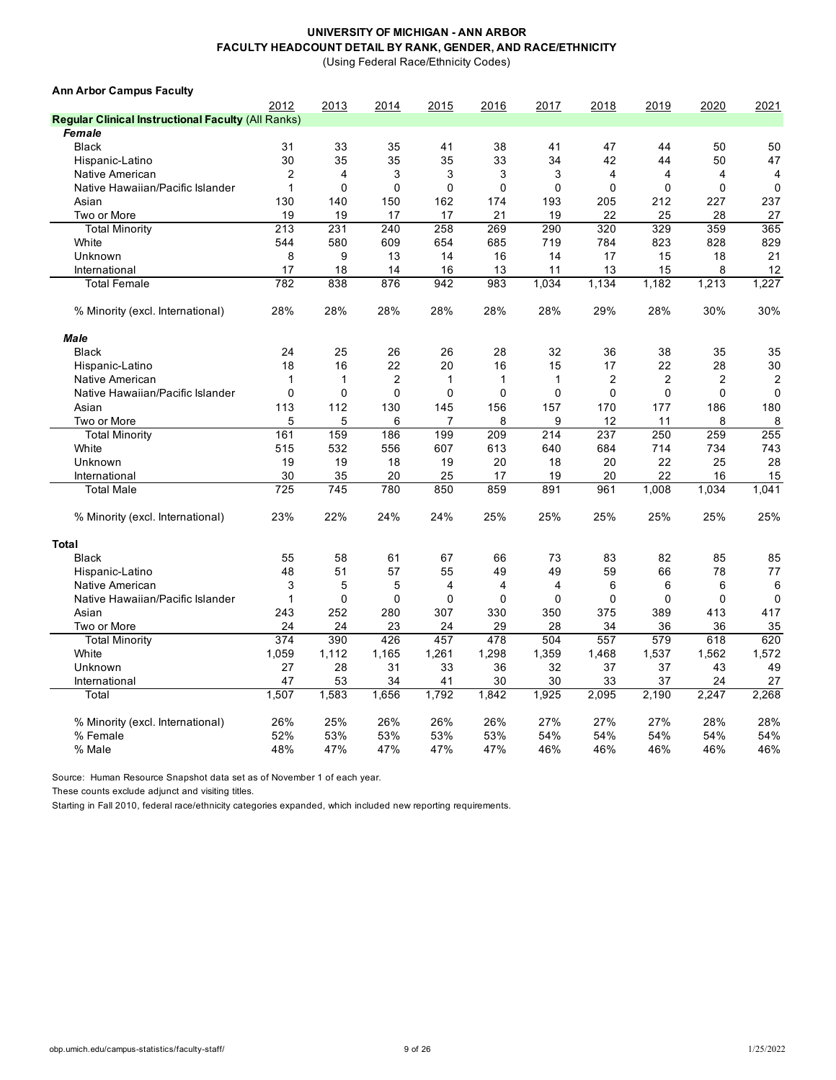(Using Federal Race/Ethnicity Codes)

| 2012<br>2013<br>2014<br>2015<br>2016<br>2017<br>2018<br>2019<br>2020<br>2021<br><b>Regular Clinical Instructional Faculty (All Ranks)</b><br>Female<br>33<br>38<br><b>Black</b><br>31<br>35<br>41<br>41<br>47<br>50<br>50<br>44<br>30<br>35<br>35<br>35<br>33<br>34<br>42<br>50<br>47<br>Hispanic-Latino<br>44<br>$\overline{2}$<br>3<br>3<br>3<br>3<br>Native American<br>4<br>4<br>4<br>4<br>4<br>$\mathbf 0$<br>$\mathbf 0$<br>$\mathbf 0$<br>0<br>$\mathbf 0$<br>$\mathbf 0$<br>$\mathbf{1}$<br>0<br>$\mathbf 0$<br>$\mathbf 0$<br>Native Hawaiian/Pacific Islander<br>Asian<br>130<br>140<br>150<br>162<br>174<br>193<br>205<br>212<br>227<br>237<br>19<br>19<br>19<br>17<br>17<br>21<br>22<br>25<br>28<br>27<br>Two or More<br>231<br>240<br>258<br>269<br>290<br>320<br>329<br>359<br>365<br><b>Total Minority</b><br>213<br>823<br>829<br>White<br>544<br>580<br>609<br>654<br>685<br>719<br>784<br>828<br>9<br>21<br>Unknown<br>8<br>13<br>14<br>16<br>14<br>17<br>15<br>18<br>17<br>18<br>16<br>13<br>11<br>13<br>15<br>8<br>12<br>International<br>14<br><b>Total Female</b><br>782<br>838<br>876<br>942<br>983<br>1,034<br>1,134<br>1,182<br>1,213<br>1,227<br>28%<br>28%<br>28%<br>28%<br>28%<br>28%<br>29%<br>28%<br>30%<br>30%<br>% Minority (excl. International)<br>Male<br>25<br>26<br>28<br>32<br>38<br>35<br>35<br><b>Black</b><br>24<br>26<br>36<br>18<br>16<br>22<br>20<br>15<br>22<br>28<br>30<br>Hispanic-Latino<br>16<br>17<br>$\mathbf{1}$<br>1<br>$\overline{2}$<br>$\mathbf{1}$<br>1<br>1<br>$\overline{2}$<br>$\overline{2}$<br>$\overline{2}$<br>$\overline{2}$<br>Native American<br>$\mathbf{0}$<br>$\mathbf{0}$<br>$\mathbf{0}$<br>$\mathbf{0}$<br>$\Omega$<br>$\Omega$<br>$\Omega$<br>$\Omega$<br>$\Omega$<br>$\mathbf 0$<br>Native Hawaiian/Pacific Islander<br>113<br>112<br>180<br>130<br>145<br>156<br>157<br>170<br>177<br>186<br>Asian<br>5<br>5<br>6<br>8<br>8<br>8<br>Two or More<br>9<br>12<br>11<br>7<br>255<br>161<br>159<br>186<br>199<br>209<br>214<br>237<br>250<br>259<br><b>Total Minority</b><br>743<br>White<br>515<br>532<br>556<br>607<br>613<br>640<br>684<br>714<br>734<br>22<br>19<br>19<br>18<br>19<br>20<br>18<br>20<br>25<br>28<br>Unknown<br>30<br>22<br>35<br>20<br>25<br>17<br>20<br>15<br>International<br>19<br>16<br>725<br>745<br>780<br>850<br>859<br>891<br>961<br>1.034<br>1.041<br><b>Total Male</b><br>1.008<br>23%<br>22%<br>24%<br>24%<br>25%<br>25%<br>25%<br>25%<br>25%<br>25%<br>% Minority (excl. International)<br><b>Total</b><br><b>Black</b><br>55<br>58<br>61<br>67<br>73<br>83<br>82<br>85<br>85<br>66<br>48<br>57<br>55<br>49<br>49<br>59<br>66<br>78<br>77<br>Hispanic-Latino<br>51<br>3<br>5<br>5<br>$\overline{4}$<br>4<br>6<br>6<br>6<br>6<br>Native American<br>4<br>$\Omega$<br>$\mathbf 0$<br>$\mathbf 0$<br>$\mathbf 0$<br>Native Hawaiian/Pacific Islander<br>$\mathbf{1}$<br>0<br>0<br>0<br>0<br>$\Omega$<br>243<br>252<br>280<br>307<br>330<br>389<br>417<br>Asian<br>350<br>375<br>413<br>24<br>24<br>23<br>24<br>29<br>28<br>34<br>36<br>36<br>35<br>Two or More<br>374<br>390<br>478<br>557<br>579<br>620<br><b>Total Minority</b><br>426<br>457<br>504<br>618<br>1,298<br>1,537<br>White<br>1,059<br>1,112<br>1,165<br>1,261<br>1,359<br>1,468<br>1,562<br>1,572<br>27<br>28<br>31<br>33<br>36<br>32<br>37<br>37<br>43<br>49<br>Unknown<br>47<br>53<br>34<br>41<br>30<br>30<br>33<br>37<br>27<br>International<br>24<br>1,507<br>1,583<br>1,656<br>1,792<br>1,842<br>1,925<br>2,095<br>2,190<br>2,247<br>2,268<br>Total<br>25%<br>26%<br>27%<br>27%<br>28%<br>26%<br>26%<br>26%<br>27%<br>28%<br>% Minority (excl. International)<br>52%<br>54%<br>53%<br>53%<br>53%<br>53%<br>54%<br>54%<br>54%<br>54%<br>% Female<br>47%<br>48%<br>47%<br>47%<br>47%<br>46%<br>46%<br>46%<br>46%<br>46%<br>% Male | <b>Ann Arbor Campus Faculty</b> |  |  |  |  |  |
|---------------------------------------------------------------------------------------------------------------------------------------------------------------------------------------------------------------------------------------------------------------------------------------------------------------------------------------------------------------------------------------------------------------------------------------------------------------------------------------------------------------------------------------------------------------------------------------------------------------------------------------------------------------------------------------------------------------------------------------------------------------------------------------------------------------------------------------------------------------------------------------------------------------------------------------------------------------------------------------------------------------------------------------------------------------------------------------------------------------------------------------------------------------------------------------------------------------------------------------------------------------------------------------------------------------------------------------------------------------------------------------------------------------------------------------------------------------------------------------------------------------------------------------------------------------------------------------------------------------------------------------------------------------------------------------------------------------------------------------------------------------------------------------------------------------------------------------------------------------------------------------------------------------------------------------------------------------------------------------------------------------------------------------------------------------------------------------------------------------------------------------------------------------------------------------------------------------------------------------------------------------------------------------------------------------------------------------------------------------------------------------------------------------------------------------------------------------------------------------------------------------------------------------------------------------------------------------------------------------------------------------------------------------------------------------------------------------------------------------------------------------------------------------------------------------------------------------------------------------------------------------------------------------------------------------------------------------------------------------------------------------------------------------------------------------------------------------------------------------------------------------------------------------------------------------------------------------------------------------------------------------------------------------------------------------------------------------------------------------------------------------------------------------------------------------------------------------------------------------------------------------------------------------------------------------------------------------------------------------------------------------------------------------------------------------------------------------------------------------------------------------------------------------------------------|---------------------------------|--|--|--|--|--|
|                                                                                                                                                                                                                                                                                                                                                                                                                                                                                                                                                                                                                                                                                                                                                                                                                                                                                                                                                                                                                                                                                                                                                                                                                                                                                                                                                                                                                                                                                                                                                                                                                                                                                                                                                                                                                                                                                                                                                                                                                                                                                                                                                                                                                                                                                                                                                                                                                                                                                                                                                                                                                                                                                                                                                                                                                                                                                                                                                                                                                                                                                                                                                                                                                                                                                                                                                                                                                                                                                                                                                                                                                                                                                                                                                                                                         |                                 |  |  |  |  |  |
|                                                                                                                                                                                                                                                                                                                                                                                                                                                                                                                                                                                                                                                                                                                                                                                                                                                                                                                                                                                                                                                                                                                                                                                                                                                                                                                                                                                                                                                                                                                                                                                                                                                                                                                                                                                                                                                                                                                                                                                                                                                                                                                                                                                                                                                                                                                                                                                                                                                                                                                                                                                                                                                                                                                                                                                                                                                                                                                                                                                                                                                                                                                                                                                                                                                                                                                                                                                                                                                                                                                                                                                                                                                                                                                                                                                                         |                                 |  |  |  |  |  |
|                                                                                                                                                                                                                                                                                                                                                                                                                                                                                                                                                                                                                                                                                                                                                                                                                                                                                                                                                                                                                                                                                                                                                                                                                                                                                                                                                                                                                                                                                                                                                                                                                                                                                                                                                                                                                                                                                                                                                                                                                                                                                                                                                                                                                                                                                                                                                                                                                                                                                                                                                                                                                                                                                                                                                                                                                                                                                                                                                                                                                                                                                                                                                                                                                                                                                                                                                                                                                                                                                                                                                                                                                                                                                                                                                                                                         |                                 |  |  |  |  |  |
|                                                                                                                                                                                                                                                                                                                                                                                                                                                                                                                                                                                                                                                                                                                                                                                                                                                                                                                                                                                                                                                                                                                                                                                                                                                                                                                                                                                                                                                                                                                                                                                                                                                                                                                                                                                                                                                                                                                                                                                                                                                                                                                                                                                                                                                                                                                                                                                                                                                                                                                                                                                                                                                                                                                                                                                                                                                                                                                                                                                                                                                                                                                                                                                                                                                                                                                                                                                                                                                                                                                                                                                                                                                                                                                                                                                                         |                                 |  |  |  |  |  |
|                                                                                                                                                                                                                                                                                                                                                                                                                                                                                                                                                                                                                                                                                                                                                                                                                                                                                                                                                                                                                                                                                                                                                                                                                                                                                                                                                                                                                                                                                                                                                                                                                                                                                                                                                                                                                                                                                                                                                                                                                                                                                                                                                                                                                                                                                                                                                                                                                                                                                                                                                                                                                                                                                                                                                                                                                                                                                                                                                                                                                                                                                                                                                                                                                                                                                                                                                                                                                                                                                                                                                                                                                                                                                                                                                                                                         |                                 |  |  |  |  |  |
|                                                                                                                                                                                                                                                                                                                                                                                                                                                                                                                                                                                                                                                                                                                                                                                                                                                                                                                                                                                                                                                                                                                                                                                                                                                                                                                                                                                                                                                                                                                                                                                                                                                                                                                                                                                                                                                                                                                                                                                                                                                                                                                                                                                                                                                                                                                                                                                                                                                                                                                                                                                                                                                                                                                                                                                                                                                                                                                                                                                                                                                                                                                                                                                                                                                                                                                                                                                                                                                                                                                                                                                                                                                                                                                                                                                                         |                                 |  |  |  |  |  |
|                                                                                                                                                                                                                                                                                                                                                                                                                                                                                                                                                                                                                                                                                                                                                                                                                                                                                                                                                                                                                                                                                                                                                                                                                                                                                                                                                                                                                                                                                                                                                                                                                                                                                                                                                                                                                                                                                                                                                                                                                                                                                                                                                                                                                                                                                                                                                                                                                                                                                                                                                                                                                                                                                                                                                                                                                                                                                                                                                                                                                                                                                                                                                                                                                                                                                                                                                                                                                                                                                                                                                                                                                                                                                                                                                                                                         |                                 |  |  |  |  |  |
|                                                                                                                                                                                                                                                                                                                                                                                                                                                                                                                                                                                                                                                                                                                                                                                                                                                                                                                                                                                                                                                                                                                                                                                                                                                                                                                                                                                                                                                                                                                                                                                                                                                                                                                                                                                                                                                                                                                                                                                                                                                                                                                                                                                                                                                                                                                                                                                                                                                                                                                                                                                                                                                                                                                                                                                                                                                                                                                                                                                                                                                                                                                                                                                                                                                                                                                                                                                                                                                                                                                                                                                                                                                                                                                                                                                                         |                                 |  |  |  |  |  |
|                                                                                                                                                                                                                                                                                                                                                                                                                                                                                                                                                                                                                                                                                                                                                                                                                                                                                                                                                                                                                                                                                                                                                                                                                                                                                                                                                                                                                                                                                                                                                                                                                                                                                                                                                                                                                                                                                                                                                                                                                                                                                                                                                                                                                                                                                                                                                                                                                                                                                                                                                                                                                                                                                                                                                                                                                                                                                                                                                                                                                                                                                                                                                                                                                                                                                                                                                                                                                                                                                                                                                                                                                                                                                                                                                                                                         |                                 |  |  |  |  |  |
|                                                                                                                                                                                                                                                                                                                                                                                                                                                                                                                                                                                                                                                                                                                                                                                                                                                                                                                                                                                                                                                                                                                                                                                                                                                                                                                                                                                                                                                                                                                                                                                                                                                                                                                                                                                                                                                                                                                                                                                                                                                                                                                                                                                                                                                                                                                                                                                                                                                                                                                                                                                                                                                                                                                                                                                                                                                                                                                                                                                                                                                                                                                                                                                                                                                                                                                                                                                                                                                                                                                                                                                                                                                                                                                                                                                                         |                                 |  |  |  |  |  |
|                                                                                                                                                                                                                                                                                                                                                                                                                                                                                                                                                                                                                                                                                                                                                                                                                                                                                                                                                                                                                                                                                                                                                                                                                                                                                                                                                                                                                                                                                                                                                                                                                                                                                                                                                                                                                                                                                                                                                                                                                                                                                                                                                                                                                                                                                                                                                                                                                                                                                                                                                                                                                                                                                                                                                                                                                                                                                                                                                                                                                                                                                                                                                                                                                                                                                                                                                                                                                                                                                                                                                                                                                                                                                                                                                                                                         |                                 |  |  |  |  |  |
|                                                                                                                                                                                                                                                                                                                                                                                                                                                                                                                                                                                                                                                                                                                                                                                                                                                                                                                                                                                                                                                                                                                                                                                                                                                                                                                                                                                                                                                                                                                                                                                                                                                                                                                                                                                                                                                                                                                                                                                                                                                                                                                                                                                                                                                                                                                                                                                                                                                                                                                                                                                                                                                                                                                                                                                                                                                                                                                                                                                                                                                                                                                                                                                                                                                                                                                                                                                                                                                                                                                                                                                                                                                                                                                                                                                                         |                                 |  |  |  |  |  |
|                                                                                                                                                                                                                                                                                                                                                                                                                                                                                                                                                                                                                                                                                                                                                                                                                                                                                                                                                                                                                                                                                                                                                                                                                                                                                                                                                                                                                                                                                                                                                                                                                                                                                                                                                                                                                                                                                                                                                                                                                                                                                                                                                                                                                                                                                                                                                                                                                                                                                                                                                                                                                                                                                                                                                                                                                                                                                                                                                                                                                                                                                                                                                                                                                                                                                                                                                                                                                                                                                                                                                                                                                                                                                                                                                                                                         |                                 |  |  |  |  |  |
|                                                                                                                                                                                                                                                                                                                                                                                                                                                                                                                                                                                                                                                                                                                                                                                                                                                                                                                                                                                                                                                                                                                                                                                                                                                                                                                                                                                                                                                                                                                                                                                                                                                                                                                                                                                                                                                                                                                                                                                                                                                                                                                                                                                                                                                                                                                                                                                                                                                                                                                                                                                                                                                                                                                                                                                                                                                                                                                                                                                                                                                                                                                                                                                                                                                                                                                                                                                                                                                                                                                                                                                                                                                                                                                                                                                                         |                                 |  |  |  |  |  |
|                                                                                                                                                                                                                                                                                                                                                                                                                                                                                                                                                                                                                                                                                                                                                                                                                                                                                                                                                                                                                                                                                                                                                                                                                                                                                                                                                                                                                                                                                                                                                                                                                                                                                                                                                                                                                                                                                                                                                                                                                                                                                                                                                                                                                                                                                                                                                                                                                                                                                                                                                                                                                                                                                                                                                                                                                                                                                                                                                                                                                                                                                                                                                                                                                                                                                                                                                                                                                                                                                                                                                                                                                                                                                                                                                                                                         |                                 |  |  |  |  |  |
|                                                                                                                                                                                                                                                                                                                                                                                                                                                                                                                                                                                                                                                                                                                                                                                                                                                                                                                                                                                                                                                                                                                                                                                                                                                                                                                                                                                                                                                                                                                                                                                                                                                                                                                                                                                                                                                                                                                                                                                                                                                                                                                                                                                                                                                                                                                                                                                                                                                                                                                                                                                                                                                                                                                                                                                                                                                                                                                                                                                                                                                                                                                                                                                                                                                                                                                                                                                                                                                                                                                                                                                                                                                                                                                                                                                                         |                                 |  |  |  |  |  |
|                                                                                                                                                                                                                                                                                                                                                                                                                                                                                                                                                                                                                                                                                                                                                                                                                                                                                                                                                                                                                                                                                                                                                                                                                                                                                                                                                                                                                                                                                                                                                                                                                                                                                                                                                                                                                                                                                                                                                                                                                                                                                                                                                                                                                                                                                                                                                                                                                                                                                                                                                                                                                                                                                                                                                                                                                                                                                                                                                                                                                                                                                                                                                                                                                                                                                                                                                                                                                                                                                                                                                                                                                                                                                                                                                                                                         |                                 |  |  |  |  |  |
|                                                                                                                                                                                                                                                                                                                                                                                                                                                                                                                                                                                                                                                                                                                                                                                                                                                                                                                                                                                                                                                                                                                                                                                                                                                                                                                                                                                                                                                                                                                                                                                                                                                                                                                                                                                                                                                                                                                                                                                                                                                                                                                                                                                                                                                                                                                                                                                                                                                                                                                                                                                                                                                                                                                                                                                                                                                                                                                                                                                                                                                                                                                                                                                                                                                                                                                                                                                                                                                                                                                                                                                                                                                                                                                                                                                                         |                                 |  |  |  |  |  |
|                                                                                                                                                                                                                                                                                                                                                                                                                                                                                                                                                                                                                                                                                                                                                                                                                                                                                                                                                                                                                                                                                                                                                                                                                                                                                                                                                                                                                                                                                                                                                                                                                                                                                                                                                                                                                                                                                                                                                                                                                                                                                                                                                                                                                                                                                                                                                                                                                                                                                                                                                                                                                                                                                                                                                                                                                                                                                                                                                                                                                                                                                                                                                                                                                                                                                                                                                                                                                                                                                                                                                                                                                                                                                                                                                                                                         |                                 |  |  |  |  |  |
|                                                                                                                                                                                                                                                                                                                                                                                                                                                                                                                                                                                                                                                                                                                                                                                                                                                                                                                                                                                                                                                                                                                                                                                                                                                                                                                                                                                                                                                                                                                                                                                                                                                                                                                                                                                                                                                                                                                                                                                                                                                                                                                                                                                                                                                                                                                                                                                                                                                                                                                                                                                                                                                                                                                                                                                                                                                                                                                                                                                                                                                                                                                                                                                                                                                                                                                                                                                                                                                                                                                                                                                                                                                                                                                                                                                                         |                                 |  |  |  |  |  |
|                                                                                                                                                                                                                                                                                                                                                                                                                                                                                                                                                                                                                                                                                                                                                                                                                                                                                                                                                                                                                                                                                                                                                                                                                                                                                                                                                                                                                                                                                                                                                                                                                                                                                                                                                                                                                                                                                                                                                                                                                                                                                                                                                                                                                                                                                                                                                                                                                                                                                                                                                                                                                                                                                                                                                                                                                                                                                                                                                                                                                                                                                                                                                                                                                                                                                                                                                                                                                                                                                                                                                                                                                                                                                                                                                                                                         |                                 |  |  |  |  |  |
|                                                                                                                                                                                                                                                                                                                                                                                                                                                                                                                                                                                                                                                                                                                                                                                                                                                                                                                                                                                                                                                                                                                                                                                                                                                                                                                                                                                                                                                                                                                                                                                                                                                                                                                                                                                                                                                                                                                                                                                                                                                                                                                                                                                                                                                                                                                                                                                                                                                                                                                                                                                                                                                                                                                                                                                                                                                                                                                                                                                                                                                                                                                                                                                                                                                                                                                                                                                                                                                                                                                                                                                                                                                                                                                                                                                                         |                                 |  |  |  |  |  |
|                                                                                                                                                                                                                                                                                                                                                                                                                                                                                                                                                                                                                                                                                                                                                                                                                                                                                                                                                                                                                                                                                                                                                                                                                                                                                                                                                                                                                                                                                                                                                                                                                                                                                                                                                                                                                                                                                                                                                                                                                                                                                                                                                                                                                                                                                                                                                                                                                                                                                                                                                                                                                                                                                                                                                                                                                                                                                                                                                                                                                                                                                                                                                                                                                                                                                                                                                                                                                                                                                                                                                                                                                                                                                                                                                                                                         |                                 |  |  |  |  |  |
|                                                                                                                                                                                                                                                                                                                                                                                                                                                                                                                                                                                                                                                                                                                                                                                                                                                                                                                                                                                                                                                                                                                                                                                                                                                                                                                                                                                                                                                                                                                                                                                                                                                                                                                                                                                                                                                                                                                                                                                                                                                                                                                                                                                                                                                                                                                                                                                                                                                                                                                                                                                                                                                                                                                                                                                                                                                                                                                                                                                                                                                                                                                                                                                                                                                                                                                                                                                                                                                                                                                                                                                                                                                                                                                                                                                                         |                                 |  |  |  |  |  |
|                                                                                                                                                                                                                                                                                                                                                                                                                                                                                                                                                                                                                                                                                                                                                                                                                                                                                                                                                                                                                                                                                                                                                                                                                                                                                                                                                                                                                                                                                                                                                                                                                                                                                                                                                                                                                                                                                                                                                                                                                                                                                                                                                                                                                                                                                                                                                                                                                                                                                                                                                                                                                                                                                                                                                                                                                                                                                                                                                                                                                                                                                                                                                                                                                                                                                                                                                                                                                                                                                                                                                                                                                                                                                                                                                                                                         |                                 |  |  |  |  |  |
|                                                                                                                                                                                                                                                                                                                                                                                                                                                                                                                                                                                                                                                                                                                                                                                                                                                                                                                                                                                                                                                                                                                                                                                                                                                                                                                                                                                                                                                                                                                                                                                                                                                                                                                                                                                                                                                                                                                                                                                                                                                                                                                                                                                                                                                                                                                                                                                                                                                                                                                                                                                                                                                                                                                                                                                                                                                                                                                                                                                                                                                                                                                                                                                                                                                                                                                                                                                                                                                                                                                                                                                                                                                                                                                                                                                                         |                                 |  |  |  |  |  |
|                                                                                                                                                                                                                                                                                                                                                                                                                                                                                                                                                                                                                                                                                                                                                                                                                                                                                                                                                                                                                                                                                                                                                                                                                                                                                                                                                                                                                                                                                                                                                                                                                                                                                                                                                                                                                                                                                                                                                                                                                                                                                                                                                                                                                                                                                                                                                                                                                                                                                                                                                                                                                                                                                                                                                                                                                                                                                                                                                                                                                                                                                                                                                                                                                                                                                                                                                                                                                                                                                                                                                                                                                                                                                                                                                                                                         |                                 |  |  |  |  |  |
|                                                                                                                                                                                                                                                                                                                                                                                                                                                                                                                                                                                                                                                                                                                                                                                                                                                                                                                                                                                                                                                                                                                                                                                                                                                                                                                                                                                                                                                                                                                                                                                                                                                                                                                                                                                                                                                                                                                                                                                                                                                                                                                                                                                                                                                                                                                                                                                                                                                                                                                                                                                                                                                                                                                                                                                                                                                                                                                                                                                                                                                                                                                                                                                                                                                                                                                                                                                                                                                                                                                                                                                                                                                                                                                                                                                                         |                                 |  |  |  |  |  |
|                                                                                                                                                                                                                                                                                                                                                                                                                                                                                                                                                                                                                                                                                                                                                                                                                                                                                                                                                                                                                                                                                                                                                                                                                                                                                                                                                                                                                                                                                                                                                                                                                                                                                                                                                                                                                                                                                                                                                                                                                                                                                                                                                                                                                                                                                                                                                                                                                                                                                                                                                                                                                                                                                                                                                                                                                                                                                                                                                                                                                                                                                                                                                                                                                                                                                                                                                                                                                                                                                                                                                                                                                                                                                                                                                                                                         |                                 |  |  |  |  |  |
|                                                                                                                                                                                                                                                                                                                                                                                                                                                                                                                                                                                                                                                                                                                                                                                                                                                                                                                                                                                                                                                                                                                                                                                                                                                                                                                                                                                                                                                                                                                                                                                                                                                                                                                                                                                                                                                                                                                                                                                                                                                                                                                                                                                                                                                                                                                                                                                                                                                                                                                                                                                                                                                                                                                                                                                                                                                                                                                                                                                                                                                                                                                                                                                                                                                                                                                                                                                                                                                                                                                                                                                                                                                                                                                                                                                                         |                                 |  |  |  |  |  |
|                                                                                                                                                                                                                                                                                                                                                                                                                                                                                                                                                                                                                                                                                                                                                                                                                                                                                                                                                                                                                                                                                                                                                                                                                                                                                                                                                                                                                                                                                                                                                                                                                                                                                                                                                                                                                                                                                                                                                                                                                                                                                                                                                                                                                                                                                                                                                                                                                                                                                                                                                                                                                                                                                                                                                                                                                                                                                                                                                                                                                                                                                                                                                                                                                                                                                                                                                                                                                                                                                                                                                                                                                                                                                                                                                                                                         |                                 |  |  |  |  |  |
|                                                                                                                                                                                                                                                                                                                                                                                                                                                                                                                                                                                                                                                                                                                                                                                                                                                                                                                                                                                                                                                                                                                                                                                                                                                                                                                                                                                                                                                                                                                                                                                                                                                                                                                                                                                                                                                                                                                                                                                                                                                                                                                                                                                                                                                                                                                                                                                                                                                                                                                                                                                                                                                                                                                                                                                                                                                                                                                                                                                                                                                                                                                                                                                                                                                                                                                                                                                                                                                                                                                                                                                                                                                                                                                                                                                                         |                                 |  |  |  |  |  |
|                                                                                                                                                                                                                                                                                                                                                                                                                                                                                                                                                                                                                                                                                                                                                                                                                                                                                                                                                                                                                                                                                                                                                                                                                                                                                                                                                                                                                                                                                                                                                                                                                                                                                                                                                                                                                                                                                                                                                                                                                                                                                                                                                                                                                                                                                                                                                                                                                                                                                                                                                                                                                                                                                                                                                                                                                                                                                                                                                                                                                                                                                                                                                                                                                                                                                                                                                                                                                                                                                                                                                                                                                                                                                                                                                                                                         |                                 |  |  |  |  |  |
|                                                                                                                                                                                                                                                                                                                                                                                                                                                                                                                                                                                                                                                                                                                                                                                                                                                                                                                                                                                                                                                                                                                                                                                                                                                                                                                                                                                                                                                                                                                                                                                                                                                                                                                                                                                                                                                                                                                                                                                                                                                                                                                                                                                                                                                                                                                                                                                                                                                                                                                                                                                                                                                                                                                                                                                                                                                                                                                                                                                                                                                                                                                                                                                                                                                                                                                                                                                                                                                                                                                                                                                                                                                                                                                                                                                                         |                                 |  |  |  |  |  |
|                                                                                                                                                                                                                                                                                                                                                                                                                                                                                                                                                                                                                                                                                                                                                                                                                                                                                                                                                                                                                                                                                                                                                                                                                                                                                                                                                                                                                                                                                                                                                                                                                                                                                                                                                                                                                                                                                                                                                                                                                                                                                                                                                                                                                                                                                                                                                                                                                                                                                                                                                                                                                                                                                                                                                                                                                                                                                                                                                                                                                                                                                                                                                                                                                                                                                                                                                                                                                                                                                                                                                                                                                                                                                                                                                                                                         |                                 |  |  |  |  |  |
|                                                                                                                                                                                                                                                                                                                                                                                                                                                                                                                                                                                                                                                                                                                                                                                                                                                                                                                                                                                                                                                                                                                                                                                                                                                                                                                                                                                                                                                                                                                                                                                                                                                                                                                                                                                                                                                                                                                                                                                                                                                                                                                                                                                                                                                                                                                                                                                                                                                                                                                                                                                                                                                                                                                                                                                                                                                                                                                                                                                                                                                                                                                                                                                                                                                                                                                                                                                                                                                                                                                                                                                                                                                                                                                                                                                                         |                                 |  |  |  |  |  |
|                                                                                                                                                                                                                                                                                                                                                                                                                                                                                                                                                                                                                                                                                                                                                                                                                                                                                                                                                                                                                                                                                                                                                                                                                                                                                                                                                                                                                                                                                                                                                                                                                                                                                                                                                                                                                                                                                                                                                                                                                                                                                                                                                                                                                                                                                                                                                                                                                                                                                                                                                                                                                                                                                                                                                                                                                                                                                                                                                                                                                                                                                                                                                                                                                                                                                                                                                                                                                                                                                                                                                                                                                                                                                                                                                                                                         |                                 |  |  |  |  |  |
|                                                                                                                                                                                                                                                                                                                                                                                                                                                                                                                                                                                                                                                                                                                                                                                                                                                                                                                                                                                                                                                                                                                                                                                                                                                                                                                                                                                                                                                                                                                                                                                                                                                                                                                                                                                                                                                                                                                                                                                                                                                                                                                                                                                                                                                                                                                                                                                                                                                                                                                                                                                                                                                                                                                                                                                                                                                                                                                                                                                                                                                                                                                                                                                                                                                                                                                                                                                                                                                                                                                                                                                                                                                                                                                                                                                                         |                                 |  |  |  |  |  |
|                                                                                                                                                                                                                                                                                                                                                                                                                                                                                                                                                                                                                                                                                                                                                                                                                                                                                                                                                                                                                                                                                                                                                                                                                                                                                                                                                                                                                                                                                                                                                                                                                                                                                                                                                                                                                                                                                                                                                                                                                                                                                                                                                                                                                                                                                                                                                                                                                                                                                                                                                                                                                                                                                                                                                                                                                                                                                                                                                                                                                                                                                                                                                                                                                                                                                                                                                                                                                                                                                                                                                                                                                                                                                                                                                                                                         |                                 |  |  |  |  |  |
|                                                                                                                                                                                                                                                                                                                                                                                                                                                                                                                                                                                                                                                                                                                                                                                                                                                                                                                                                                                                                                                                                                                                                                                                                                                                                                                                                                                                                                                                                                                                                                                                                                                                                                                                                                                                                                                                                                                                                                                                                                                                                                                                                                                                                                                                                                                                                                                                                                                                                                                                                                                                                                                                                                                                                                                                                                                                                                                                                                                                                                                                                                                                                                                                                                                                                                                                                                                                                                                                                                                                                                                                                                                                                                                                                                                                         |                                 |  |  |  |  |  |
|                                                                                                                                                                                                                                                                                                                                                                                                                                                                                                                                                                                                                                                                                                                                                                                                                                                                                                                                                                                                                                                                                                                                                                                                                                                                                                                                                                                                                                                                                                                                                                                                                                                                                                                                                                                                                                                                                                                                                                                                                                                                                                                                                                                                                                                                                                                                                                                                                                                                                                                                                                                                                                                                                                                                                                                                                                                                                                                                                                                                                                                                                                                                                                                                                                                                                                                                                                                                                                                                                                                                                                                                                                                                                                                                                                                                         |                                 |  |  |  |  |  |
|                                                                                                                                                                                                                                                                                                                                                                                                                                                                                                                                                                                                                                                                                                                                                                                                                                                                                                                                                                                                                                                                                                                                                                                                                                                                                                                                                                                                                                                                                                                                                                                                                                                                                                                                                                                                                                                                                                                                                                                                                                                                                                                                                                                                                                                                                                                                                                                                                                                                                                                                                                                                                                                                                                                                                                                                                                                                                                                                                                                                                                                                                                                                                                                                                                                                                                                                                                                                                                                                                                                                                                                                                                                                                                                                                                                                         |                                 |  |  |  |  |  |
|                                                                                                                                                                                                                                                                                                                                                                                                                                                                                                                                                                                                                                                                                                                                                                                                                                                                                                                                                                                                                                                                                                                                                                                                                                                                                                                                                                                                                                                                                                                                                                                                                                                                                                                                                                                                                                                                                                                                                                                                                                                                                                                                                                                                                                                                                                                                                                                                                                                                                                                                                                                                                                                                                                                                                                                                                                                                                                                                                                                                                                                                                                                                                                                                                                                                                                                                                                                                                                                                                                                                                                                                                                                                                                                                                                                                         |                                 |  |  |  |  |  |
|                                                                                                                                                                                                                                                                                                                                                                                                                                                                                                                                                                                                                                                                                                                                                                                                                                                                                                                                                                                                                                                                                                                                                                                                                                                                                                                                                                                                                                                                                                                                                                                                                                                                                                                                                                                                                                                                                                                                                                                                                                                                                                                                                                                                                                                                                                                                                                                                                                                                                                                                                                                                                                                                                                                                                                                                                                                                                                                                                                                                                                                                                                                                                                                                                                                                                                                                                                                                                                                                                                                                                                                                                                                                                                                                                                                                         |                                 |  |  |  |  |  |

Source: Human Resource Snapshot data set as of November 1 of each year.

These counts exclude adjunct and visiting titles.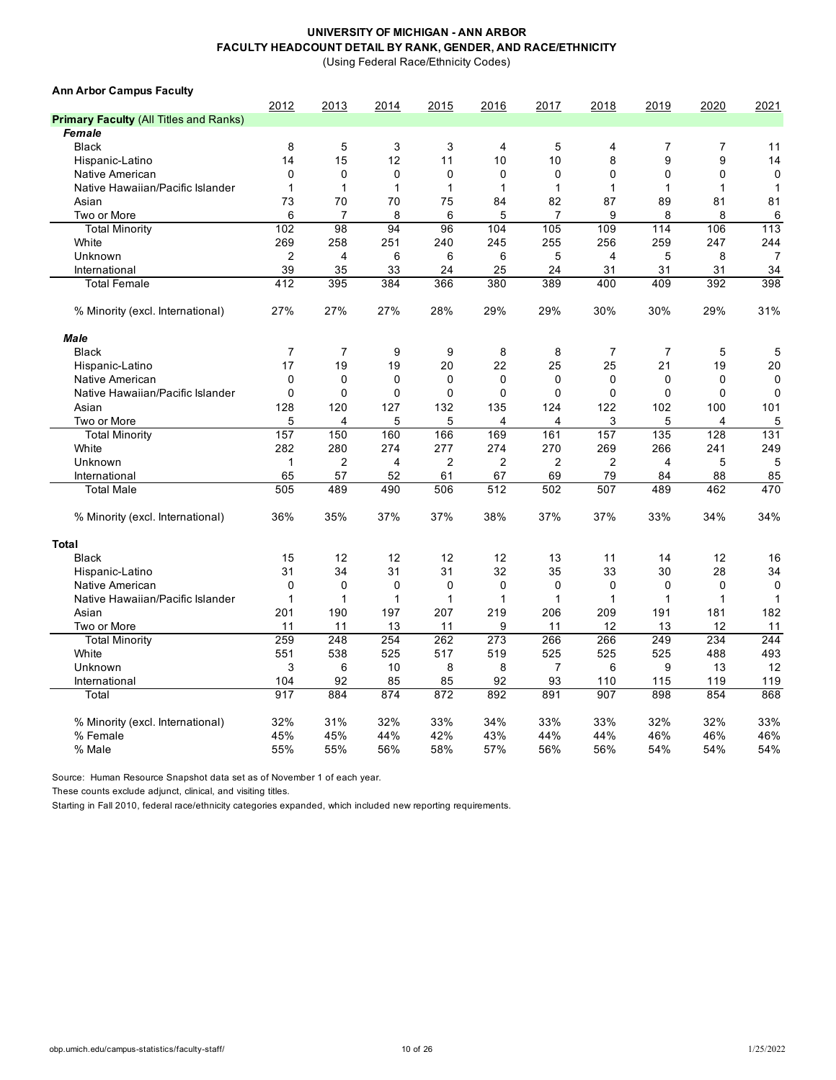(Using Federal Race/Ethnicity Codes)

| <b>Ann Arbor Campus Faculty</b>               |                |                |                |                |                |                |                 |                |              |                |
|-----------------------------------------------|----------------|----------------|----------------|----------------|----------------|----------------|-----------------|----------------|--------------|----------------|
|                                               | 2012           | 2013           | 2014           | 2015           | 2016           | 2017           | 2018            | 2019           | 2020         | 2021           |
| <b>Primary Faculty (All Titles and Ranks)</b> |                |                |                |                |                |                |                 |                |              |                |
| Female                                        |                |                |                |                |                |                |                 |                |              |                |
| <b>Black</b>                                  | 8              | 5              | 3              | 3              | 4              | 5              | 4               | $\overline{7}$ | 7            | 11             |
| Hispanic-Latino                               | 14             | 15             | 12             | 11             | 10             | 10             | 8               | 9              | 9            | 14             |
| Native American                               | $\mathbf 0$    | 0              | $\mathbf 0$    | $\mathbf 0$    | $\mathbf 0$    | 0              | $\mathbf 0$     | $\mathbf 0$    | 0            | $\mathbf 0$    |
| Native Hawaiian/Pacific Islander              | $\mathbf 1$    | 1              | $\mathbf{1}$   | $\mathbf{1}$   | 1              | $\mathbf{1}$   | $\mathbf{1}$    | 1              | 1            | $\mathbf{1}$   |
| Asian                                         | 73             | 70             | 70             | 75             | 84             | 82             | 87              | 89             | 81           | 81             |
| Two or More                                   | 6              | $\overline{7}$ | 8              | 6              | 5              | $\overline{7}$ | 9               | 8              | 8            | 6              |
| <b>Total Minority</b>                         | 102            | 98             | 94             | 96             | 104            | 105            | 109             | 114            | 106          | 113            |
| White                                         | 269            | 258            | 251            | 240            | 245            | 255            | 256             | 259            | 247          | 244            |
| Unknown                                       | $\overline{2}$ | $\overline{4}$ | 6              | 6              | 6              | 5              | $\overline{4}$  | 5              | 8            | $\overline{7}$ |
| International                                 | 39             | 35             | 33             | 24             | 25             | 24             | 31              | 31             | 31           | 34             |
| <b>Total Female</b>                           | 412            | 395            | 384            | 366            | 380            | 389            | 400             | 409            | 392          | 398            |
| % Minority (excl. International)              | 27%            | 27%            | 27%            | 28%            | 29%            | 29%            | 30%             | 30%            | 29%          | 31%            |
| <b>Male</b>                                   |                |                |                |                |                |                |                 |                |              |                |
| <b>Black</b>                                  | $\overline{7}$ | $\overline{7}$ | 9              | 9              | 8              | 8              | $\overline{7}$  | $\overline{7}$ | 5            | 5              |
| Hispanic-Latino                               | 17             | 19             | 19             | 20             | 22             | 25             | 25              | 21             | 19           | 20             |
| Native American                               | $\mathbf 0$    | $\Omega$       | $\mathbf{0}$   | $\mathbf 0$    | 0              | 0              | $\Omega$        | $\Omega$       | $\mathbf 0$  | $\mathbf{0}$   |
| Native Hawaiian/Pacific Islander              | $\mathbf 0$    | $\Omega$       | $\mathbf 0$    | $\mathbf 0$    | $\Omega$       | $\mathbf 0$    | $\mathbf 0$     | $\Omega$       | 0            | $\mathbf 0$    |
| Asian                                         | 128            | 120            | 127            | 132            | 135            | 124            | 122             | 102            | 100          | 101            |
| Two or More                                   | 5              | 4              | 5              | 5              | 4              | 4              | 3               | 5              | 4            | 5              |
| <b>Total Minority</b>                         | 157            | 150            | 160            | 166            | 169            | 161            | 157             | 135            | 128          | 131            |
| White                                         | 282            | 280            | 274            | 277            | 274            | 270            | 269             | 266            | 241          | 249            |
| Unknown                                       | $\mathbf 1$    | 2              | $\overline{4}$ | $\overline{2}$ | $\overline{2}$ | $\overline{2}$ | $\overline{2}$  | $\overline{4}$ | 5            | 5              |
| International                                 | 65             | 57             | 52             | 61             | 67             | 69             | 79              | 84             | 88           | 85             |
| <b>Total Male</b>                             | 505            | 489            | 490            | 506            | 512            | 502            | 507             | 489            | 462          | 470            |
| % Minority (excl. International)              | 36%            | 35%            | 37%            | 37%            | 38%            | 37%            | 37%             | 33%            | 34%          | 34%            |
| Total                                         |                |                |                |                |                |                |                 |                |              |                |
| <b>Black</b>                                  | 15             | 12             | 12             | 12             | 12             | 13             | 11              | 14             | 12           | 16             |
| Hispanic-Latino                               | 31             | 34             | 31             | 31             | 32             | 35             | 33              | 30             | 28           | 34             |
| Native American                               | $\mathbf 0$    | 0              | $\mathbf 0$    | $\mathbf 0$    | 0              | 0              | $\mathbf 0$     | $\mathbf 0$    | 0            | $\mathbf 0$    |
| Native Hawaiian/Pacific Islander              | $\mathbf{1}$   | $\mathbf{1}$   | $\mathbf{1}$   | $\mathbf{1}$   | 1              | $\mathbf{1}$   | $\mathbf{1}$    | 1              | $\mathbf{1}$ | $\mathbf{1}$   |
| Asian                                         | 201            | 190            | 197            | 207            | 219            | 206            | 209             | 191            | 181          | 182            |
| Two or More                                   | 11             | 11             | 13             | 11             | 9              | 11             | 12              | 13             | 12           | 11             |
| <b>Total Minority</b>                         | 259            | 248            | 254            | 262            | 273            | 266            | 266             | 249            | 234          | 244            |
| White                                         | 551            | 538            | 525            | 517            | 519            | 525            | 525             | 525            | 488          | 493            |
| Unknown                                       | 3              | 6              | 10             | 8              | 8              | $\overline{7}$ | $6\phantom{1}6$ | 9              | 13           | 12             |
| International                                 | 104            | 92             | 85             | 85             | 92             | 93             | 110             | 115            | 119          | 119            |
| Total                                         | 917            | 884            | 874            | 872            | 892            | 891            | 907             | 898            | 854          | 868            |
|                                               |                |                |                |                |                |                |                 |                |              |                |
| % Minority (excl. International)              | 32%            | 31%            | 32%            | 33%            | 34%            | 33%            | 33%             | 32%            | 32%          | 33%            |
| % Female                                      | 45%            | 45%            | 44%            | 42%            | 43%            | 44%            | 44%             | 46%            | 46%          | 46%            |
| % Male                                        | 55%            | 55%            | 56%            | 58%            | 57%            | 56%            | 56%             | 54%            | 54%          | 54%            |

Source: Human Resource Snapshot data set as of November 1 of each year.

These counts exclude adjunct, clinical, and visiting titles.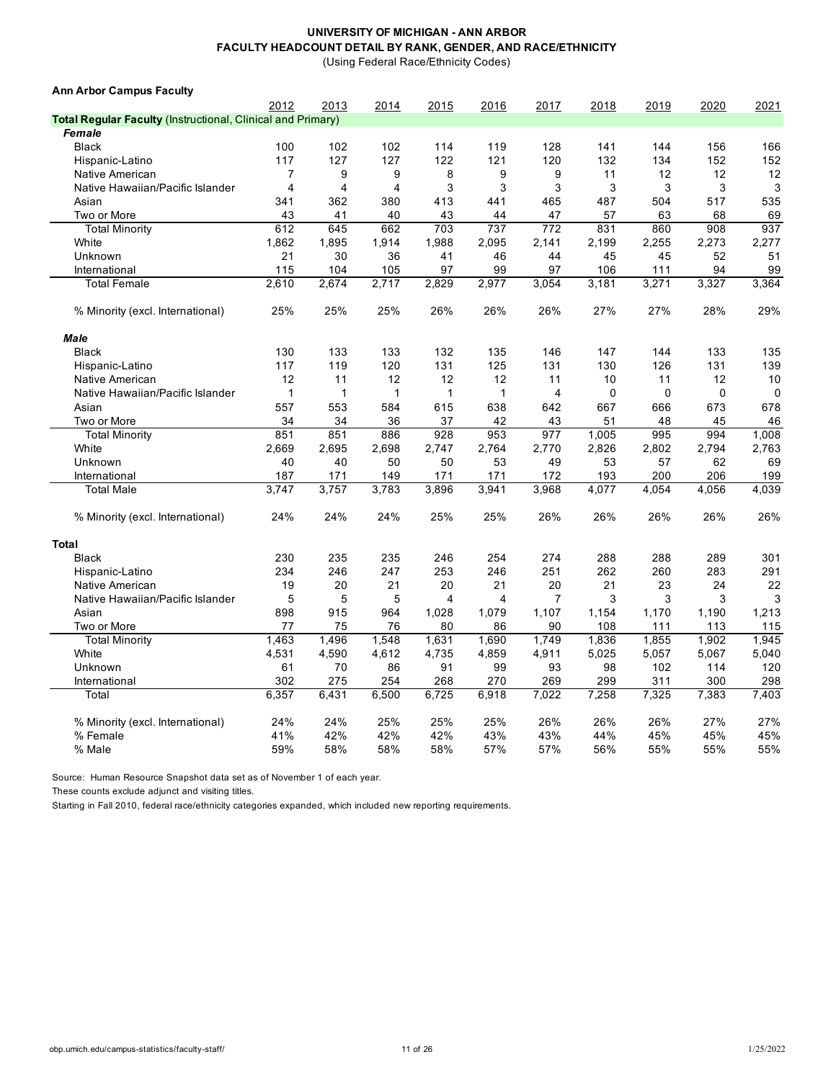(Using Federal Race/Ethnicity Codes)

| <b>Ann Arbor Campus Faculty</b>                                    |                |                |              |              |              |                |       |             |       |             |
|--------------------------------------------------------------------|----------------|----------------|--------------|--------------|--------------|----------------|-------|-------------|-------|-------------|
|                                                                    | 2012           | 2013           | 2014         | 2015         | 2016         | 2017           | 2018  | 2019        | 2020  | 2021        |
| <b>Total Regular Faculty (Instructional, Clinical and Primary)</b> |                |                |              |              |              |                |       |             |       |             |
| Female                                                             |                |                |              |              |              |                |       |             |       |             |
| <b>Black</b>                                                       | 100            | 102            | 102          | 114          | 119          | 128            | 141   | 144         | 156   | 166         |
| Hispanic-Latino                                                    | 117            | 127            | 127          | 122          | 121          | 120            | 132   | 134         | 152   | 152         |
| Native American                                                    | 7              | 9              | 9            | 8            | 9            | 9              | 11    | 12          | 12    | 12          |
| Native Hawaiian/Pacific Islander                                   | $\overline{4}$ | $\overline{4}$ | 4            | 3            | 3            | 3              | 3     | 3           | 3     | 3           |
| Asian                                                              | 341            | 362            | 380          | 413          | 441          | 465            | 487   | 504         | 517   | 535         |
| Two or More                                                        | 43             | 41             | 40           | 43           | 44           | 47             | 57    | 63          | 68    | 69          |
| <b>Total Minority</b>                                              | 612            | 645            | 662          | 703          | 737          | 772            | 831   | 860         | 908   | 937         |
| White                                                              | 1,862          | 1,895          | 1,914        | 1,988        | 2,095        | 2,141          | 2,199 | 2,255       | 2,273 | 2,277       |
| Unknown                                                            | 21             | 30             | 36           | 41           | 46           | 44             | 45    | 45          | 52    | 51          |
| International                                                      | 115            | 104            | 105          | 97           | 99           | 97             | 106   | 111         | 94    | 99          |
| <b>Total Female</b>                                                | 2,610          | 2,674          | 2,717        | 2,829        | 2,977        | 3,054          | 3,181 | 3,271       | 3,327 | 3,364       |
| % Minority (excl. International)                                   | 25%            | 25%            | 25%          | 26%          | 26%          | 26%            | 27%   | 27%         | 28%   | 29%         |
| Male                                                               |                |                |              |              |              |                |       |             |       |             |
| <b>Black</b>                                                       | 130            | 133            | 133          | 132          | 135          | 146            | 147   | 144         | 133   | 135         |
| Hispanic-Latino                                                    | 117            | 119            | 120          | 131          | 125          | 131            | 130   | 126         | 131   | 139         |
| Native American                                                    | 12             | 11             | 12           | 12           | 12           | 11             | 10    | 11          | 12    | 10          |
| Native Hawaiian/Pacific Islander                                   | $\mathbf{1}$   | $\mathbf{1}$   | $\mathbf{1}$ | $\mathbf{1}$ | $\mathbf{1}$ | $\overline{4}$ | 0     | $\mathbf 0$ | 0     | $\mathbf 0$ |
| Asian                                                              | 557            | 553            | 584          | 615          | 638          | 642            | 667   | 666         | 673   | 678         |
| Two or More                                                        | 34             | 34             | 36           | 37           | 42           | 43             | 51    | 48          | 45    | 46          |
| <b>Total Minority</b>                                              | 851            | 851            | 886          | 928          | 953          | 977            | 1,005 | 995         | 994   | 1,008       |
| White                                                              | 2,669          | 2,695          | 2,698        | 2,747        | 2,764        | 2,770          | 2,826 | 2,802       | 2,794 | 2,763       |
| Unknown                                                            | 40             | 40             | 50           | 50           | 53           | 49             | 53    | 57          | 62    | 69          |
| International                                                      | 187            | 171            | 149          | 171          | 171          | 172            | 193   | 200         | 206   | 199         |
| <b>Total Male</b>                                                  | 3.747          | 3,757          | 3,783        | 3,896        | 3,941        | 3,968          | 4,077 | 4,054       | 4,056 | 4,039       |
| % Minority (excl. International)                                   | 24%            | 24%            | 24%          | 25%          | 25%          | 26%            | 26%   | 26%         | 26%   | 26%         |
| <b>Total</b>                                                       |                |                |              |              |              |                |       |             |       |             |
| <b>Black</b>                                                       | 230            | 235            | 235          | 246          | 254          | 274            | 288   | 288         | 289   | 301         |
| Hispanic-Latino                                                    | 234            | 246            | 247          | 253          | 246          | 251            | 262   | 260         | 283   | 291         |
| Native American                                                    | 19             | 20             | 21           | 20           | 21           | 20             | 21    | 23          | 24    | 22          |
| Native Hawaiian/Pacific Islander                                   | 5              | 5              | 5            | 4            | 4            | $\overline{7}$ | 3     | 3           | 3     | 3           |
| Asian                                                              | 898            | 915            | 964          | 1,028        | 1,079        | 1,107          | 1,154 | 1,170       | 1,190 | 1,213       |
| Two or More                                                        | 77             | 75             | 76           | 80           | 86           | 90             | 108   | 111         | 113   | 115         |
| <b>Total Minority</b>                                              | 1,463          | 1,496          | 1,548        | 1,631        | 1,690        | 1,749          | 1,836 | 1,855       | 1,902 | 1,945       |
| White                                                              | 4,531          | 4,590          | 4,612        | 4,735        | 4,859        | 4,911          | 5,025 | 5,057       | 5,067 | 5,040       |
| Unknown                                                            | 61             | 70             | 86           | 91           | 99           | 93             | 98    | 102         | 114   | 120         |
| International                                                      | 302            | 275            | 254          | 268          | 270          | 269            | 299   | 311         | 300   | 298         |
| Total                                                              | 6,357          | 6.431          | 6,500        | 6,725        | 6,918        | 7,022          | 7,258 | 7,325       | 7.383 | 7.403       |
|                                                                    |                |                |              |              |              |                |       |             |       |             |
| % Minority (excl. International)                                   | 24%            | 24%            | 25%          | 25%          | 25%          | 26%            | 26%   | 26%         | 27%   | 27%         |
| % Female                                                           | 41%            | 42%            | 42%          | 42%          | 43%          | 43%            | 44%   | 45%         | 45%   | 45%         |
| % Male                                                             | 59%            | 58%            | 58%          | 58%          | 57%          | 57%            | 56%   | 55%         | 55%   | 55%         |

Source: Human Resource Snapshot data set as of November 1 of each year.

These counts exclude adjunct and visiting titles.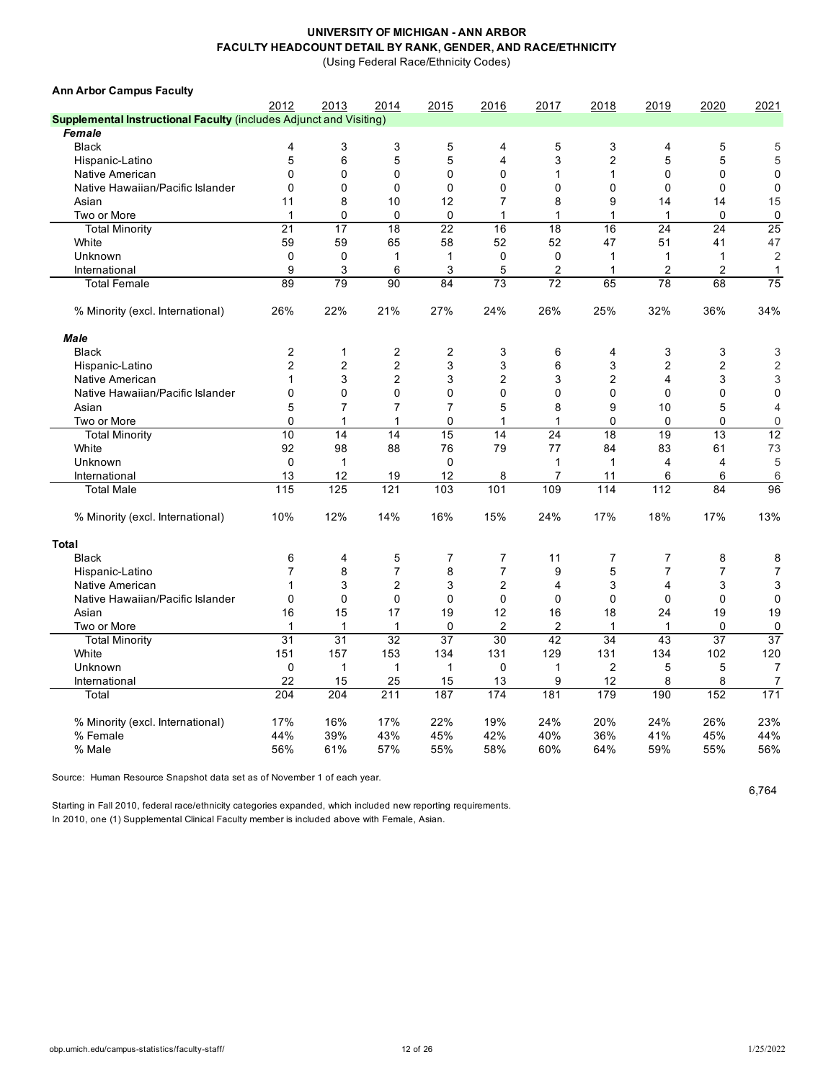(Using Federal Race/Ethnicity Codes)

| <b>Ann Arbor Campus Faculty</b>                                    |                |                |                         |                |                |                |                |                         |                |                |
|--------------------------------------------------------------------|----------------|----------------|-------------------------|----------------|----------------|----------------|----------------|-------------------------|----------------|----------------|
|                                                                    | 2012           | 2013           | 2014                    | 2015           | 2016           | 2017           | 2018           | 2019                    | 2020           | 2021           |
| Supplemental Instructional Faculty (includes Adjunct and Visiting) |                |                |                         |                |                |                |                |                         |                |                |
| <b>Female</b>                                                      |                |                |                         |                |                |                |                |                         |                |                |
| <b>Black</b>                                                       | 4              | 3              | 3                       | 5              | 4              | 5              | 3              | 4                       | 5              | 5              |
| Hispanic-Latino                                                    | 5              | 6              | 5                       | 5              | $\overline{4}$ | 3              | $\overline{c}$ | 5                       | 5              | 5              |
| Native American                                                    | $\mathbf{0}$   | $\Omega$       | $\Omega$                | $\Omega$       | $\mathbf 0$    | 1              | 1              | $\Omega$                | $\mathbf 0$    | $\mathbf 0$    |
| Native Hawaiian/Pacific Islander                                   | $\mathbf{0}$   | $\mathbf 0$    | $\mathbf 0$             | $\mathbf 0$    | $\mathbf 0$    | $\mathbf{0}$   | 0              | $\mathbf 0$             | $\mathbf 0$    | $\mathbf 0$    |
| Asian                                                              | 11             | 8              | 10                      | 12             | $\overline{7}$ | 8              | 9              | 14                      | 14             | 15             |
| Two or More                                                        | $\mathbf{1}$   | $\mathbf 0$    | $\mathbf 0$             | $\Omega$       | $\mathbf{1}$   | $\mathbf{1}$   | 1              | 1                       | $\mathbf 0$    | 0              |
| <b>Total Minority</b>                                              | 21             | 17             | 18                      | 22             | 16             | 18             | 16             | 24                      | 24             | 25             |
| White                                                              | 59             | 59             | 65                      | 58             | 52             | 52             | 47             | 51                      | 41             | 47             |
| Unknown                                                            | $\mathbf 0$    | $\mathbf 0$    | 1                       | 1              | $\mathbf 0$    | $\mathbf 0$    | 1              | 1                       | 1              | $\overline{2}$ |
| International                                                      | 9              | 3              | 6                       | 3              | 5              | 2              | $\mathbf{1}$   | $\overline{c}$          | $\overline{2}$ | $\mathbf{1}$   |
| <b>Total Female</b>                                                | 89             | 79             | 90                      | 84             | 73             | 72             | 65             | 78                      | 68             | 75             |
| % Minority (excl. International)                                   | 26%            | 22%            | 21%                     | 27%            | 24%            | 26%            | 25%            | 32%                     | 36%            | 34%            |
| <b>Male</b>                                                        |                |                |                         |                |                |                |                |                         |                |                |
| <b>Black</b>                                                       | 2              | $\mathbf{1}$   | $\overline{\mathbf{c}}$ | 2              | 3              | 6              | 4              | 3                       | 3              | 3              |
| Hispanic-Latino                                                    | $\overline{2}$ | $\overline{c}$ | $\overline{2}$          | 3              | 3              | 6              | 3              | $\overline{2}$          | $\overline{2}$ | $\overline{2}$ |
| Native American                                                    | 1              | 3              | $\overline{2}$          | 3              | $\overline{2}$ | 3              | $\overline{2}$ | $\overline{\mathbf{4}}$ | 3              | 3              |
| Native Hawaiian/Pacific Islander                                   | $\Omega$       | 0              | 0                       | 0              | $\mathbf 0$    | $\Omega$       | 0              | 0                       | $\mathbf 0$    | $\mathbf 0$    |
| Asian                                                              | 5              | $\overline{7}$ | $\overline{7}$          | $\overline{7}$ | 5              | 8              | 9              | 10                      | 5              | $\overline{4}$ |
| Two or More                                                        | $\Omega$       | 1              | 1                       | $\Omega$       | 1              | 1              | $\mathbf{0}$   | $\mathbf{0}$            | $\mathbf{0}$   | $\overline{0}$ |
| <b>Total Minority</b>                                              | 10             | 14             | 14                      | 15             | 14             | 24             | 18             | 19                      | 13             | 12             |
| White                                                              | 92             | 98             | 88                      | 76             | 79             | 77             | 84             | 83                      | 61             | 73             |
| Unknown                                                            | $\Omega$       | $\mathbf{1}$   |                         | $\mathbf{0}$   |                | 1              | $\mathbf{1}$   | $\overline{4}$          | $\overline{4}$ | 5              |
| International                                                      | 13             | 12             | 19                      | 12             | 8              | $\overline{7}$ | 11             | 6                       | 6              | 6              |
| <b>Total Male</b>                                                  | 115            | 125            | 121                     | 103            | 101            | 109            | 114            | 112                     | 84             | 96             |
|                                                                    |                |                |                         |                |                |                |                |                         |                |                |
| % Minority (excl. International)                                   | 10%            | 12%            | 14%                     | 16%            | 15%            | 24%            | 17%            | 18%                     | 17%            | 13%            |
| <b>Total</b>                                                       |                |                |                         |                |                |                |                |                         |                |                |
| <b>Black</b>                                                       | 6              | 4              | 5                       | 7              | $\overline{7}$ | 11             | $\overline{7}$ | 7                       | 8              | 8              |
| Hispanic-Latino                                                    | $\overline{7}$ | 8              | 7                       | 8              | $\overline{7}$ | 9              | 5              | $\overline{7}$          | $\overline{7}$ | $\overline{7}$ |
| Native American                                                    | 1              | 3              | $\overline{2}$          | 3              | $\overline{c}$ | 4              | 3              | 4                       | 3              | 3              |
| Native Hawaiian/Pacific Islander                                   | 0              | $\mathbf 0$    | 0                       | $\mathbf 0$    | $\mathbf 0$    | $\mathbf 0$    | 0              | 0                       | $\mathbf 0$    | $\mathbf 0$    |
| Asian                                                              | 16             | 15             | 17                      | 19             | 12             | 16             | 18             | 24                      | 19             | 19             |
| Two or More                                                        | 1              | $\mathbf{1}$   | 1                       | 0              | $\overline{2}$ | 2              | 1              | 1                       | 0              | 0              |
| <b>Total Minority</b>                                              | 31             | 31             | 32                      | 37             | 30             | 42             | 34             | 43                      | 37             | 37             |
| White                                                              | 151            | 157            | 153                     | 134            | 131            | 129            | 131            | 134                     | 102            | 120            |
| Unknown                                                            | $\mathbf 0$    | $\mathbf{1}$   | $\mathbf{1}$            | $\mathbf{1}$   | $\mathbf 0$    | 1              | $\overline{c}$ | 5                       | 5              | $\overline{7}$ |
| International                                                      | 22             | 15             | 25                      | 15             | 13             | 9              | 12             | 8                       | 8              | 7              |
| Total                                                              | 204            | 204            | 211                     | 187            | 174            | 181            | 179            | 190                     | 152            | 171            |
| % Minority (excl. International)                                   | 17%            | 16%            | 17%                     | 22%            | 19%            | 24%            | 20%            | 24%                     | 26%            | 23%            |
| % Female                                                           | 44%            | 39%            | 43%                     | 45%            | 42%            | 40%            | 36%            | 41%                     | 45%            | 44%            |
| % Male                                                             | 56%            | 61%            | 57%                     | 55%            | 58%            | 60%            | 64%            | 59%                     | 55%            | 56%            |
|                                                                    |                |                |                         |                |                |                |                |                         |                |                |

Source: Human Resource Snapshot data set as of November 1 of each year.

6,764

Starting in Fall 2010, federal race/ethnicity categories expanded, which included new reporting requirements. In 2010, one (1) Supplemental Clinical Faculty member is included above with Female, Asian.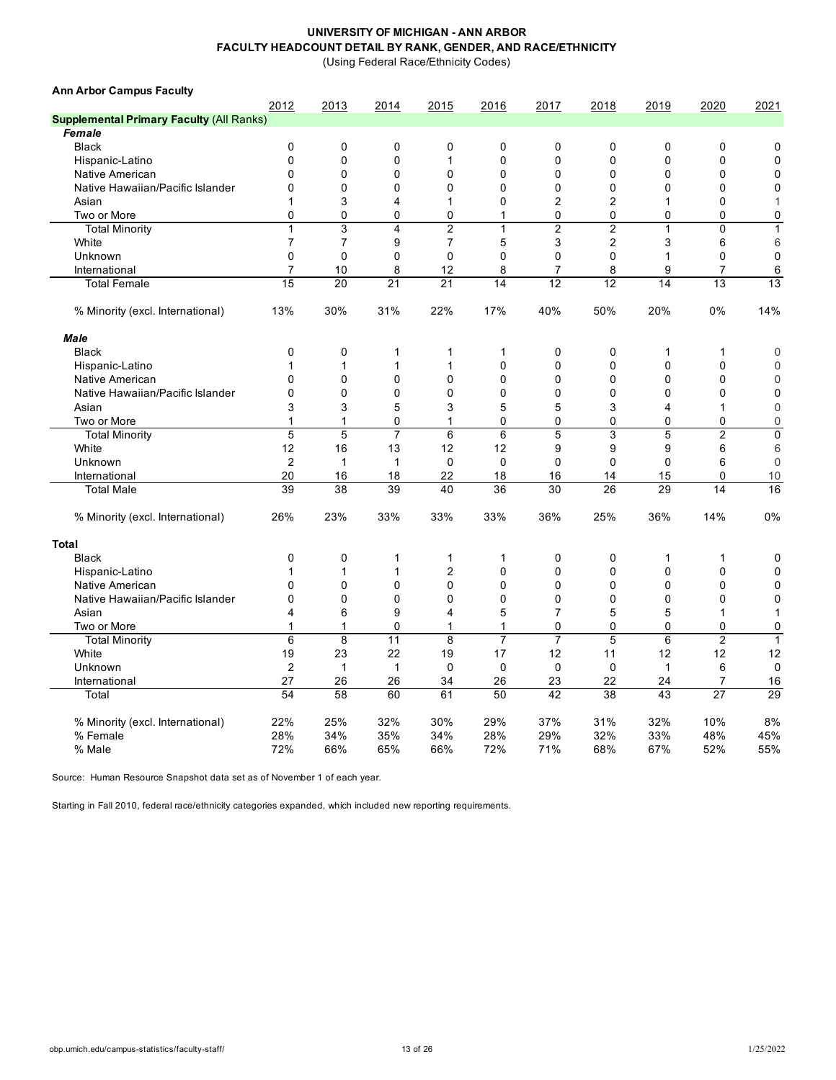(Using Federal Race/Ethnicity Codes)

| <b>Ann Arbor Campus Faculty</b>                 |                |                |                |                |              |                |                |              |                |                |
|-------------------------------------------------|----------------|----------------|----------------|----------------|--------------|----------------|----------------|--------------|----------------|----------------|
|                                                 | 2012           | 2013           | 2014           | 2015           | 2016         | 2017           | 2018           | 2019         | 2020           | 2021           |
| <b>Supplemental Primary Faculty (All Ranks)</b> |                |                |                |                |              |                |                |              |                |                |
| <b>Female</b>                                   |                |                |                |                |              |                |                |              |                |                |
| <b>Black</b>                                    | $\mathbf 0$    | 0              | 0              | $\pmb{0}$      | 0            | $\mathbf 0$    | $\mathbf 0$    | $\mathbf 0$  | 0              | 0              |
| Hispanic-Latino                                 | $\mathbf 0$    | $\mathbf 0$    | $\Omega$       | $\mathbf{1}$   | 0            | $\mathbf 0$    | $\Omega$       | $\mathbf{0}$ | 0              | $\mathbf 0$    |
| Native American                                 | $\Omega$       | $\mathbf 0$    | 0              | $\mathbf 0$    | 0            | $\mathbf 0$    | $\mathbf 0$    | $\mathbf{0}$ | 0              | $\mathbf 0$    |
| Native Hawaiian/Pacific Islander                | $\mathbf 0$    | $\mathbf 0$    | $\mathbf 0$    | $\pmb{0}$      | 0            | $\mathbf 0$    | $\mathbf 0$    | $\mathbf 0$  | 0              | $\mathbf 0$    |
| Asian                                           | 1              | 3              | 4              | 1              | 0            | $\overline{2}$ | $\overline{2}$ | 1            | 0              | 1              |
| Two or More                                     | 0              | 0              | 0              | 0              | 1            | $\mathbf 0$    | $\mathbf 0$    | 0            | 0              | $\pmb{0}$      |
| <b>Total Minority</b>                           | $\mathbf{1}$   | 3              | 4              | $\overline{2}$ | $\mathbf{1}$ | $\overline{2}$ | $\overline{c}$ | 1            | 0              | $\mathbf{1}$   |
| White                                           | $\overline{7}$ | $\overline{7}$ | 9              | $\overline{7}$ | 5            | 3              | $\overline{2}$ | 3            | 6              | 6              |
| Unknown                                         | $\mathbf 0$    | $\mathbf 0$    | 0              | $\mathbf 0$    | 0            | $\mathbf 0$    | $\mathbf 0$    | 1            | 0              | $\mathbf 0$    |
| International                                   | $\overline{7}$ | 10             | 8              | 12             | 8            | $\overline{7}$ | 8              | 9            | $\overline{7}$ | 6              |
| <b>Total Female</b>                             | 15             | 20             | 21             | 21             | 14           | 12             | 12             | 14           | 13             | 13             |
| % Minority (excl. International)                | 13%            | 30%            | 31%            | 22%            | 17%          | 40%            | 50%            | 20%          | 0%             | 14%            |
| <b>Male</b>                                     |                |                |                |                |              |                |                |              |                |                |
| <b>Black</b>                                    | 0              | $\mathbf 0$    | 1              | $\mathbf{1}$   | 1            | $\mathbf 0$    | $\mathbf 0$    | 1            | $\mathbf{1}$   | $\mathbf 0$    |
| Hispanic-Latino                                 | 1              | $\mathbf 1$    | 1              | $\mathbf{1}$   | 0            | $\mathbf{0}$   | $\mathbf{0}$   | $\mathbf{0}$ | 0              | $\Omega$       |
| Native American                                 | $\mathbf{0}$   | $\mathbf 0$    | $\mathbf{0}$   | $\mathbf 0$    | 0            | $\mathbf 0$    | $\mathbf{0}$   | 0            | 0              | $\mathbf 0$    |
| Native Hawaiian/Pacific Islander                | $\Omega$       | $\mathbf 0$    | $\Omega$       | $\Omega$       | 0            | $\mathbf 0$    | $\Omega$       | $\Omega$     | 0              | $\mathbf 0$    |
| Asian                                           | 3              | 3              | 5              | 3              | 5            | 5              | 3              | 4            | $\mathbf{1}$   | $\overline{0}$ |
| Two or More                                     | 1              | 1              | $\mathbf 0$    | 1              | 0            | $\mathbf 0$    | 0              | $\mathbf{0}$ | 0              | $\mathbf 0$    |
| <b>Total Minority</b>                           | 5              | 5              | $\overline{7}$ | $\,6$          | 6            | 5              | 3              | 5            | $\overline{c}$ | $\pmb{0}$      |
| White                                           | 12             | 16             | 13             | 12             | 12           | 9              | 9              | 9            | 6              | 6              |
| Unknown                                         | $\overline{2}$ | $\mathbf{1}$   | $\mathbf{1}$   | $\mathbf 0$    | $\pmb{0}$    | $\mathbf 0$    | $\mathbf 0$    | $\mathbf 0$  | 6              | $\overline{0}$ |
| International                                   | 20             | 16             | 18             | 22             | 18           | 16             | 14             | 15           | 0              | 10             |
| <b>Total Male</b>                               | 39             | 38             | 39             | 40             | 36           | 30             | 26             | 29           | 14             | 16             |
| % Minority (excl. International)                | 26%            | 23%            | 33%            | 33%            | 33%          | 36%            | 25%            | 36%          | 14%            | 0%             |
| Total                                           |                |                |                |                |              |                |                |              |                |                |
| <b>Black</b>                                    | $\mathbf 0$    | 0              | $\mathbf{1}$   | $\mathbf{1}$   | $\mathbf{1}$ | 0              | 0              | 1            | $\mathbf{1}$   | 0              |
| Hispanic-Latino                                 | 1              | $\mathbf{1}$   | 1              | $\overline{2}$ | 0            | $\Omega$       | $\Omega$       | $\Omega$     | 0              | 0              |
| Native American                                 | $\mathbf{0}$   | $\mathbf 0$    | 0              | $\mathbf 0$    | 0            | $\mathbf 0$    | $\Omega$       | $\mathbf 0$  | 0              | $\mathbf 0$    |
| Native Hawaiian/Pacific Islander                | 0              | 0              | 0              | $\mathbf 0$    | 0            | $\mathbf 0$    | $\mathbf 0$    | $\mathbf 0$  | 0              | $\mathbf 0$    |
| Asian                                           | 4              | 6              | 9              | 4              | 5            | $\overline{7}$ | 5              | 5            | $\mathbf{1}$   | $\mathbf{1}$   |
| Two or More                                     | $\mathbf{1}$   | $\mathbf{1}$   | $\Omega$       | $\mathbf{1}$   | $\mathbf{1}$ | $\mathbf 0$    | $\mathbf 0$    | $\Omega$     | 0              | $\mathbf 0$    |
| <b>Total Minority</b>                           | 6              | 8              | 11             | 8              | 7            | $\overline{7}$ | 5              | 6            | $\overline{2}$ | $\mathbf{1}$   |
| White                                           | 19             | 23             | 22             | 19             | 17           | 12             | 11             | 12           | 12             | 12             |
| Unknown                                         | $\overline{2}$ | $\mathbf{1}$   | $\mathbf{1}$   | $\mathbf 0$    | $\mathbf 0$  | $\mathbf 0$    | $\mathbf 0$    | $\mathbf{1}$ | 6              | $\mathbf 0$    |
| International                                   | 27             | 26             | 26             | 34             | 26           | 23             | 22             | 24           | $\overline{7}$ | 16             |
| Total                                           | 54             | 58             | 60             | 61             | 50           | 42             | 38             | 43           | 27             | 29             |
| % Minority (excl. International)                | 22%            | 25%            | 32%            | 30%            | 29%          | 37%            | 31%            | 32%          | 10%            | 8%             |
| % Female                                        | 28%            | 34%            | 35%            | 34%            | 28%          | 29%            | 32%            | 33%          | 48%            | 45%            |
| % Male                                          | 72%            | 66%            | 65%            | 66%            | 72%          | 71%            | 68%            | 67%          | 52%            | 55%            |
|                                                 |                |                |                |                |              |                |                |              |                |                |

Source: Human Resource Snapshot data set as of November 1 of each year.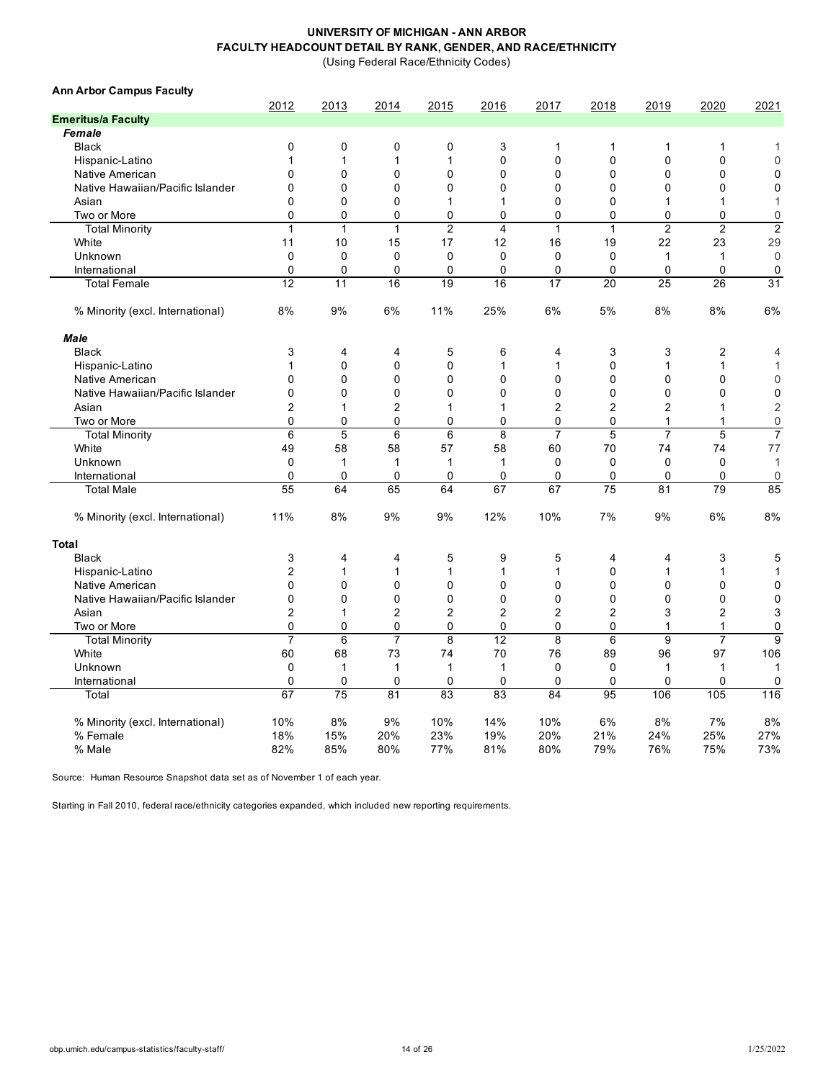(Using Federal Race/Ethnicity Codes)

| <b>Ann Arbor Campus Faculty</b>  | 2012           |              |                |                |                |                |                |                | 2020           | 2021             |
|----------------------------------|----------------|--------------|----------------|----------------|----------------|----------------|----------------|----------------|----------------|------------------|
| <b>Emeritus/a Faculty</b>        |                | 2013         | 2014           | 2015           | 2016           | 2017           | 2018           | 2019           |                |                  |
| Female                           |                |              |                |                |                |                |                |                |                |                  |
| <b>Black</b>                     | 0              | $\mathbf 0$  | 0              | 0              | 3              | 1              | $\mathbf{1}$   | $\mathbf{1}$   | 1              | 1                |
| Hispanic-Latino                  | 1              | 1            | $\mathbf{1}$   | 1              | 0              | 0              | $\mathbf 0$    | $\mathbf{0}$   | 0              | $\mathbf 0$      |
| Native American                  | 0              | $\mathbf 0$  | $\mathbf 0$    | 0              | 0              | 0              | $\mathbf 0$    | $\mathbf 0$    | 0              | $\mathbf 0$      |
| Native Hawaiian/Pacific Islander | 0              | $\mathbf 0$  | $\mathbf 0$    | 0              | 0              | 0              | $\mathbf 0$    | $\mathbf 0$    | 0              | $\mathbf 0$      |
| Asian                            | 0              | $\Omega$     | $\mathbf 0$    | 1              | 1              | 0              | $\mathbf 0$    | 1              | 1              | 1                |
| Two or More                      | 0              | $\mathbf 0$  | $\mathbf 0$    | 0              | 0              | 0              | $\mathbf 0$    | $\mathbf 0$    | 0              | $\boldsymbol{0}$ |
| <b>Total Minority</b>            | $\mathbf{1}$   | $\mathbf{1}$ | $\mathbf{1}$   | $\overline{c}$ | $\overline{4}$ | 1              | $\mathbf{1}$   | $\overline{2}$ | $\overline{2}$ | $\overline{2}$   |
| White                            | 11             | 10           | 15             | 17             | 12             | 16             | 19             | 22             | 23             | 29               |
| Unknown                          | 0              | $\mathbf 0$  | 0              | 0              | $\mathbf 0$    | 0              | 0              | $\mathbf{1}$   | 1              | $\mathbf 0$      |
| International                    | 0              | $\mathbf 0$  | $\mathbf 0$    | 0              | 0              | 0              | 0              | 0              | 0              | 0                |
| <b>Total Female</b>              | 12             | 11           | 16             | 19             | 16             | 17             | 20             | 25             | 26             | 31               |
|                                  |                |              |                |                |                |                |                |                |                |                  |
| % Minority (excl. International) | 8%             | 9%           | 6%             | 11%            | 25%            | 6%             | 5%             | 8%             | 8%             | 6%               |
| <b>Male</b>                      |                |              |                |                |                |                |                |                |                |                  |
| <b>Black</b>                     | 3              | 4            | 4              | 5              | 6              | 4              | 3              | 3              | 2              | 4                |
| Hispanic-Latino                  | 1              | $\mathbf{0}$ | $\mathbf{0}$   | $\mathbf{0}$   | 1              | 1              | $\mathbf{0}$   | 1              | 1              | $\mathbf{1}$     |
| Native American                  | $\mathbf{0}$   | $\Omega$     | $\mathbf{0}$   | $\mathbf 0$    | $\Omega$       | 0              | $\mathbf{0}$   | $\mathbf{0}$   | 0              | $\mathbf 0$      |
| Native Hawaiian/Pacific Islander | 0              | $\Omega$     | $\Omega$       | 0              | 0              | 0              | $\mathbf 0$    | $\Omega$       | 0              | $\mathbf 0$      |
| Asian                            | 2              | 1            | $\overline{2}$ | 1              | 1              | $\overline{2}$ | $\overline{2}$ | 2              | 1              | $\overline{c}$   |
| Two or More                      | 0              | $\mathbf 0$  | $\mathbf 0$    | 0              | 0              | 0              | $\mathbf 0$    | 1              | 1              | $\mathbf 0$      |
| <b>Total Minority</b>            | $\,6$          | 5            | 6              | 6              | 8              | $\overline{7}$ | 5              | $\overline{7}$ | 5              | $\overline{7}$   |
| White                            | 49             | 58           | 58             | 57             | 58             | 60             | 70             | 74             | 74             | 77               |
| Unknown                          | 0              | 1            | 1              | 1              | 1              | $\mathbf 0$    | 0              | $\mathbf 0$    | 0              | $\mathbf{1}$     |
| International                    | $\mathbf 0$    | 0            | $\mathbf 0$    | 0              | $\Omega$       | 0              | $\mathbf 0$    | $\Omega$       | 0              | $\overline{0}$   |
| <b>Total Male</b>                | 55             | 64           | 65             | 64             | 67             | 67             | 75             | 81             | 79             | 85               |
| % Minority (excl. International) | 11%            | 8%           | 9%             | 9%             | 12%            | 10%            | 7%             | 9%             | 6%             | 8%               |
| <b>Total</b>                     |                |              |                |                |                |                |                |                |                |                  |
| <b>Black</b>                     | 3              | 4            | 4              | 5              | 9              | 5              | $\overline{4}$ | 4              | 3              | 5                |
| Hispanic-Latino                  | $\overline{2}$ | $\mathbf{1}$ | $\mathbf{1}$   | $\mathbf{1}$   | 1              | 1              | $\Omega$       | $\mathbf{1}$   | $\mathbf{1}$   | $\mathbf{1}$     |
| Native American                  | 0              | $\mathbf 0$  | $\mathbf 0$    | 0              | $\mathbf 0$    | 0              | $\mathbf 0$    | $\mathbf 0$    | 0              | $\mathbf 0$      |
| Native Hawaiian/Pacific Islander | 0              | $\mathbf 0$  | $\mathbf 0$    | 0              | $\mathbf 0$    | 0              | $\mathbf 0$    | $\mathbf 0$    | 0              | $\mathbf 0$      |
| Asian                            | $\overline{2}$ | 1            | $\overline{2}$ | 2              | $\overline{2}$ | 2              | $\overline{2}$ | 3              | 2              | 3                |
| Two or More                      | $\mathbf 0$    | $\mathbf 0$  | $\mathbf 0$    | 0              | $\mathbf 0$    | 0              | $\mathbf 0$    | $\mathbf{1}$   | $\mathbf{1}$   | $\mathbf 0$      |
| <b>Total Minority</b>            | $\overline{7}$ | 6            | $\overline{7}$ | 8              | 12             | 8              | 6              | 9              | $\overline{7}$ | 9                |
| White                            | 60             | 68           | 73             | 74             | 70             | 76             | 89             | 96             | 97             | 106              |
| Unknown                          | $\pmb{0}$      | $\mathbf{1}$ | $\mathbf{1}$   | $\mathbf{1}$   | $\mathbf{1}$   | $\mathbf 0$    | $\mathbf 0$    | $\mathbf{1}$   | $\mathbf{1}$   | $\mathbf{1}$     |
| International                    | $\mathbf 0$    | $\mathbf 0$  | $\mathbf 0$    | 0              | $\mathbf 0$    | 0              | $\mathbf 0$    | $\Omega$       | 0              | $\mathbf 0$      |
| Total                            | 67             | 75           | 81             | 83             | 83             | 84             | 95             | 106            | 105            | 116              |
|                                  |                |              |                |                |                |                |                |                |                |                  |
| % Minority (excl. International) | 10%            | 8%           | 9%             | 10%            | 14%            | 10%            | 6%             | 8%             | 7%             | 8%               |
| % Female                         | 18%            | 15%          | 20%            | 23%            | 19%            | 20%            | 21%            | 24%            | 25%            | 27%              |
| % Male                           | 82%            | 85%          | 80%            | 77%            | 81%            | 80%            | 79%            | 76%            | 75%            | 73%              |

Source: Human Resource Snapshot data set as of November 1 of each year.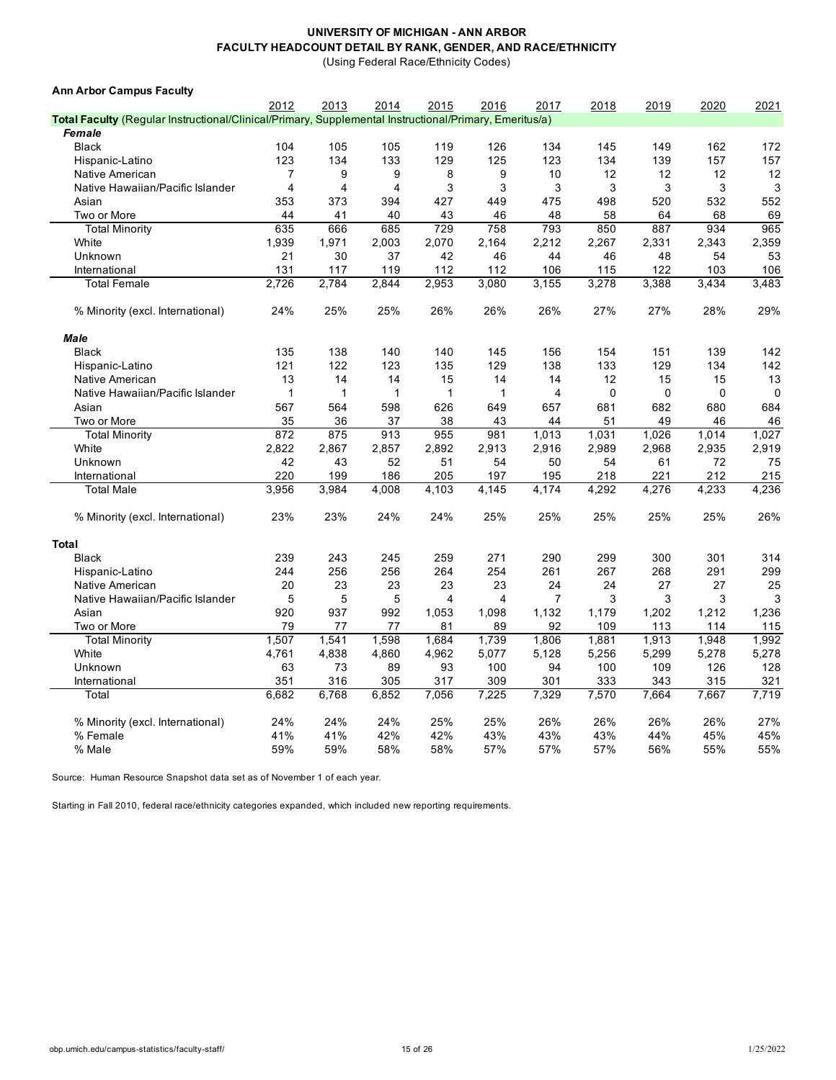(Using Federal Race/Ethnicity Codes)

| <b>Ann Arbor Campus Faculty</b>                                                                        |              |                |       |             |       |                         |             |             |       |             |
|--------------------------------------------------------------------------------------------------------|--------------|----------------|-------|-------------|-------|-------------------------|-------------|-------------|-------|-------------|
|                                                                                                        | 2012         | 2013           | 2014  | 2015        | 2016  | 2017                    | 2018        | 2019        | 2020  | 2021        |
| Total Faculty (Regular Instructional/Clinical/Primary, Supplemental Instructional/Primary, Emeritus/a) |              |                |       |             |       |                         |             |             |       |             |
| Female                                                                                                 |              |                |       |             |       |                         |             |             |       |             |
| <b>Black</b>                                                                                           | 104          | 105            | 105   | 119         | 126   | 134                     | 145         | 149         | 162   | 172         |
| Hispanic-Latino                                                                                        | 123          | 134            | 133   | 129         | 125   | 123                     | 134         | 139         | 157   | 157         |
| Native American                                                                                        | 7            | 9              | 9     | 8           | 9     | 10                      | 12          | 12          | 12    | 12          |
| Native Hawaiian/Pacific Islander                                                                       | 4            | $\overline{4}$ | 4     | 3           | 3     | 3                       | 3           | 3           | 3     | 3           |
| Asian                                                                                                  | 353          | 373            | 394   | 427         | 449   | 475                     | 498         | 520         | 532   | 552         |
| Two or More                                                                                            | 44           | 41             | 40    | 43          | 46    | 48                      | 58          | 64          | 68    | 69          |
| <b>Total Minority</b>                                                                                  | 635          | 666            | 685   | 729         | 758   | 793                     | 850         | 887         | 934   | 965         |
| White                                                                                                  | 1,939        | 1,971          | 2,003 | 2,070       | 2,164 | 2,212                   | 2,267       | 2,331       | 2,343 | 2,359       |
| Unknown                                                                                                | 21           | 30             | 37    | 42          | 46    | 44                      | 46          | 48          | 54    | 53          |
| International                                                                                          | 131          | 117            | 119   | 112         | 112   | 106                     | 115         | 122         | 103   | 106         |
| <b>Total Female</b>                                                                                    | 2,726        | 2.784          | 2,844 | 2,953       | 3,080 | 3,155                   | 3,278       | 3,388       | 3,434 | 3,483       |
| % Minority (excl. International)                                                                       | 24%          | 25%            | 25%   | 26%         | 26%   | 26%                     | 27%         | 27%         | 28%   | 29%         |
| Male                                                                                                   |              |                |       |             |       |                         |             |             |       |             |
| <b>Black</b>                                                                                           | 135          | 138            | 140   | 140         | 145   | 156                     | 154         | 151         | 139   | 142         |
| Hispanic-Latino                                                                                        | 121          | 122            | 123   | 135         | 129   | 138                     | 133         | 129         | 134   | 142         |
| Native American                                                                                        | 13           | 14             | 14    | 15          | 14    | 14                      | 12          | 15          | 15    | 13          |
| Native Hawaiian/Pacific Islander                                                                       | $\mathbf{1}$ | $\mathbf{1}$   | 1     | $\mathbf 1$ | 1     | $\overline{\mathbf{4}}$ | $\mathbf 0$ | $\mathbf 0$ | 0     | $\mathbf 0$ |
| Asian                                                                                                  | 567          | 564            | 598   | 626         | 649   | 657                     | 681         | 682         | 680   | 684         |
| Two or More                                                                                            | 35           | 36             | 37    | 38          | 43    | 44                      | 51          | 49          | 46    | 46          |
| <b>Total Minority</b>                                                                                  | 872          | 875            | 913   | 955         | 981   | 1,013                   | 1,031       | 1,026       | 1,014 | 1,027       |
| White                                                                                                  | 2,822        | 2,867          | 2,857 | 2,892       | 2,913 | 2,916                   | 2,989       | 2,968       | 2,935 | 2,919       |
| Unknown                                                                                                | 42           | 43             | 52    | 51          | 54    | 50                      | 54          | 61          | 72    | 75          |
| International                                                                                          | 220          | 199            | 186   | 205         | 197   | 195                     | 218         | 221         | 212   | 215         |
| <b>Total Male</b>                                                                                      | 3,956        | 3,984          | 4,008 | 4,103       | 4,145 | 4,174                   | 4,292       | 4,276       | 4,233 | 4,236       |
| % Minority (excl. International)                                                                       | 23%          | 23%            | 24%   | 24%         | 25%   | 25%                     | 25%         | 25%         | 25%   | 26%         |
| <b>Total</b>                                                                                           |              |                |       |             |       |                         |             |             |       |             |
| <b>Black</b>                                                                                           | 239          | 243            | 245   | 259         | 271   | 290                     | 299         | 300         | 301   | 314         |
| Hispanic-Latino                                                                                        | 244          | 256            | 256   | 264         | 254   | 261                     | 267         | 268         | 291   | 299         |
| Native American                                                                                        | 20           | 23             | 23    | 23          | 23    | 24                      | 24          | 27          | 27    | 25          |
| Native Hawaiian/Pacific Islander                                                                       | 5            | 5              | 5     | 4           | 4     | 7                       | 3           | 3           | 3     | 3           |
| Asian                                                                                                  | 920          | 937            | 992   | 1,053       | 1,098 | 1,132                   | 1,179       | 1,202       | 1,212 | 1,236       |
| Two or More                                                                                            | 79           | 77             | 77    | 81          | 89    | 92                      | 109         | 113         | 114   | 115         |
| <b>Total Minority</b>                                                                                  | 1,507        | 1,541          | 1,598 | 1,684       | 1,739 | 1,806                   | 1,881       | 1,913       | 1,948 | 1,992       |
| White                                                                                                  | 4,761        | 4,838          | 4,860 | 4,962       | 5,077 | 5,128                   | 5,256       | 5,299       | 5,278 | 5,278       |
| Unknown                                                                                                | 63           | 73             | 89    | 93          | 100   | 94                      | 100         | 109         | 126   | 128         |
| International                                                                                          | 351          | 316            | 305   | 317         | 309   | 301                     | 333         | 343         | 315   | 321         |
| Total                                                                                                  | 6.682        | 6,768          | 6,852 | 7.056       | 7,225 | 7,329                   | 7,570       | 7.664       | 7.667 | 7,719       |
|                                                                                                        |              |                |       |             |       |                         |             |             |       |             |
| % Minority (excl. International)                                                                       | 24%          | 24%            | 24%   | 25%         | 25%   | 26%                     | 26%         | 26%         | 26%   | 27%         |
| % Female                                                                                               | 41%          | 41%            | 42%   | 42%         | 43%   | 43%                     | 43%         | 44%         | 45%   | 45%         |
| % Male                                                                                                 | 59%          | 59%            | 58%   | 58%         | 57%   | 57%                     | 57%         | 56%         | 55%   | 55%         |

Source: Human Resource Snapshot data set as of November 1 of each year.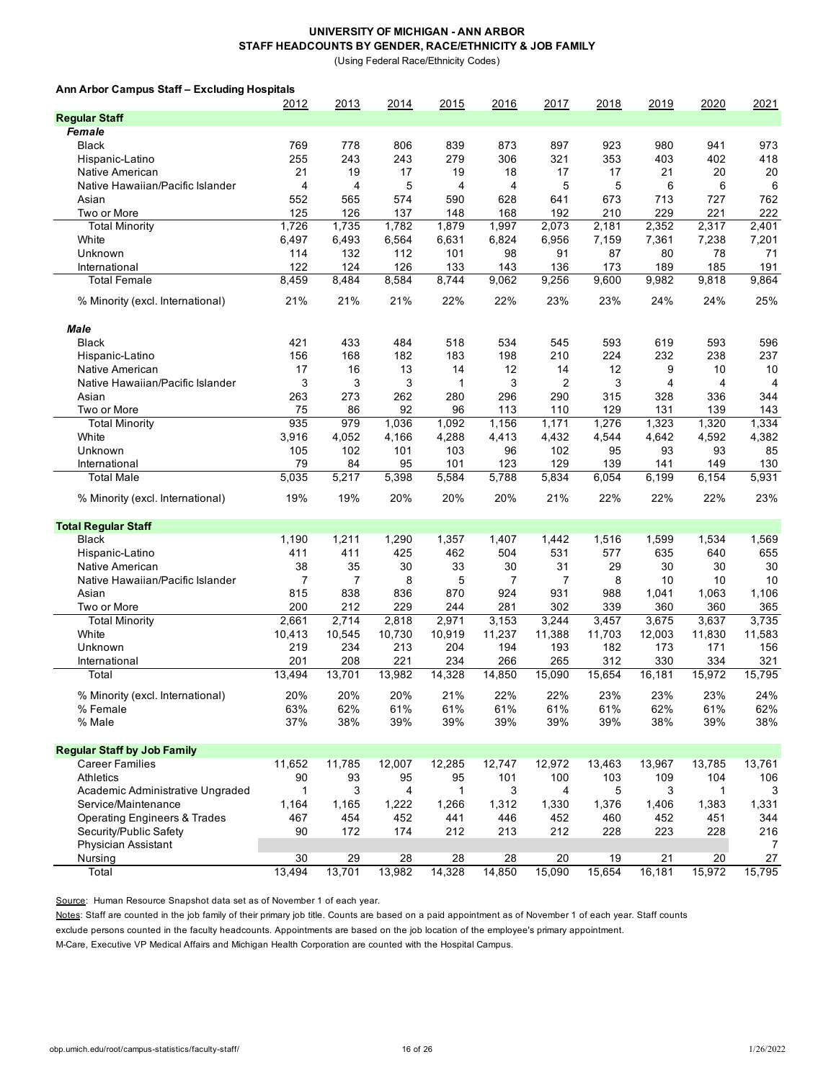(Using Federal Race/Ethnicity Codes)

### **Ann Arbor Campus Staff – Excluding Hospitals**

|                                         | 2012   | 2013               | 2014   | 2015         | 2016   | 2017           | 2018   | 2019   | 2020   | 2021   |
|-----------------------------------------|--------|--------------------|--------|--------------|--------|----------------|--------|--------|--------|--------|
| <b>Regular Staff</b>                    |        |                    |        |              |        |                |        |        |        |        |
| Female                                  |        |                    |        |              |        |                |        |        |        |        |
| Black                                   | 769    | 778                | 806    | 839          | 873    | 897            | 923    | 980    | 941    | 973    |
| Hispanic-Latino                         | 255    | 243                | 243    | 279          | 306    | 321            | 353    | 403    | 402    | 418    |
| Native American                         | 21     | 19                 | 17     | 19           | 18     | 17             | 17     | 21     | 20     | 20     |
| Native Hawaiian/Pacific Islander        | 4      | 4                  | 5      | 4            | 4      | 5              | 5      | 6      | 6      | 6      |
| Asian                                   | 552    | 565                | 574    | 590          | 628    | 641            | 673    | 713    | 727    | 762    |
| Two or More                             | 125    | 126                | 137    | 148          | 168    | 192            | 210    | 229    | 221    | 222    |
| <b>Total Minority</b>                   | 1,726  | 1,735              | 1,782  | 1,879        | 1,997  | 2,073          | 2,181  | 2,352  | 2,317  | 2,401  |
| White                                   | 6,497  | 6,493              | 6,564  | 6,631        | 6,824  | 6,956          | 7,159  | 7,361  | 7,238  | 7,201  |
| Unknown                                 | 114    | 132                | 112    | 101          | 98     | 91             | 87     | 80     | 78     | 71     |
| International                           | 122    | 124                | 126    | 133          | 143    | 136            | 173    | 189    | 185    | 191    |
| <b>Total Female</b>                     | 8,459  | 8,484              | 8,584  | 8,744        | 9,062  | 9,256          | 9,600  | 9,982  | 9,818  | 9,864  |
|                                         |        |                    |        |              |        |                |        |        |        |        |
| % Minority (excl. International)        | 21%    | 21%                | 21%    | 22%          | 22%    | 23%            | 23%    | 24%    | 24%    | 25%    |
|                                         |        |                    |        |              |        |                |        |        |        |        |
| <b>Male</b><br><b>Black</b>             | 421    | 433                | 484    | 518          | 534    | 545            | 593    | 619    | 593    | 596    |
|                                         |        |                    |        |              |        |                |        |        |        |        |
| Hispanic-Latino                         | 156    | 168                | 182    | 183          | 198    | 210            | 224    | 232    | 238    | 237    |
| Native American                         | 17     | 16                 | 13     | 14           | 12     | 14             | 12     | 9      | 10     | 10     |
| Native Hawaiian/Pacific Islander        | 3      | 3                  | 3      | $\mathbf{1}$ | 3      | $\overline{2}$ | 3      | 4      | 4      | 4      |
| Asian                                   | 263    | 273                | 262    | 280          | 296    | 290            | 315    | 328    | 336    | 344    |
| Two or More                             | 75     | 86                 | 92     | 96           | 113    | 110            | 129    | 131    | 139    | 143    |
| <b>Total Minority</b>                   | 935    | 979                | 1,036  | 1,092        | 1,156  | 1,171          | 1,276  | 1,323  | 1,320  | 1,334  |
| White                                   | 3,916  | 4,052              | 4,166  | 4,288        | 4,413  | 4,432          | 4,544  | 4,642  | 4,592  | 4,382  |
| Unknown                                 | 105    | 102                | 101    | 103          | 96     | 102            | 95     | 93     | 93     | 85     |
| International                           | 79     | 84                 | 95     | 101          | 123    | 129            | 139    | 141    | 149    | 130    |
| <b>Total Male</b>                       | 5,035  | $\overline{5,217}$ | 5,398  | 5,584        | 5,788  | 5,834          | 6,054  | 6,199  | 6,154  | 5,931  |
| % Minority (excl. International)        | 19%    | 19%                | 20%    | 20%          | 20%    | 21%            | 22%    | 22%    | 22%    | 23%    |
| <b>Total Regular Staff</b>              |        |                    |        |              |        |                |        |        |        |        |
| <b>Black</b>                            | 1,190  | 1,211              | 1,290  | 1,357        | 1,407  | 1,442          | 1,516  | 1,599  | 1,534  | 1,569  |
| Hispanic-Latino                         | 411    | 411                | 425    | 462          | 504    | 531            | 577    | 635    | 640    | 655    |
| Native American                         | 38     | 35                 | 30     | 33           | 30     | 31             | 29     | 30     | 30     | 30     |
| Native Hawaiian/Pacific Islander        | 7      | $\overline{7}$     | 8      | 5            | 7      | 7              | 8      | 10     | 10     | 10     |
| Asian                                   | 815    | 838                | 836    | 870          | 924    | 931            | 988    | 1,041  | 1,063  | 1,106  |
| Two or More                             | 200    | 212                | 229    | 244          | 281    | 302            | 339    | 360    | 360    | 365    |
| <b>Total Minority</b>                   | 2,661  | 2,714              | 2,818  | 2,971        | 3,153  | 3,244          | 3,457  | 3,675  | 3,637  | 3,735  |
| White                                   | 10,413 | 10,545             | 10,730 | 10,919       | 11,237 | 11,388         | 11,703 | 12,003 | 11,830 | 11,583 |
| Unknown                                 | 219    | 234                | 213    | 204          | 194    | 193            | 182    | 173    | 171    | 156    |
|                                         | 201    |                    | 221    | 234          |        | 265            | 312    |        | 334    |        |
| International                           |        | 208                |        |              | 266    |                |        | 330    |        | 321    |
| Total                                   | 13,494 | 13,701             | 13,982 | 14,328       | 14,850 | 15,090         | 15,654 | 16,181 | 15,972 | 15,795 |
| % Minority (excl. International)        | 20%    | 20%                | 20%    | 21%          | 22%    | 22%            | 23%    | 23%    | 23%    | 24%    |
| % Female                                | 63%    | 62%                | 61%    | 61%          | 61%    | 61%            | 61%    | 62%    | 61%    | 62%    |
| % Male                                  | 37%    | 38%                | 39%    | 39%          | 39%    | 39%            | 39%    | 38%    | 39%    | 38%    |
|                                         |        |                    |        |              |        |                |        |        |        |        |
| <b>Regular Staff by Job Family</b>      |        |                    |        |              |        |                |        |        |        |        |
| <b>Career Families</b>                  | 11,652 | 11,785             | 12,007 | 12,285       | 12,747 | 12,972         | 13,463 | 13,967 | 13,785 | 13,761 |
| Athletics                               | 90     | 93                 | 95     | 95           | 101    | 100            | 103    | 109    | 104    | 106    |
| Academic Administrative Ungraded        | 1      | 3                  | 4      | 1            | 3      | 4              | 5      | 3      | 1      | 3      |
| Service/Maintenance                     | 1,164  | 1,165              | 1,222  | 1,266        | 1,312  | 1,330          | 1,376  | 1,406  | 1,383  | 1,331  |
| <b>Operating Engineers &amp; Trades</b> | 467    | 454                | 452    | 441          | 446    | 452            | 460    | 452    | 451    | 344    |
| Security/Public Safety                  | 90     | 172                | 174    | 212          | 213    | 212            | 228    | 223    | 228    | 216    |
| <b>Physician Assistant</b>              |        |                    |        |              |        |                |        |        |        | 7      |
| Nursing                                 | 30     | 29                 | 28     | 28           | 28     | 20             | 19     | 21     | 20     | 27     |
| Total                                   | 13,494 | 13,701             | 13,982 | 14,328       | 14,850 | 15,090         | 15,654 | 16,181 | 15,972 | 15,795 |

Source: Human Resource Snapshot data set as of November 1 of each year.

Notes: Staff are counted in the job family of their primary job title. Counts are based on a paid appointment as of November 1 of each year. Staff counts

exclude persons counted in the faculty headcounts. Appointments are based on the job location of the employee's primary appointment.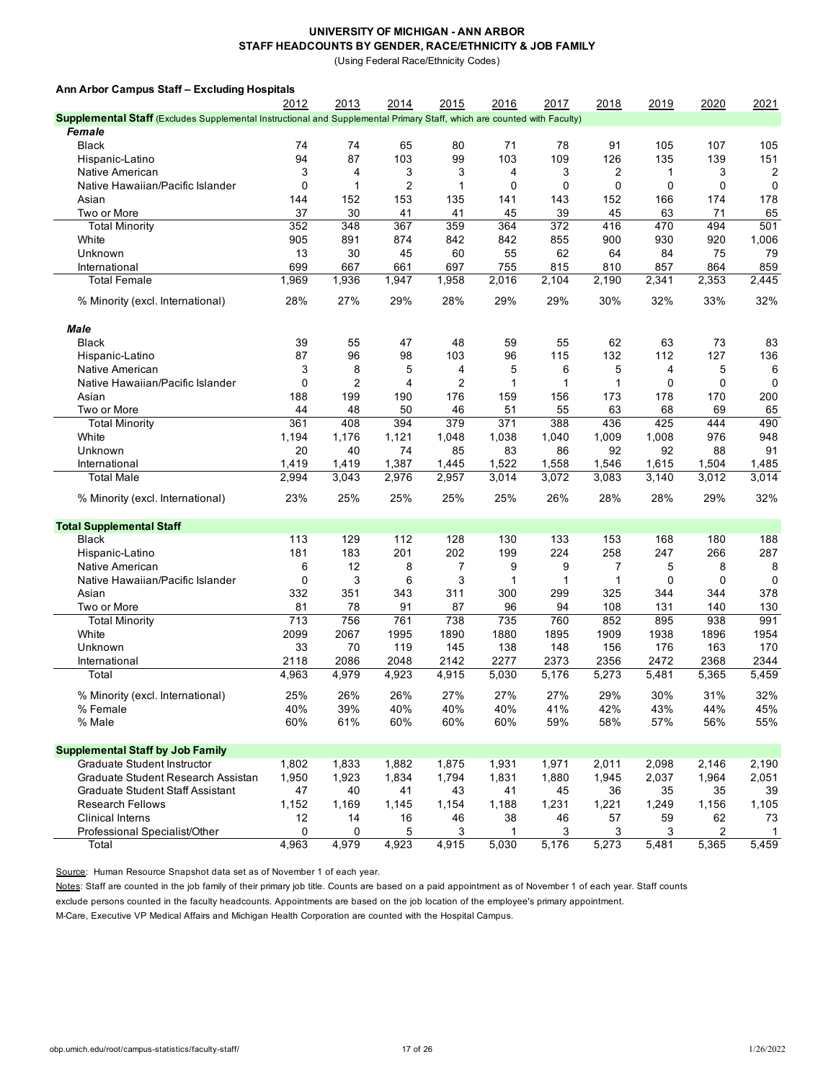(Using Federal Race/Ethnicity Codes)

| Ann Arbor Campus Staff - Excluding Hospitals                                                                                   |               |                |                |                |               |               |               |               |               |               |
|--------------------------------------------------------------------------------------------------------------------------------|---------------|----------------|----------------|----------------|---------------|---------------|---------------|---------------|---------------|---------------|
|                                                                                                                                | 2012          | 2013           | 2014           | 2015           | 2016          | 2017          | 2018          | 2019          | 2020          | 2021          |
| <b>Supplemental Staff</b> (Excludes Supplemental Instructional and Supplemental Primary Staff, which are counted with Faculty) |               |                |                |                |               |               |               |               |               |               |
| <b>Female</b>                                                                                                                  |               |                |                |                |               |               |               |               |               |               |
| <b>Black</b>                                                                                                                   | 74            | 74             | 65             | 80             | 71            | 78            | 91            | 105           | 107           | 105           |
| Hispanic-Latino                                                                                                                | 94            | 87             | 103            | 99             | 103           | 109           | 126           | 135           | 139           | 151           |
| Native American                                                                                                                | 3             | 4              | 3              | 3              | 4             | 3             | 2             | $\mathbf{1}$  | 3             | 2             |
| Native Hawaiian/Pacific Islander                                                                                               | 0             | 1              | $\overline{2}$ | 1              | 0             | 0             | 0             | $\mathbf 0$   | 0             | 0             |
| Asian                                                                                                                          | 144           | 152            | 153            | 135            | 141           | 143           | 152           | 166           | 174           | 178           |
| Two or More                                                                                                                    | 37            | 30             | 41             | 41             | 45            | 39            | 45            | 63            | 71            | 65            |
| <b>Total Minority</b>                                                                                                          | 352           | 348            | 367            | 359            | 364           | 372           | 416           | 470           | 494           | 501           |
| White                                                                                                                          | 905           | 891            | 874            | 842            | 842           | 855           | 900           | 930           | 920           | 1,006         |
| Unknown                                                                                                                        | 13            |                |                |                |               | 62            |               |               | 75            |               |
|                                                                                                                                |               | 30             | 45             | 60             | 55            |               | 64            | 84            |               | 79            |
| International                                                                                                                  | 699           | 667            | 661            | 697            | 755           | 815           | 810           | 857           | 864           | 859           |
| <b>Total Female</b>                                                                                                            | 1,969         | 1,936          | 1,947          | 1,958          | 2,016         | 2,104         | 2,190         | 2,341         | 2,353         | 2,445         |
| % Minority (excl. International)                                                                                               | 28%           | 27%            | 29%            | 28%            | 29%           | 29%           | 30%           | 32%           | 33%           | 32%           |
| Male                                                                                                                           |               |                |                |                |               |               |               |               |               |               |
| <b>Black</b>                                                                                                                   | 39            | 55             | 47             | 48             | 59            | 55            | 62            | 63            | 73            | 83            |
| Hispanic-Latino                                                                                                                | 87            | 96             | 98             | 103            | 96            | 115           | 132           | 112           | 127           | 136           |
| Native American                                                                                                                | 3             | 8              | 5              | 4              | 5             | 6             | 5             | 4             | 5             | 6             |
| Native Hawaiian/Pacific Islander                                                                                               | 0             | $\overline{2}$ | 4              | 2              | $\mathbf{1}$  | 1             | 1             | $\mathbf 0$   | 0             | $\Omega$      |
| Asian                                                                                                                          | 188           | 199            | 190            | 176            | 159           | 156           | 173           | 178           | 170           | 200           |
| Two or More                                                                                                                    | 44            | 48             | 50             | 46             | 51            | 55            | 63            | 68            | 69            | 65            |
| <b>Total Minority</b>                                                                                                          | 361           | 408            | 394            | 379            | 371           | 388           | 436           | 425           | 444           | 490           |
| White                                                                                                                          | 1,194         | 1,176          | 1,121          | 1,048          | 1,038         | 1,040         | 1,009         | 1,008         | 976           | 948           |
| Unknown                                                                                                                        | 20            | 40             | 74             | 85             | 83            | 86            | 92            | 92            | 88            | 91            |
| International                                                                                                                  | 1,419         | 1,419          | 1,387          | 1,445          | 1,522         | 1,558         | 1,546         | 1,615         | 1,504         | 1,485         |
| <b>Total Male</b>                                                                                                              | 2,994         | 3,043          | 2,976          | 2,957          | 3,014         | 3,072         | 3,083         | 3,140         | 3,012         | 3,014         |
|                                                                                                                                |               |                |                |                |               |               |               |               |               |               |
| % Minority (excl. International)                                                                                               | 23%           | 25%            | 25%            | 25%            | 25%           | 26%           | 28%           | 28%           | 29%           | 32%           |
| <b>Total Supplemental Staff</b>                                                                                                |               |                |                |                |               |               |               |               |               |               |
| <b>Black</b>                                                                                                                   | 113           | 129            | 112            | 128            | 130           | 133           | 153           | 168           | 180           | 188           |
| Hispanic-Latino                                                                                                                | 181           | 183            | 201            | 202            | 199           | 224           | 258           | 247           | 266           | 287           |
| Native American                                                                                                                | 6             | 12             | 8              | $\overline{7}$ | 9             | 9             | 7             | 5             | 8             | 8             |
| Native Hawaiian/Pacific Islander                                                                                               | 0             | 3              | 6              | 3              | $\mathbf{1}$  | 1             | 1             | $\mathbf 0$   | $\mathbf 0$   | $\mathbf 0$   |
| Asian                                                                                                                          | 332           | 351            | 343            | 311            | 300           | 299           | 325           | 344           | 344           | 378           |
| Two or More                                                                                                                    | 81            | 78             | 91             | 87             | 96            | 94            | 108           | 131           | 140           | 130           |
| <b>Total Minority</b>                                                                                                          | 713           | 756            | 761            | 738            | 735           | 760           | 852           | 895           | 938           | 991           |
| White                                                                                                                          | 2099          | 2067           | 1995           | 1890           | 1880          | 1895          | 1909          | 1938          | 1896          | 1954          |
| Unknown                                                                                                                        | 33            | 70             | 119            | 145            | 138           | 148           | 156           | 176           | 163           | 170           |
|                                                                                                                                |               |                |                |                |               |               |               |               |               |               |
| International<br>Total                                                                                                         | 2118<br>4,963 | 2086<br>4,979  | 2048<br>4,923  | 2142<br>4,915  | 2277<br>5,030 | 2373<br>5,176 | 2356<br>5,273 | 2472<br>5,481 | 2368<br>5,365 | 2344<br>5,459 |
| % Minority (excl. International)                                                                                               | 25%           | 26%            | 26%            | 27%            | 27%           | 27%           | 29%           | 30%           | 31%           | 32%           |
| % Female                                                                                                                       | 40%           | 39%            | 40%            | 40%            | 40%           | 41%           | 42%           | 43%           | 44%           | 45%           |
| % Male                                                                                                                         | 60%           | 61%            | 60%            | 60%            | 60%           | 59%           | 58%           | 57%           | 56%           | 55%           |
|                                                                                                                                |               |                |                |                |               |               |               |               |               |               |
| <b>Supplemental Staff by Job Family</b>                                                                                        |               |                |                |                |               |               |               |               |               |               |
| <b>Graduate Student Instructor</b>                                                                                             | 1,802         | 1,833          | 1,882          | 1,875          | 1,931         | 1,971         | 2,011         | 2,098         | 2,146         | 2,190         |
| Graduate Student Research Assistan                                                                                             | 1,950         | 1,923          | 1,834          | 1,794          | 1,831         | 1,880         | 1,945         | 2,037         | 1,964         | 2,051         |
| Graduate Student Staff Assistant                                                                                               | 47            | 40             | 41             | 43             | 41            | 45            | 36            | 35            | 35            | 39            |
| <b>Research Fellows</b>                                                                                                        | 1,152         | 1,169          | 1,145          | 1,154          | 1,188         | 1,231         | 1,221         | 1,249         | 1,156         | 1,105         |
| <b>Clinical Interns</b>                                                                                                        | 12            | 14             | 16             | 46             | 38            | 46            | 57            | 59            | 62            | 73            |
| Professional Specialist/Other                                                                                                  | 0             | 0              | 5              | 3              | 1             | 3             | 3             | 3             | 2             | 1             |
| Total                                                                                                                          | 4,963         | 4,979          | 4,923          | 4,915          | 5,030         | 5,176         | 5,273         | 5,481         | 5,365         | 5,459         |

Source: Human Resource Snapshot data set as of November 1 of each year.

Notes: Staff are counted in the job family of their primary job title. Counts are based on a paid appointment as of November 1 of each year. Staff counts

exclude persons counted in the faculty headcounts. Appointments are based on the job location of the employee's primary appointment.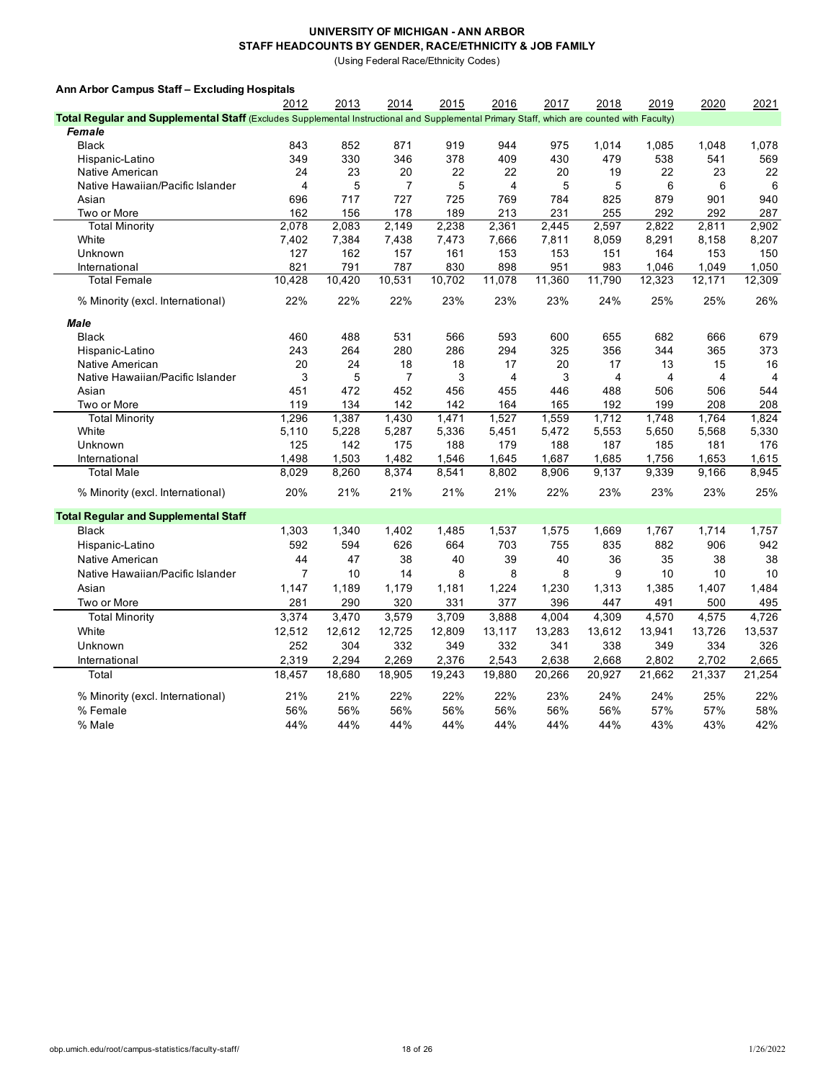(Using Federal Race/Ethnicity Codes)

| Ann Arbor Campus Staff - Excluding Hospitals                                                                                              |                |        |                |        |        |        |        |        |        |        |
|-------------------------------------------------------------------------------------------------------------------------------------------|----------------|--------|----------------|--------|--------|--------|--------|--------|--------|--------|
|                                                                                                                                           | 2012           | 2013   | 2014           | 2015   | 2016   | 2017   | 2018   | 2019   | 2020   | 2021   |
| Total Regular and Supplemental Staff (Excludes Supplemental Instructional and Supplemental Primary Staff, which are counted with Faculty) |                |        |                |        |        |        |        |        |        |        |
| Female                                                                                                                                    |                |        |                |        |        |        |        |        |        |        |
| <b>Black</b>                                                                                                                              | 843            | 852    | 871            | 919    | 944    | 975    | 1,014  | 1,085  | 1,048  | 1,078  |
| Hispanic-Latino                                                                                                                           | 349            | 330    | 346            | 378    | 409    | 430    | 479    | 538    | 541    | 569    |
| Native American                                                                                                                           | 24             | 23     | 20             | 22     | 22     | 20     | 19     | 22     | 23     | 22     |
| Native Hawaiian/Pacific Islander                                                                                                          | $\overline{4}$ | 5      | $\overline{7}$ | 5      | 4      | 5      | 5      | 6      | 6      | 6      |
| Asian                                                                                                                                     | 696            | 717    | 727            | 725    | 769    | 784    | 825    | 879    | 901    | 940    |
| Two or More                                                                                                                               | 162            | 156    | 178            | 189    | 213    | 231    | 255    | 292    | 292    | 287    |
| <b>Total Minority</b>                                                                                                                     | 2,078          | 2,083  | 2,149          | 2,238  | 2,361  | 2,445  | 2,597  | 2,822  | 2,811  | 2,902  |
| White                                                                                                                                     | 7,402          | 7,384  | 7,438          | 7,473  | 7,666  | 7,811  | 8,059  | 8,291  | 8,158  | 8,207  |
| Unknown                                                                                                                                   | 127            | 162    | 157            | 161    | 153    | 153    | 151    | 164    | 153    | 150    |
| International                                                                                                                             | 821            | 791    | 787            | 830    | 898    | 951    | 983    | 1,046  | 1,049  | 1,050  |
| <b>Total Female</b>                                                                                                                       | 10,428         | 10,420 | 10,531         | 10,702 | 11,078 | 11,360 | 11,790 | 12,323 | 12,171 | 12,309 |
| % Minority (excl. International)                                                                                                          | 22%            | 22%    | 22%            | 23%    | 23%    | 23%    | 24%    | 25%    | 25%    | 26%    |
| <b>Male</b>                                                                                                                               |                |        |                |        |        |        |        |        |        |        |
| <b>Black</b>                                                                                                                              | 460            | 488    | 531            | 566    | 593    | 600    | 655    | 682    | 666    | 679    |
| Hispanic-Latino                                                                                                                           | 243            | 264    | 280            | 286    | 294    | 325    | 356    | 344    | 365    | 373    |
| Native American                                                                                                                           | 20             | 24     | 18             | 18     | 17     | 20     | 17     | 13     | 15     | 16     |
| Native Hawaiian/Pacific Islander                                                                                                          | 3              | 5      | $\overline{7}$ | 3      | 4      | 3      | 4      | 4      | 4      | 4      |
| Asian                                                                                                                                     | 451            | 472    | 452            | 456    | 455    | 446    | 488    | 506    | 506    | 544    |
| Two or More                                                                                                                               | 119            | 134    | 142            | 142    | 164    | 165    | 192    | 199    | 208    | 208    |
| <b>Total Minority</b>                                                                                                                     | 1,296          | 1,387  | 1,430          | 1,471  | 1,527  | 1,559  | 1,712  | 1,748  | 1,764  | 1,824  |
| White                                                                                                                                     | 5,110          | 5,228  | 5,287          | 5,336  | 5,451  | 5,472  | 5,553  | 5,650  | 5,568  | 5,330  |
| Unknown                                                                                                                                   | 125            | 142    | 175            | 188    | 179    | 188    | 187    | 185    | 181    | 176    |
| International                                                                                                                             | 1.498          | 1,503  | 1,482          | 1,546  | 1,645  | 1,687  | 1,685  | 1,756  | 1,653  | 1,615  |
| <b>Total Male</b>                                                                                                                         | 8,029          | 8,260  | 8,374          | 8,541  | 8,802  | 8,906  | 9,137  | 9,339  | 9,166  | 8,945  |
| % Minority (excl. International)                                                                                                          | 20%            | 21%    | 21%            | 21%    | 21%    | 22%    | 23%    | 23%    | 23%    | 25%    |
| <b>Total Regular and Supplemental Staff</b>                                                                                               |                |        |                |        |        |        |        |        |        |        |
| <b>Black</b>                                                                                                                              | 1,303          | 1,340  | 1,402          | 1,485  | 1,537  | 1,575  | 1,669  | 1,767  | 1,714  | 1,757  |
| Hispanic-Latino                                                                                                                           | 592            | 594    | 626            | 664    | 703    | 755    | 835    | 882    | 906    | 942    |
| Native American                                                                                                                           | 44             | 47     | 38             | 40     | 39     | 40     | 36     | 35     | 38     | 38     |
| Native Hawaiian/Pacific Islander                                                                                                          | $\overline{7}$ | 10     | 14             | 8      | 8      | 8      | 9      | 10     | 10     | 10     |
| Asian                                                                                                                                     | 1,147          | 1,189  | 1,179          | 1,181  | 1,224  | 1,230  | 1,313  | 1,385  | 1,407  | 1,484  |
| Two or More                                                                                                                               | 281            | 290    | 320            | 331    | 377    | 396    | 447    | 491    | 500    | 495    |
| <b>Total Minority</b>                                                                                                                     | 3,374          | 3,470  | 3,579          | 3,709  | 3,888  | 4,004  | 4,309  | 4,570  | 4,575  | 4,726  |
| White                                                                                                                                     | 12,512         | 12,612 | 12,725         | 12,809 | 13,117 | 13,283 | 13,612 | 13,941 | 13,726 | 13,537 |
|                                                                                                                                           |                |        |                |        |        |        |        |        |        |        |
| Unknown                                                                                                                                   | 252            | 304    | 332            | 349    | 332    | 341    | 338    | 349    | 334    | 326    |
| International                                                                                                                             | 2,319          | 2,294  | 2,269          | 2,376  | 2,543  | 2,638  | 2,668  | 2,802  | 2,702  | 2,665  |
| Total                                                                                                                                     | 18,457         | 18,680 | 18,905         | 19,243 | 19,880 | 20,266 | 20,927 | 21,662 | 21,337 | 21,254 |
| % Minority (excl. International)                                                                                                          | 21%            | 21%    | 22%            | 22%    | 22%    | 23%    | 24%    | 24%    | 25%    | 22%    |
| % Female                                                                                                                                  | 56%            | 56%    | 56%            | 56%    | 56%    | 56%    | 56%    | 57%    | 57%    | 58%    |
| % Male                                                                                                                                    | 44%            | 44%    | 44%            | 44%    | 44%    | 44%    | 44%    | 43%    | 43%    | 42%    |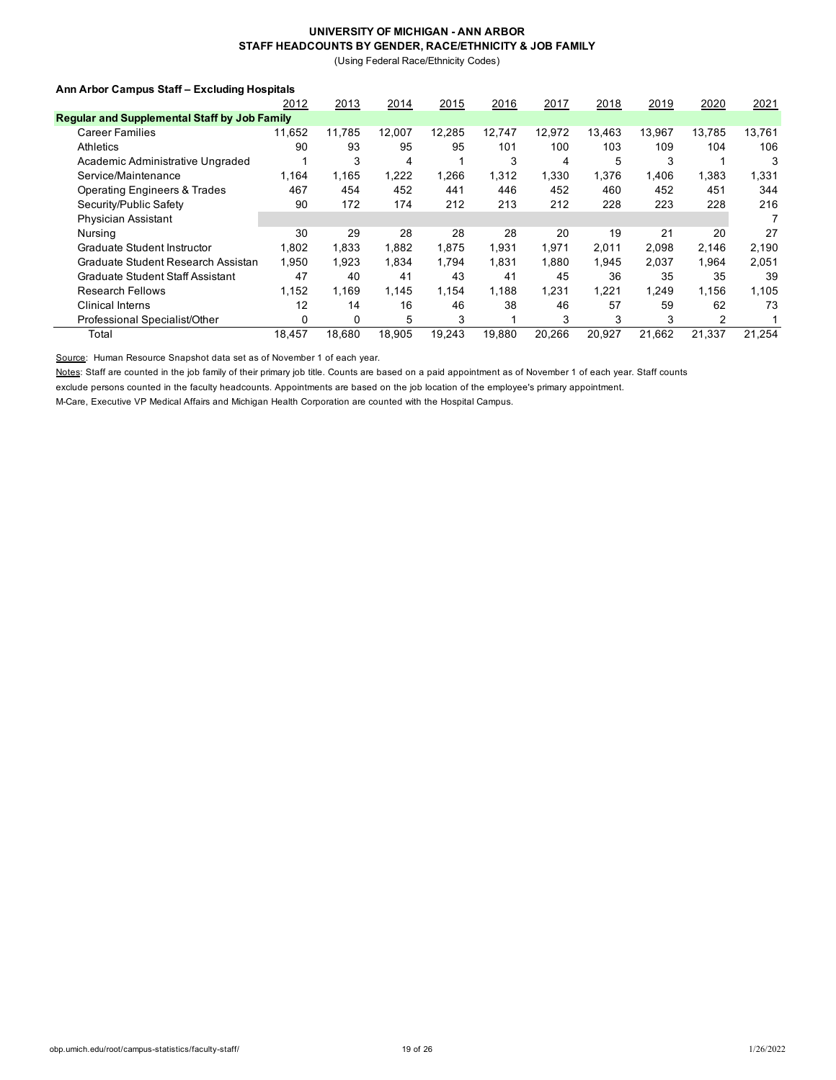(Using Federal Race/Ethnicity Codes)

### **Ann Arbor Campus Staff – Excluding Hospitals**

|                                                     | 2012   | 2013   | 2014   | 2015   | 2016   | 2017   | 2018   | 2019   | 2020   | 2021   |
|-----------------------------------------------------|--------|--------|--------|--------|--------|--------|--------|--------|--------|--------|
| <b>Regular and Supplemental Staff by Job Family</b> |        |        |        |        |        |        |        |        |        |        |
| <b>Career Families</b>                              | 11.652 | 11,785 | 12,007 | 12,285 | 12.747 | 12,972 | 13,463 | 13,967 | 13.785 | 13,761 |
| Athletics                                           | 90     | 93     | 95     | 95     | 101    | 100    | 103    | 109    | 104    | 106    |
| Academic Administrative Ungraded                    |        | 3      | 4      |        | 3      | 4      | 5      | 3      |        | 3      |
| Service/Maintenance                                 | 1.164  | 1.165  | 1,222  | 1.266  | 1.312  | 1.330  | 1.376  | 1,406  | 1.383  | 1,331  |
| <b>Operating Engineers &amp; Trades</b>             | 467    | 454    | 452    | 441    | 446    | 452    | 460    | 452    | 451    | 344    |
| Security/Public Safety                              | 90     | 172    | 174    | 212    | 213    | 212    | 228    | 223    | 228    | 216    |
| <b>Physician Assistant</b>                          |        |        |        |        |        |        |        |        |        |        |
| Nursing                                             | 30     | 29     | 28     | 28     | 28     | 20     | 19     | 21     | 20     | 27     |
| Graduate Student Instructor                         | 1.802  | 1.833  | 1.882  | 1.875  | 1.931  | 1.971  | 2,011  | 2.098  | 2.146  | 2,190  |
| Graduate Student Research Assistan                  | 1.950  | 1.923  | 1.834  | 1.794  | 1.831  | 1.880  | 1.945  | 2.037  | 1.964  | 2,051  |
| Graduate Student Staff Assistant                    | 47     | 40     | 41     | 43     | 41     | 45     | 36     | 35     | 35     | 39     |
| <b>Research Fellows</b>                             | 1.152  | 1.169  | 1.145  | 1.154  | 1.188  | 1,231  | 1.221  | 1.249  | 1.156  | 1,105  |
| <b>Clinical Interns</b>                             | 12     | 14     | 16     | 46     | 38     | 46     | 57     | 59     | 62     | 73     |
| Professional Specialist/Other                       | 0      | 0      | 5      | 3      |        | 3      | 3      | 3      | 2      |        |
| Total                                               | 18.457 | 18.680 | 18,905 | 19,243 | 19.880 | 20.266 | 20,927 | 21.662 | 21.337 | 21,254 |

Source: Human Resource Snapshot data set as of November 1 of each year.

Notes: Staff are counted in the job family of their primary job title. Counts are based on a paid appointment as of November 1 of each year. Staff counts

exclude persons counted in the faculty headcounts. Appointments are based on the job location of the employee's primary appointment.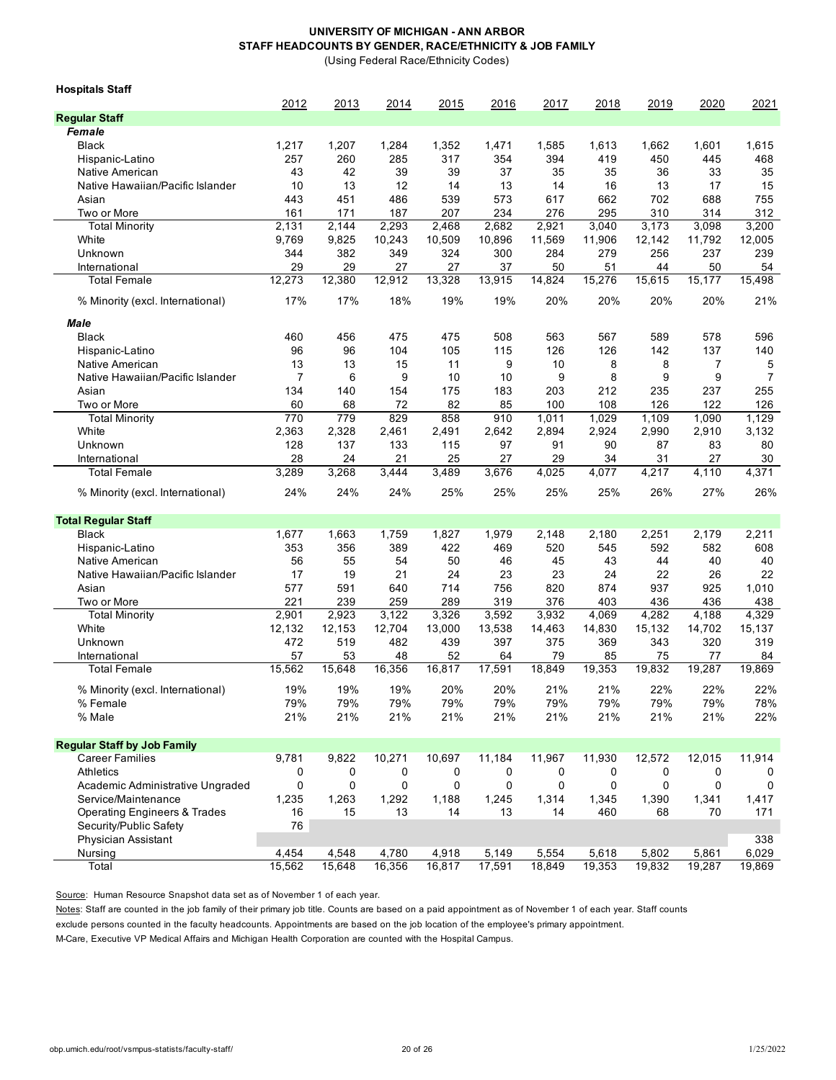(Using Federal Race/Ethnicity Codes)

| <b>Hospitals Staff</b>                  |                |        |        |        |        |        |        |        |        |        |
|-----------------------------------------|----------------|--------|--------|--------|--------|--------|--------|--------|--------|--------|
| <b>Regular Staff</b>                    | 2012           | 2013   | 2014   | 2015   | 2016   | 2017   | 2018   | 2019   | 2020   | 2021   |
| Female                                  |                |        |        |        |        |        |        |        |        |        |
| <b>Black</b>                            | 1,217          | 1,207  | 1,284  | 1,352  | 1,471  | 1,585  | 1,613  | 1,662  | 1,601  | 1,615  |
| Hispanic-Latino                         | 257            | 260    | 285    | 317    | 354    | 394    | 419    | 450    | 445    | 468    |
| Native American                         | 43             | 42     | 39     | 39     | 37     | 35     | 35     | 36     | 33     | 35     |
| Native Hawaiian/Pacific Islander        | 10             | 13     | 12     | 14     | 13     | 14     | 16     | 13     | 17     | 15     |
| Asian                                   | 443            | 451    | 486    | 539    | 573    | 617    | 662    | 702    | 688    | 755    |
| Two or More                             | 161            | 171    | 187    | 207    | 234    | 276    | 295    | 310    | 314    | 312    |
| <b>Total Minority</b>                   | 2,131          | 2,144  | 2,293  | 2,468  | 2,682  | 2,921  | 3.040  | 3,173  | 3,098  | 3,200  |
| White                                   | 9,769          | 9,825  | 10,243 | 10,509 | 10,896 | 11,569 | 11,906 | 12,142 | 11,792 | 12,005 |
| Unknown                                 | 344            | 382    | 349    | 324    | 300    | 284    | 279    | 256    | 237    | 239    |
| International                           | 29             | 29     | 27     | 27     | 37     | 50     | 51     | 44     | 50     | 54     |
| <b>Total Female</b>                     | 12,273         | 12,380 | 12,912 | 13,328 | 13,915 | 14,824 | 15,276 | 15,615 | 15,177 | 15,498 |
| % Minority (excl. International)        | 17%            | 17%    | 18%    | 19%    | 19%    | 20%    | 20%    | 20%    | 20%    | 21%    |
| <b>Male</b>                             |                |        |        |        |        |        |        |        |        |        |
| <b>Black</b>                            | 460            | 456    | 475    | 475    | 508    | 563    | 567    | 589    | 578    | 596    |
| Hispanic-Latino                         | 96             | 96     | 104    | 105    | 115    | 126    | 126    | 142    | 137    | 140    |
| Native American                         | 13             | 13     | 15     | 11     | 9      | 10     | 8      | 8      | 7      | 5      |
| Native Hawaiian/Pacific Islander        | $\overline{7}$ | 6      | 9      | 10     | 10     | 9      | 8      | 9      | 9      | 7      |
| Asian                                   | 134            | 140    | 154    | 175    | 183    | 203    | 212    | 235    | 237    | 255    |
| Two or More                             | 60             | 68     | 72     | 82     | 85     | 100    | 108    | 126    | 122    | 126    |
| <b>Total Minority</b>                   | 770            | 779    | 829    | 858    | 910    | 1,011  | 1,029  | 1,109  | 1,090  | 1,129  |
| White                                   | 2,363          | 2,328  | 2,461  | 2,491  | 2.642  | 2,894  | 2,924  | 2,990  | 2,910  | 3,132  |
| Unknown                                 | 128            | 137    | 133    | 115    | 97     | 91     | 90     | 87     | 83     | 80     |
| International                           | 28             | 24     | 21     | 25     | 27     | 29     | 34     | 31     | 27     | 30     |
| <b>Total Female</b>                     | 3,289          | 3,268  | 3,444  | 3,489  | 3,676  | 4,025  | 4,077  | 4,217  | 4,110  | 4,371  |
| % Minority (excl. International)        | 24%            | 24%    | 24%    | 25%    | 25%    | 25%    | 25%    | 26%    | 27%    | 26%    |
| <b>Total Regular Staff</b>              |                |        |        |        |        |        |        |        |        |        |
| <b>Black</b>                            | 1,677          | 1,663  | 1,759  | 1,827  | 1,979  | 2,148  | 2,180  | 2,251  | 2,179  | 2,211  |
| Hispanic-Latino                         | 353            | 356    | 389    | 422    | 469    | 520    | 545    | 592    | 582    | 608    |
| Native American                         | 56             | 55     | 54     | 50     | 46     | 45     | 43     | 44     | 40     | 40     |
| Native Hawaiian/Pacific Islander        | 17             | 19     | 21     | 24     | 23     | 23     | 24     | 22     | 26     | 22     |
| Asian                                   | 577            | 591    | 640    | 714    | 756    | 820    | 874    | 937    | 925    | 1,010  |
| Two or More                             | 221            | 239    | 259    | 289    | 319    | 376    | 403    | 436    | 436    | 438    |
| <b>Total Minority</b>                   | 2,901          | 2,923  | 3,122  | 3,326  | 3,592  | 3,932  | 4,069  | 4,282  | 4,188  | 4,329  |
| White                                   | 12,132         | 12,153 | 12,704 | 13,000 | 13,538 | 14,463 | 14,830 | 15,132 | 14,702 | 15,137 |
| Unknown                                 | 472            | 519    | 482    | 439    | 397    | 375    | 369    | 343    | 320    | 319    |
| International                           | 57             | 53     | 48     | 52     | 64     | 79     | 85     | 75     | 77     | 84     |
| <b>Total Female</b>                     | 15,562         | 15,648 | 16,356 | 16,817 | 17,591 | 18,849 | 19,353 | 19,832 | 19,287 | 19,869 |
| % Minority (excl. International)        | 19%            | 19%    | 19%    | 20%    | 20%    | 21%    | 21%    | 22%    | 22%    | 22%    |
| % Female                                | 79%            | 79%    | 79%    | 79%    | 79%    | 79%    | 79%    | 79%    | 79%    | 78%    |
| % Male                                  | 21%            | 21%    | 21%    | 21%    | 21%    | 21%    | 21%    | 21%    | 21%    | 22%    |
| <b>Regular Staff by Job Family</b>      |                |        |        |        |        |        |        |        |        |        |
| <b>Career Families</b>                  | 9,781          | 9,822  | 10,271 | 10,697 | 11,184 | 11,967 | 11,930 | 12,572 | 12,015 | 11,914 |
| Athletics                               | 0              | 0      | 0      | 0      | 0      | 0      | 0      | 0      | 0      | 0      |
| Academic Administrative Ungraded        | 0              | 0      | 0      | 0      | 0      | 0      | 0      | 0      | 0      | 0      |
| Service/Maintenance                     | 1,235          | 1,263  | 1,292  | 1,188  | 1,245  | 1,314  | 1,345  | 1,390  | 1,341  | 1,417  |
| <b>Operating Engineers &amp; Trades</b> | 16             | 15     | 13     | 14     | 13     | 14     | 460    | 68     | 70     | 171    |
| Security/Public Safety                  | 76             |        |        |        |        |        |        |        |        |        |
| Physician Assistant                     |                |        |        |        |        |        |        |        |        | 338    |
| Nursing                                 | 4,454          | 4,548  | 4,780  | 4,918  | 5,149  | 5,554  | 5,618  | 5,802  | 5,861  | 6,029  |
| Total                                   | 15,562         | 15,648 | 16,356 | 16,817 | 17,591 | 18,849 | 19,353 | 19,832 | 19,287 | 19,869 |

Source: Human Resource Snapshot data set as of November 1 of each year.

Notes: Staff are counted in the job family of their primary job title. Counts are based on a paid appointment as of November 1 of each year. Staff counts

exclude persons counted in the faculty headcounts. Appointments are based on the job location of the employee's primary appointment.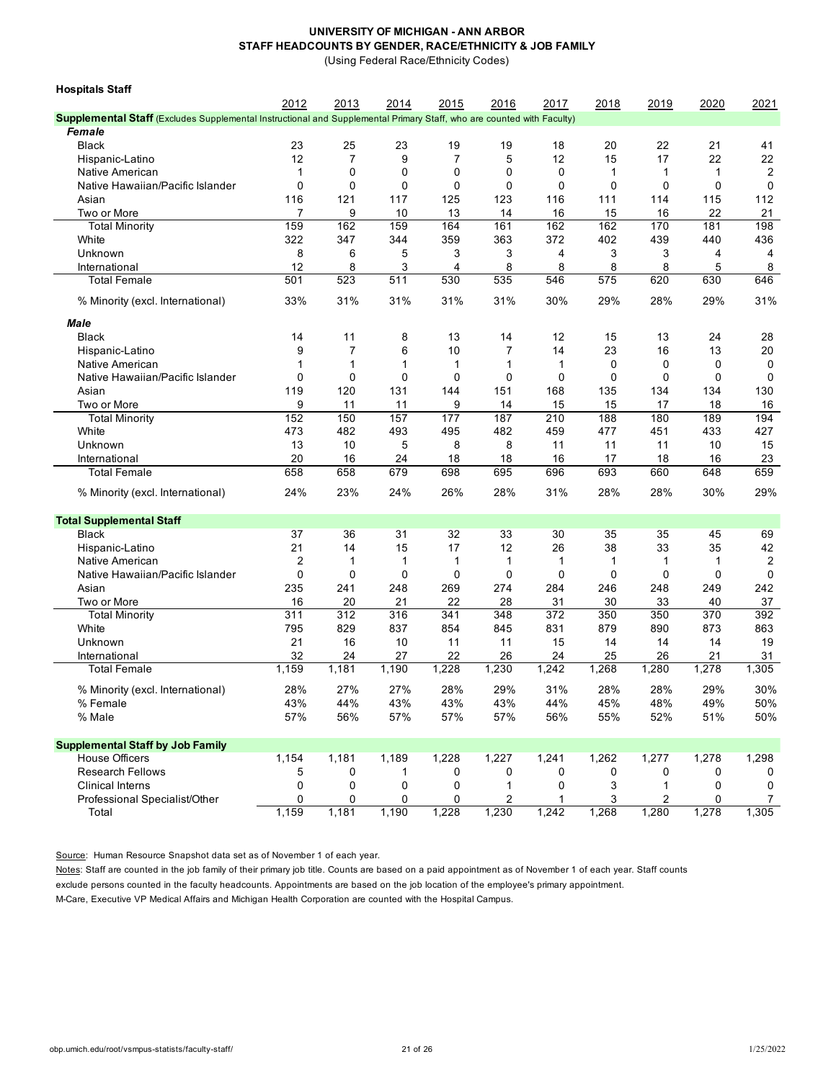(Using Federal Race/Ethnicity Codes)

| <b>Hospitals Staff</b>                                                                                                |                |                |           |                |                |              |             |              |           |                |
|-----------------------------------------------------------------------------------------------------------------------|----------------|----------------|-----------|----------------|----------------|--------------|-------------|--------------|-----------|----------------|
|                                                                                                                       | 2012           | 2013           | 2014      | 2015           | 2016           | 2017         | 2018        | 2019         | 2020      | 2021           |
| Supplemental Staff (Excludes Supplemental Instructional and Supplemental Primary Staff, who are counted with Faculty) |                |                |           |                |                |              |             |              |           |                |
| Female                                                                                                                |                |                |           |                |                |              |             |              |           |                |
| <b>Black</b>                                                                                                          | 23             | 25             | 23        | 19             | 19             | 18           | 20          | 22           | 21        | 41             |
| Hispanic-Latino                                                                                                       | 12             | $\overline{7}$ | 9         | $\overline{7}$ | 5              | 12           | 15          | 17           | 22        | 22             |
| Native American                                                                                                       | 1              | 0              | 0         | 0              | 0              | 0            | 1           | 1            | 1         | 2              |
| Native Hawaiian/Pacific Islander                                                                                      | $\mathbf 0$    | 0              | 0         | 0              | 0              | 0            | 0           | 0            | 0         | 0              |
| Asian                                                                                                                 | 116            | 121            | 117       | 125            | 123            | 116          | 111         | 114          | 115       | 112            |
| Two or More                                                                                                           | 7              | 9              | 10        | 13             | 14             | 16           | 15          | 16           | 22        | 21             |
| <b>Total Minority</b>                                                                                                 | 159            | 162            | 159       | 164            | 161            | 162          | 162         | 170          | 181       | 198            |
| White                                                                                                                 | 322            | 347            | 344       | 359            | 363            | 372          | 402         | 439          | 440       | 436            |
| Unknown                                                                                                               | 8              | 6              | 5         | 3              | 3              | 4            | 3           | 3            | 4         | 4              |
| International                                                                                                         | 12             | 8              | 3         | 4              | 8              | 8            | 8           | 8            | 5         | 8              |
| Total Female                                                                                                          | 501            | 523            | 511       | 530            | 535            | 546          | 575         | 620          | 630       | 646            |
| % Minority (excl. International)                                                                                      | 33%            | 31%            | 31%       | 31%            | 31%            | 30%          | 29%         | 28%          | 29%       | 31%            |
| Male                                                                                                                  |                |                |           |                |                |              |             |              |           |                |
| <b>Black</b>                                                                                                          | 14             | 11             | 8         | 13             | 14             | 12           | 15          | 13           | 24        | 28             |
| Hispanic-Latino                                                                                                       | 9              | $\overline{7}$ | 6         | 10             | $\overline{7}$ | 14           | 23          | 16           | 13        | 20             |
| Native American                                                                                                       | 1              | 1              | 1         | 1              | 1              | $\mathbf{1}$ | $\mathbf 0$ | 0            | 0         | 0              |
| Native Hawaiian/Pacific Islander                                                                                      | 0              | 0              | 0         | $\mathbf 0$    | 0              | 0            | $\mathbf 0$ | 0            | 0         | 0              |
|                                                                                                                       |                |                | 131       | 144            |                |              |             |              |           |                |
| Asian                                                                                                                 | 119<br>9       | 120            |           | 9              | 151            | 168<br>15    | 135<br>15   | 134<br>17    | 134<br>18 | 130<br>16      |
| Two or More<br><b>Total Minority</b>                                                                                  | 152            | 11<br>150      | 11<br>157 | 177            | 14<br>187      | 210          | 188         | 180          | 189       | 194            |
| White                                                                                                                 | 473            | 482            | 493       | 495            | 482            | 459          | 477         | 451          | 433       | 427            |
| Unknown                                                                                                               | 13             | 10             | 5         | 8              | 8              | 11           | 11          | 11           | 10        | 15             |
|                                                                                                                       |                |                |           |                |                |              |             |              |           |                |
| International                                                                                                         | 20             | 16             | 24        | 18             | 18             | 16           | 17          | 18           | 16        | 23             |
| <b>Total Female</b>                                                                                                   | 658            | 658            | 679       | 698            | 695            | 696          | 693         | 660          | 648       | 659            |
| % Minority (excl. International)                                                                                      | 24%            | 23%            | 24%       | 26%            | 28%            | 31%          | 28%         | 28%          | 30%       | 29%            |
| <b>Total Supplemental Staff</b>                                                                                       |                |                |           |                |                |              |             |              |           |                |
| <b>Black</b>                                                                                                          | 37             | 36             | 31        | 32             | 33             | 30           | 35          | 35           | 45        | 69             |
| Hispanic-Latino                                                                                                       | 21             | 14             | 15        | 17             | 12             | 26           | 38          | 33           | 35        | 42             |
| Native American                                                                                                       | $\overline{2}$ | 1              | 1         | $\mathbf{1}$   | $\mathbf{1}$   | $\mathbf{1}$ | 1           | $\mathbf{1}$ | 1         | 2              |
| Native Hawaiian/Pacific Islander                                                                                      | $\mathbf 0$    | 0              | 0         | $\mathbf 0$    | 0              | $\mathbf 0$  | $\mathbf 0$ | $\mathbf 0$  | 0         | 0              |
| Asian                                                                                                                 | 235            | 241            | 248       | 269            | 274            | 284          | 246         | 248          | 249       | 242            |
| Two or More                                                                                                           | 16             | 20             | 21        | 22             | 28             | 31           | 30          | 33           | 40        | 37             |
| <b>Total Minority</b>                                                                                                 | 311            | 312            | 316       | 341            | 348            | 372          | 350         | 350          | 370       | 392            |
| White                                                                                                                 | 795            | 829            | 837       | 854            | 845            | 831          | 879         | 890          | 873       | 863            |
| Unknown                                                                                                               | 21             | 16             | 10        | 11             | 11             | 15           | 14          | 14           | 14        | 19             |
| International                                                                                                         | 32             | 24             | 27        | 22             | 26             | 24           | 25          | 26           | 21        | 31             |
| Total Female                                                                                                          | 1,159          | 1,181          | 1,190     | 1,228          | 1,230          | 1,242        | 1,268       | 1,280        | 1,278     | 1,305          |
| % Minority (excl. International)                                                                                      | 28%            | 27%            | 27%       | 28%            | 29%            | 31%          | 28%         | 28%          | 29%       | 30%            |
| % Female                                                                                                              | 43%            | 44%            | 43%       | 43%            | 43%            | 44%          | 45%         | 48%          | 49%       | 50%            |
| % Male                                                                                                                | 57%            | 56%            | 57%       | 57%            | 57%            | 56%          | 55%         | 52%          | 51%       | 50%            |
|                                                                                                                       |                |                |           |                |                |              |             |              |           |                |
| <b>Supplemental Staff by Job Family</b>                                                                               |                |                |           |                |                |              |             |              |           |                |
| <b>House Officers</b>                                                                                                 | 1,154          | 1,181          | 1,189     | 1,228          | 1,227          | 1,241        | 1,262       | 1,277        | 1,278     | 1,298          |
| <b>Research Fellows</b>                                                                                               | 5              | 0              | 1         | 0              | 0              | 0            | 0           | 0            | 0         | 0              |
| <b>Clinical Interns</b>                                                                                               | 0              | 0              | 0         | 0              | 1              | 0            | 3           | 1            | 0         | 0              |
| Professional Specialist/Other                                                                                         | 0              | 0              | 0         | 0              | 2              | 1            | 3           | 2            | 0         | $\overline{7}$ |
| Total                                                                                                                 | 1,159          | 1,181          | 1,190     | 1,228          | 1,230          | 1,242        | 1,268       | 1,280        | 1,278     | 1,305          |

Source: Human Resource Snapshot data set as of November 1 of each year.

Notes: Staff are counted in the job family of their primary job title. Counts are based on a paid appointment as of November 1 of each year. Staff counts exclude persons counted in the faculty headcounts. Appointments are based on the job location of the employee's primary appointment.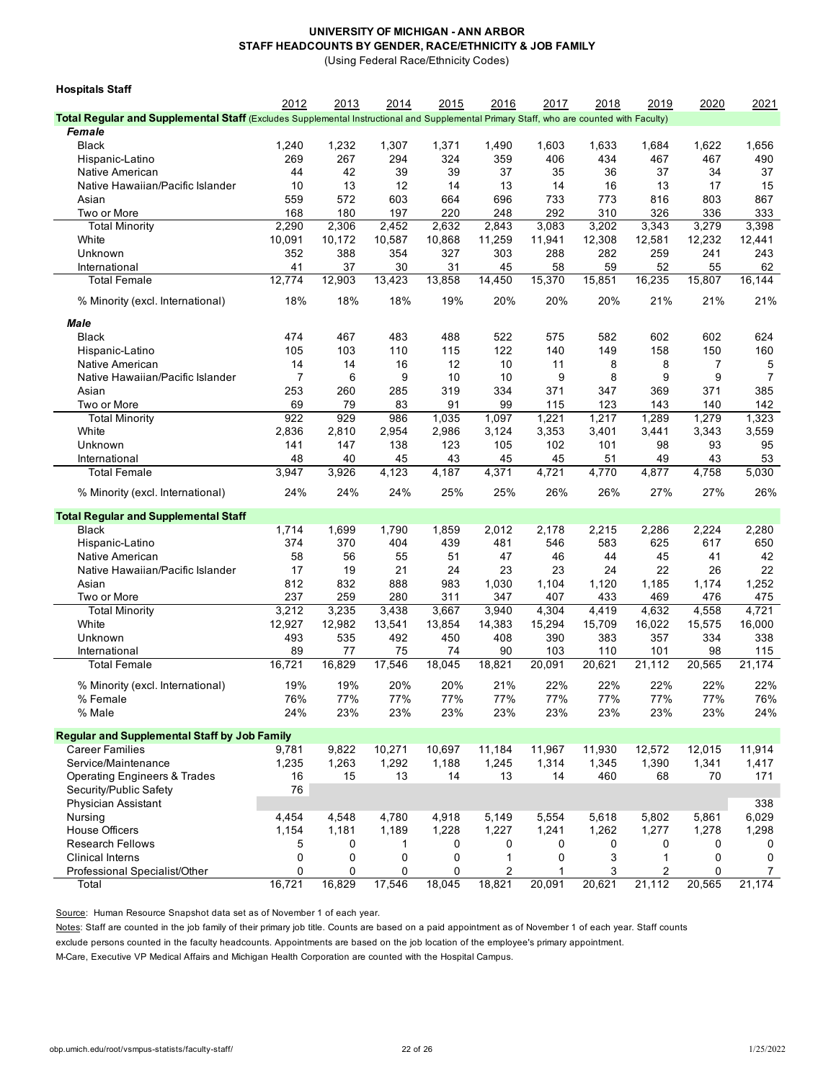(Using Federal Race/Ethnicity Codes)

| <b>Hospitals Staff</b>                                                                                                                  |             |             |             |             |             |             |             |                          |             |             |
|-----------------------------------------------------------------------------------------------------------------------------------------|-------------|-------------|-------------|-------------|-------------|-------------|-------------|--------------------------|-------------|-------------|
|                                                                                                                                         | 2012        | 2013        | 2014        | 2015        | 2016        | 2017        | 2018        | 2019                     | 2020        | 2021        |
| Total Regular and Supplemental Staff (Excludes Supplemental Instructional and Supplemental Primary Staff, who are counted with Faculty) |             |             |             |             |             |             |             |                          |             |             |
| Female                                                                                                                                  |             |             |             |             |             |             |             |                          |             |             |
| <b>Black</b>                                                                                                                            | 1,240       | 1,232       | 1,307       | 1,371       | 1,490       | 1,603       | 1,633       | 1,684                    | 1,622       | 1,656       |
| Hispanic-Latino                                                                                                                         | 269         | 267         | 294         | 324         | 359         | 406         | 434         | 467                      | 467         | 490         |
| Native American                                                                                                                         | 44          | 42          | 39          | 39          | 37          | 35          | 36          | 37                       | 34          | 37          |
| Native Hawaiian/Pacific Islander                                                                                                        | 10          | 13          | 12          | 14          | 13          | 14          | 16          | 13                       | 17          | 15          |
| Asian                                                                                                                                   | 559         | 572         | 603         | 664         | 696         | 733         | 773         | 816                      | 803         | 867         |
| Two or More                                                                                                                             | 168         | 180         | 197         | 220         | 248         | 292         | 310         | 326                      | 336         | 333         |
| <b>Total Minority</b>                                                                                                                   | 2,290       | 2,306       | 2,452       | 2,632       | 2,843       | 3,083       | 3,202       | 3,343                    | 3,279       | 3,398       |
| White                                                                                                                                   | 10,091      | 10,172      | 10,587      | 10,868      | 11,259      | 11,941      | 12,308      | 12,581                   | 12,232      | 12,441      |
| Unknown                                                                                                                                 | 352         | 388         | 354         | 327         | 303         | 288         | 282         | 259                      | 241         | 243         |
| International                                                                                                                           | 41          | 37          | 30          | 31          | 45          | 58          | 59          | 52                       | 55          | 62          |
| Total Female                                                                                                                            | 12,774      | 12,903      | 13,423      | 13,858      | 14,450      | 15,370      | 15,851      | 16,235                   | 15,807      | 16,144      |
| % Minority (excl. International)                                                                                                        | 18%         | 18%         | 18%         | 19%         | 20%         | 20%         | 20%         | 21%                      | 21%         | 21%         |
| Male                                                                                                                                    |             |             |             |             |             |             |             |                          |             |             |
| <b>Black</b>                                                                                                                            | 474         | 467         | 483         | 488         | 522         | 575         | 582         | 602                      | 602         | 624         |
| Hispanic-Latino                                                                                                                         | 105         | 103         | 110         | 115         | 122         | 140         | 149         | 158                      | 150         | 160         |
| Native American                                                                                                                         | 14          | 14          | 16          | 12          | 10          | 11          | 8           | 8                        | 7           | 5           |
| Native Hawaiian/Pacific Islander                                                                                                        | 7           | 6           | 9           | 10          | 10          | 9           | 8           | 9                        | 9           | 7           |
| Asian                                                                                                                                   | 253         | 260         | 285         | 319         | 334         | 371         | 347         | 369                      | 371         | 385         |
| Two or More                                                                                                                             | 69          | 79          | 83          | 91          | 99          | 115         | 123         | 143                      | 140         | 142         |
| <b>Total Minority</b>                                                                                                                   | 922         | 929         | 986         | 1,035       | 1,097       | 1,221       | 1,217       | 1,289                    | 1,279       | 1,323       |
| White                                                                                                                                   | 2,836       | 2,810       | 2,954       | 2,986       | 3,124       | 3,353       | 3,401       | 3,441                    | 3,343       | 3,559       |
| Unknown                                                                                                                                 | 141         | 147         | 138         | 123         | 105         | 102         | 101         | 98                       | 93          | 95          |
| International                                                                                                                           | 48          | 40          | 45          | 43          | 45          | 45          | 51          | 49                       | 43          | 53          |
| <b>Total Female</b>                                                                                                                     | 3,947       | 3,926       | 4,123       | 4,187       | 4,371       | 4,721       | 4,770       | 4,877                    | 4,758       | 5,030       |
| % Minority (excl. International)                                                                                                        | 24%         | 24%         | 24%         | 25%         | 25%         | 26%         | 26%         | 27%                      | 27%         | 26%         |
| <b>Total Regular and Supplemental Staff</b>                                                                                             |             |             |             |             |             |             |             |                          |             |             |
| <b>Black</b>                                                                                                                            | 1,714       | 1,699       | 1,790       | 1,859       | 2,012       | 2,178       | 2,215       | 2,286                    | 2,224       | 2,280       |
| Hispanic-Latino                                                                                                                         | 374         | 370         | 404         | 439         | 481         | 546         | 583         | 625                      | 617         | 650         |
| Native American                                                                                                                         | 58          | 56          | 55          | 51          | 47          | 46          | 44          | 45                       | 41          | 42          |
| Native Hawaiian/Pacific Islander                                                                                                        | 17          | 19          | 21          | 24          | 23          | 23          | 24          | 22                       | 26          | 22          |
| Asian                                                                                                                                   | 812         | 832         | 888         | 983         | 1,030       | 1,104       | 1,120       | 1,185                    | 1,174       | 1,252       |
| Two or More                                                                                                                             | 237         | 259         | 280         | 311         | 347         | 407         | 433         | 469                      | 476         | 475         |
| <b>Total Minority</b>                                                                                                                   | 3,212       | 3,235       | 3,438       | 3,667       | 3,940       | 4,304       | 4,419       | 4,632                    | 4,558       | 4,721       |
| White                                                                                                                                   | 12,927      | 12,982      | 13,541      | 13,854      | 14,383      | 15,294      | 15,709      | 16,022                   | 15,575      | 16,000      |
| Unknown                                                                                                                                 | 493         | 535         | 492         | 450         | 408         | 390         | 383         | 357                      | 334         | 338         |
| International                                                                                                                           | 89          | 77          | 75          | 74          | 90          | 103         | 110         | 101                      | 98          | 115         |
| <b>Total Female</b>                                                                                                                     | 16,721      | 16,829      | 17,546      | 18,045      | 18,821      | 20,091      | 20,621      | 21,112                   | 20,565      | 21,174      |
| % Minority (excl. International)                                                                                                        | 19%         | 19%         | 20%         | 20%         | 21%         | 22%         | 22%         | 22%                      | 22%         | 22%         |
| % Female                                                                                                                                | 76%         | 77%         | 77%         | 77%         | 77%         | 77%         | 77%         | 77%                      | 77%         | 76%         |
| % Male                                                                                                                                  | 24%         | 23%         | 23%         | 23%         | 23%         | 23%         | 23%         | 23%                      | 23%         | 24%         |
| <b>Regular and Supplemental Staff by Job Family</b>                                                                                     |             |             |             |             |             |             |             |                          |             |             |
| <b>Career Families</b>                                                                                                                  | 9,781       | 9,822       | 10,271      | 10,697      | 11,184      | 11,967      | 11,930      | 12,572                   | 12,015      | 11,914      |
| Service/Maintenance                                                                                                                     | 1,235       | 1,263       | 1,292       | 1,188       | 1,245       | 1,314       | 1,345       | 1,390                    | 1,341       | 1,417       |
| <b>Operating Engineers &amp; Trades</b>                                                                                                 | 16          | 15          | 13          | 14          | 13          | 14          | 460         | 68                       | 70          | 171         |
| Security/Public Safety                                                                                                                  | 76          |             |             |             |             |             |             |                          |             |             |
| Physician Assistant                                                                                                                     |             |             |             |             |             |             |             |                          |             | 338         |
| Nursing                                                                                                                                 | 4,454       | 4,548       | 4,780       | 4,918       | 5,149       | 5,554       | 5,618       | 5,802                    | 5,861       | 6,029       |
| House Officers                                                                                                                          | 1,154       | 1,181       | 1,189       | 1,228       | 1,227       | 1,241       | 1,262       | 1,277                    | 1,278       | 1,298       |
| <b>Research Fellows</b>                                                                                                                 | 5           | 0           | 1           | 0           | 0           | 0           | 0           | 0                        | 0           | 0           |
| <b>Clinical Interns</b>                                                                                                                 | $\mathbf 0$ | 0           | 0           | 0           | 1           | 0           | 3           | 1                        | 0           | 0           |
| Professional Specialist/Other<br>Total                                                                                                  | 0<br>16,721 | 0<br>16,829 | 0<br>17,546 | 0<br>18,045 | 2<br>18,821 | 1<br>20,091 | 3<br>20,621 | 2<br>$2\overline{1,112}$ | 0<br>20,565 | 7<br>21,174 |
|                                                                                                                                         |             |             |             |             |             |             |             |                          |             |             |

Source: Human Resource Snapshot data set as of November 1 of each year.

Notes: Staff are counted in the job family of their primary job title. Counts are based on a paid appointment as of November 1 of each year. Staff counts

exclude persons counted in the faculty headcounts. Appointments are based on the job location of the employee's primary appointment.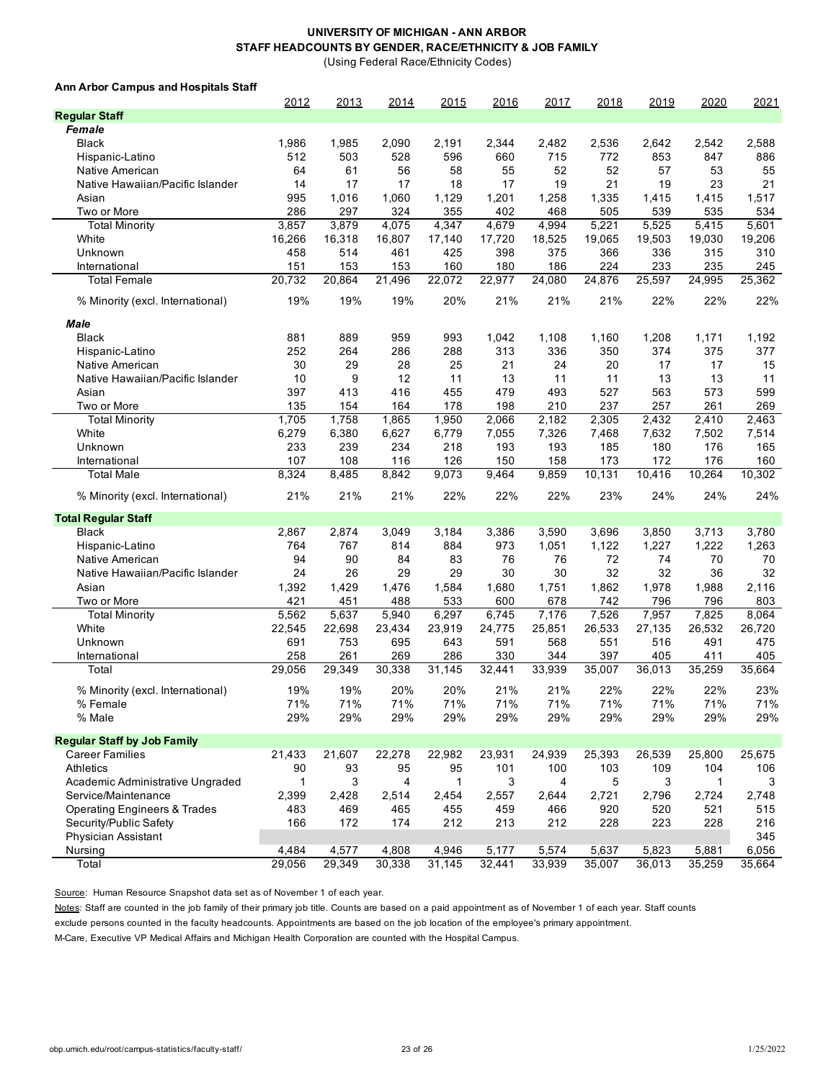(Using Federal Race/Ethnicity Codes)

#### **Ann Arbor Campus and Hospitals Staff**

|                                         | 2012         | 2013   | 2014   | 2015         | 2016   | 2017   | 2018   | 2019         | 2020   | 2021   |
|-----------------------------------------|--------------|--------|--------|--------------|--------|--------|--------|--------------|--------|--------|
| <b>Regular Staff</b>                    |              |        |        |              |        |        |        |              |        |        |
| Female                                  |              |        |        |              |        |        |        |              |        |        |
| <b>Black</b>                            | 1,986        | 1,985  | 2,090  | 2,191        | 2,344  | 2,482  | 2,536  | 2,642        | 2,542  | 2,588  |
| Hispanic-Latino                         | 512          | 503    | 528    | 596          | 660    | 715    | 772    | 853          | 847    | 886    |
| Native American                         | 64           | 61     | 56     | 58           | 55     | 52     | 52     | 57           | 53     | 55     |
| Native Hawaiian/Pacific Islander        | 14           | 17     | 17     | 18           | 17     | 19     | 21     | 19           | 23     | 21     |
| Asian                                   | 995          | 1,016  | 1,060  | 1,129        | 1,201  | 1,258  | 1,335  | 1,415        | 1,415  | 1,517  |
| Two or More                             | 286          | 297    | 324    | 355          | 402    | 468    | 505    | 539          | 535    | 534    |
| <b>Total Minority</b>                   | 3,857        | 3,879  | 4,075  | 4,347        | 4,679  | 4,994  | 5,221  | 5,525        | 5,415  | 5,601  |
| White                                   | 16,266       | 16,318 | 16,807 | 17,140       | 17,720 | 18,525 | 19,065 | 19,503       | 19,030 | 19,206 |
| Unknown                                 | 458          | 514    | 461    | 425          | 398    | 375    | 366    | 336          | 315    | 310    |
| International                           | 151          | 153    | 153    | 160          | 180    | 186    | 224    | 233          | 235    | 245    |
| <b>Total Female</b>                     | 20,732       | 20,864 | 21,496 | 22,072       | 22,977 | 24,080 | 24,876 | 25,597       | 24,995 | 25,362 |
|                                         |              |        |        |              |        |        |        |              |        |        |
| % Minority (excl. International)        | 19%          | 19%    | 19%    | 20%          | 21%    | 21%    | 21%    | 22%          | 22%    | 22%    |
| Male                                    |              |        |        |              |        |        |        |              |        |        |
| <b>Black</b>                            | 881          | 889    | 959    | 993          | 1,042  | 1,108  | 1,160  | 1,208        | 1,171  | 1,192  |
|                                         | 252          | 264    | 286    | 288          | 313    | 336    | 350    | 374          | 375    | 377    |
| Hispanic-Latino<br>Native American      | 30           | 29     | 28     | 25           | 21     | 24     | 20     | 17           | 17     | 15     |
| Native Hawaiian/Pacific Islander        | 10           | 9      | 12     | 11           | 13     | 11     | 11     | 13           | 13     | 11     |
|                                         | 397          | 413    | 416    | 455          | 479    | 493    | 527    | 563          | 573    | 599    |
| Asian                                   |              |        |        |              |        |        |        |              |        |        |
| Two or More                             | 135          | 154    | 164    | 178          | 198    | 210    | 237    | 257<br>2,432 | 261    | 269    |
| <b>Total Minority</b>                   | 1,705        | 1,758  | 1,865  | 1,950        | 2,066  | 2,182  | 2,305  |              | 2,410  | 2,463  |
| White                                   | 6,279        | 6,380  | 6,627  | 6,779        | 7,055  | 7,326  | 7,468  | 7,632        | 7,502  | 7,514  |
| Unknown                                 | 233          | 239    | 234    | 218          | 193    | 193    | 185    | 180          | 176    | 165    |
| International                           | 107          | 108    | 116    | 126          | 150    | 158    | 173    | 172          | 176    | 160    |
| <b>Total Male</b>                       | 8,324        | 8,485  | 8,842  | 9,073        | 9,464  | 9,859  | 10,131 | 10,416       | 10,264 | 10,302 |
| % Minority (excl. International)        | 21%          | 21%    | 21%    | 22%          | 22%    | 22%    | 23%    | 24%          | 24%    | 24%    |
| <b>Total Regular Staff</b>              |              |        |        |              |        |        |        |              |        |        |
| <b>Black</b>                            | 2,867        | 2,874  | 3,049  | 3,184        | 3,386  | 3,590  | 3,696  | 3,850        | 3,713  | 3,780  |
|                                         | 764          | 767    | 814    | 884          | 973    | 1,051  | 1,122  | 1,227        | 1,222  | 1,263  |
| Hispanic-Latino<br>Native American      | 94           | 90     | 84     | 83           | 76     | 76     | 72     | 74           | 70     | 70     |
|                                         | 24           | 26     | 29     | 29           | 30     | 30     | 32     | 32           | 36     | 32     |
| Native Hawaiian/Pacific Islander        |              |        |        |              |        |        |        |              |        |        |
| Asian                                   | 1,392        | 1,429  | 1,476  | 1,584        | 1,680  | 1,751  | 1,862  | 1,978        | 1,988  | 2,116  |
| Two or More                             | 421          | 451    | 488    | 533          | 600    | 678    | 742    | 796          | 796    | 803    |
| <b>Total Minority</b>                   | 5,562        | 5,637  | 5,940  | 6,297        | 6,745  | 7,176  | 7,526  | 7,957        | 7,825  | 8,064  |
| White                                   | 22,545       | 22,698 | 23,434 | 23,919       | 24,775 | 25,851 | 26,533 | 27,135       | 26,532 | 26,720 |
| Unknown                                 | 691          | 753    | 695    | 643          | 591    | 568    | 551    | 516          | 491    | 475    |
| International                           | 258          | 261    | 269    | 286          | 330    | 344    | 397    | 405          | 411    | 405    |
| Total                                   | 29,056       | 29,349 | 30,338 | 31,145       | 32,441 | 33,939 | 35,007 | 36,013       | 35,259 | 35,664 |
| % Minority (excl. International)        | 19%          | 19%    | 20%    | 20%          | 21%    | 21%    | 22%    | 22%          | 22%    | 23%    |
| % Female                                | 71%          | 71%    | 71%    | 71%          | 71%    | 71%    | 71%    | 71%          | 71%    | 71%    |
| % Male                                  | 29%          | 29%    | 29%    | 29%          | 29%    | 29%    | 29%    | 29%          | 29%    | 29%    |
|                                         |              |        |        |              |        |        |        |              |        |        |
| <b>Regular Staff by Job Family</b>      |              |        |        |              |        |        |        |              |        |        |
| Career Families                         | 21,433       | 21,607 | 22,278 | 22,982       | 23,931 | 24,939 | 25,393 | 26,539       | 25,800 | 25,675 |
| Athletics                               | 90           | 93     | 95     | 95           | 101    | 100    | 103    | 109          | 104    | 106    |
| Academic Administrative Ungraded        | $\mathbf{1}$ | 3      | 4      | $\mathbf{1}$ | 3      | 4      | 5      | 3            | 1      | 3      |
| Service/Maintenance                     | 2,399        | 2,428  | 2,514  | 2,454        | 2,557  | 2,644  | 2,721  | 2,796        | 2,724  | 2,748  |
| <b>Operating Engineers &amp; Trades</b> | 483          | 469    | 465    | 455          | 459    | 466    | 920    | 520          | 521    | 515    |
| Security/Public Safety                  | 166          | 172    | 174    | 212          | 213    | 212    | 228    | 223          | 228    | 216    |
| Physician Assistant                     |              |        |        |              |        |        |        |              |        | 345    |
| Nursing                                 | 4,484        | 4,577  | 4,808  | 4,946        | 5,177  | 5,574  | 5,637  | 5,823        | 5,881  | 6,056  |
| Total                                   | 29,056       | 29,349 | 30,338 | 31,145       | 32,441 | 33,939 | 35,007 | 36,013       | 35,259 | 35,664 |

Source: Human Resource Snapshot data set as of November 1 of each year.

Notes: Staff are counted in the job family of their primary job title. Counts are based on a paid appointment as of November 1 of each year. Staff counts

exclude persons counted in the faculty headcounts. Appointments are based on the job location of the employee's primary appointment.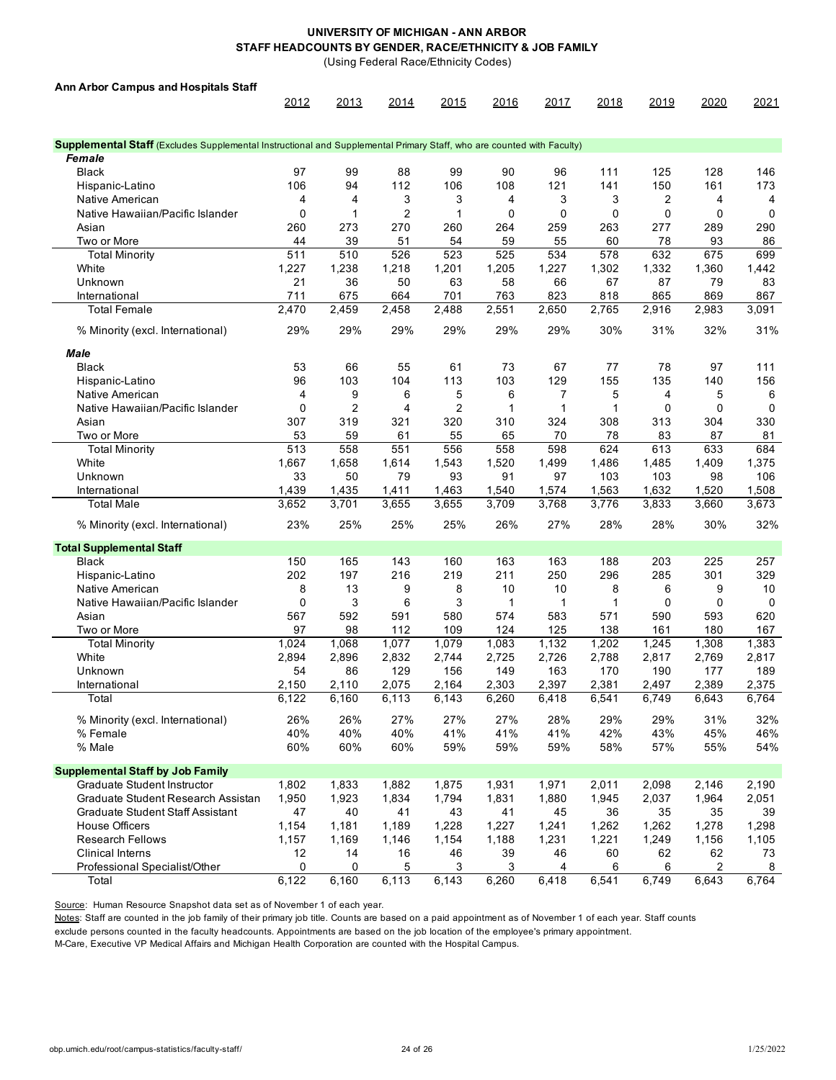(Using Federal Race/Ethnicity Codes)

| <b>Ann Arbor Campus and Hospitals Staff</b>                                                                           |                  |                |                |                |                |             |             |             |       |             |
|-----------------------------------------------------------------------------------------------------------------------|------------------|----------------|----------------|----------------|----------------|-------------|-------------|-------------|-------|-------------|
|                                                                                                                       | 2012             | 2013           | 2014           | 2015           | 2016           | 2017        | 2018        | 2019        | 2020  | 2021        |
|                                                                                                                       |                  |                |                |                |                |             |             |             |       |             |
| Supplemental Staff (Excludes Supplemental Instructional and Supplemental Primary Staff, who are counted with Faculty) |                  |                |                |                |                |             |             |             |       |             |
| Female                                                                                                                |                  |                |                |                |                |             |             |             |       |             |
| <b>Black</b>                                                                                                          | 97               | 99             | 88             | 99             | 90             | 96          | 111         | 125         | 128   | 146         |
| Hispanic-Latino                                                                                                       | 106              | 94             | 112            | 106            | 108            | 121         | 141         | 150         | 161   | 173         |
| Native American                                                                                                       | 4                | 4              | 3              | 3              | 4              | 3           | 3           | 2           | 4     | 4           |
| Native Hawaiian/Pacific Islander                                                                                      | $\mathbf 0$      | 1              | $\overline{c}$ | 1              | $\mathbf 0$    | $\mathbf 0$ | $\mathbf 0$ | $\mathbf 0$ | 0     | 0           |
| Asian                                                                                                                 | 260              | 273            | 270            | 260            | 264            | 259         | 263         | 277         | 289   | 290         |
| Two or More                                                                                                           | 44               | 39             | 51             | 54             | 59             | 55          | 60          | 78          | 93    | 86          |
| <b>Total Minority</b>                                                                                                 | 511              | 510            | 526            | 523            | 525            | 534         | 578         | 632         | 675   | 699         |
| White                                                                                                                 | 1,227            | 1,238          | 1,218          | 1,201          | 1,205          | 1,227       | 1,302       | 1,332       | 1,360 | 1,442       |
| Unknown                                                                                                               | 21               | 36             | 50             | 63             | 58             | 66          | 67          | 87          | 79    | 83          |
| International                                                                                                         | 711              | 675            | 664            | 701            | 763            | 823         | 818         | 865         | 869   | 867         |
| <b>Total Female</b>                                                                                                   | 2,470            | 2,459          | 2,458          | 2,488          | 2,551          | 2,650       | 2,765       | 2,916       | 2,983 | 3,091       |
| % Minority (excl. International)                                                                                      | 29%              | 29%            | 29%            | 29%            | 29%            | 29%         | 30%         | 31%         | 32%   | 31%         |
| Male                                                                                                                  |                  |                |                |                |                |             |             |             |       |             |
| <b>Black</b>                                                                                                          | 53               | 66             | 55             | 61             | 73             | 67          | 77          | 78          | 97    | 111         |
| Hispanic-Latino                                                                                                       | 96               | 103            | 104            | 113            | 103            | 129         | 155         | 135         | 140   | 156         |
| Native American                                                                                                       | 4                | 9              | 6              | 5              | 6              | 7           | 5           | 4           | 5     | 6           |
| Native Hawaiian/Pacific Islander                                                                                      | $\mathbf 0$      | $\overline{2}$ | 4              | $\overline{2}$ | 1              | 1           | 1           | $\mathbf 0$ | 0     | 0           |
| Asian                                                                                                                 | 307              | 319            | 321            | 320            | 310            | 324         | 308         | 313         | 304   | 330         |
| Two or More                                                                                                           | 53               | 59             | 61             | 55             | 65             | 70          | 78          | 83          | 87    | 81          |
| <b>Total Minority</b>                                                                                                 | $\overline{513}$ | 558            | 551            | 556            | 558            | 598         | 624         | 613         | 633   | 684         |
| White                                                                                                                 | 1,667            | 1,658          | 1,614          | 1,543          | 1,520          | 1,499       | 1,486       | 1,485       | 1,409 | 1,375       |
| Unknown                                                                                                               | 33               | 50             | 79             | 93             | 91             | 97          | 103         | 103         | 98    | 106         |
|                                                                                                                       | 1,439            | 1,435          | 1,411          | 1,463          |                | 1,574       | 1,563       | 1,632       | 1,520 | 1,508       |
| International<br>Total Male                                                                                           | 3,652            | 3,701          | 3,655          | 3,655          | 1,540<br>3,709 | 3,768       | 3,776       | 3,833       | 3,660 | 3,673       |
|                                                                                                                       | 23%              | 25%            | 25%            | 25%            | 26%            | 27%         | 28%         | 28%         | 30%   | 32%         |
| % Minority (excl. International)                                                                                      |                  |                |                |                |                |             |             |             |       |             |
| <b>Total Supplemental Staff</b>                                                                                       |                  |                |                |                |                |             |             |             |       |             |
| <b>Black</b>                                                                                                          | 150              | 165            | 143            | 160            | 163            | 163         | 188         | 203         | 225   | 257         |
| Hispanic-Latino                                                                                                       | 202              | 197            | 216            | 219            | 211            | 250         | 296         | 285         | 301   | 329         |
| Native American                                                                                                       | 8                | 13             | 9              | 8              | 10             | 10          | 8           | 6           | 9     | 10          |
| Native Hawaiian/Pacific Islander                                                                                      | $\mathbf 0$      | 3              | 6              | 3              | 1              | 1           | $\mathbf 1$ | $\mathbf 0$ | 0     | $\mathbf 0$ |
| Asian                                                                                                                 | 567              | 592            | 591            | 580            | 574            | 583         | 571         | 590         | 593   | 620         |
| Two or More                                                                                                           | 97               | 98             | 112            | 109            | 124            | 125         | 138         | 161         | 180   | 167         |
| <b>Total Minority</b>                                                                                                 | 1,024            | 1,068          | 1,077          | 1,079          | 1,083          | 1,132       | 1,202       | 1,245       | 1,308 | 1,383       |
| White                                                                                                                 | 2,894            | 2,896          | 2,832          | 2,744          | 2,725          | 2,726       | 2,788       | 2,817       | 2,769 | 2,817       |
| Unknown                                                                                                               | 54               | 86             | 129            | 156            | 149            | 163         | 170         | 190         | 177   | 189         |
| International                                                                                                         | 2,150            | 2,110          | 2,075          | 2,164          | 2,303          | 2,397       | 2,381       | 2,497       | 2,389 | 2,375       |
| Total                                                                                                                 | 6,122            | 6,160          | 6,113          | 6,143          | 6,260          | 6,418       | 6,541       | 6,749       | 6,643 | 6,764       |
| % Minority (excl. International)                                                                                      | 26%              | 26%            | 27%            | 27%            | 27%            | 28%         | 29%         | 29%         | 31%   | 32%         |
| % Female                                                                                                              | 40%              | 40%            | 40%            | 41%            | 41%            | 41%         | 42%         | 43%         | 45%   | 46%         |
| % Male                                                                                                                | 60%              | 60%            | 60%            | 59%            | 59%            | 59%         | 58%         | 57%         | 55%   | 54%         |
| <b>Supplemental Staff by Job Family</b>                                                                               |                  |                |                |                |                |             |             |             |       |             |
| <b>Graduate Student Instructor</b>                                                                                    | 1,802            | 1,833          | 1,882          | 1,875          | 1,931          | 1,971       | 2,011       | 2,098       | 2,146 | 2,190       |
| Graduate Student Research Assistan                                                                                    | 1,950            | 1,923          | 1,834          | 1,794          | 1,831          | 1,880       | 1,945       | 2,037       | 1,964 | 2,051       |
| Graduate Student Staff Assistant                                                                                      | 47               | 40             | 41             | 43             | 41             | 45          | 36          | 35          | 35    | 39          |
| <b>House Officers</b>                                                                                                 | 1,154            | 1,181          | 1,189          | 1,228          | 1,227          | 1,241       | 1,262       | 1,262       | 1,278 | 1,298       |
| <b>Research Fellows</b>                                                                                               | 1,157            | 1,169          | 1,146          | 1,154          | 1,188          | 1,231       | 1,221       | 1,249       | 1,156 | 1,105       |
| <b>Clinical Interns</b>                                                                                               | 12               | 14             | 16             | 46             | 39             | 46          | 60          | 62          | 62    | 73          |
| Professional Specialist/Other                                                                                         | 0                | 0              | 5              | 3              | 3              | 4           | 6           | 6           | 2     | 8           |
| Total                                                                                                                 | 6,122            | 6,160          | 6,113          | 6,143          | 6,260          | 6,418       | 6,541       | 6,749       | 6,643 | 6,764       |

Source: Human Resource Snapshot data set as of November 1 of each year.

Notes: Staff are counted in the job family of their primary job title. Counts are based on a paid appointment as of November 1 of each year. Staff counts

exclude persons counted in the faculty headcounts. Appointments are based on the job location of the employee's primary appointment.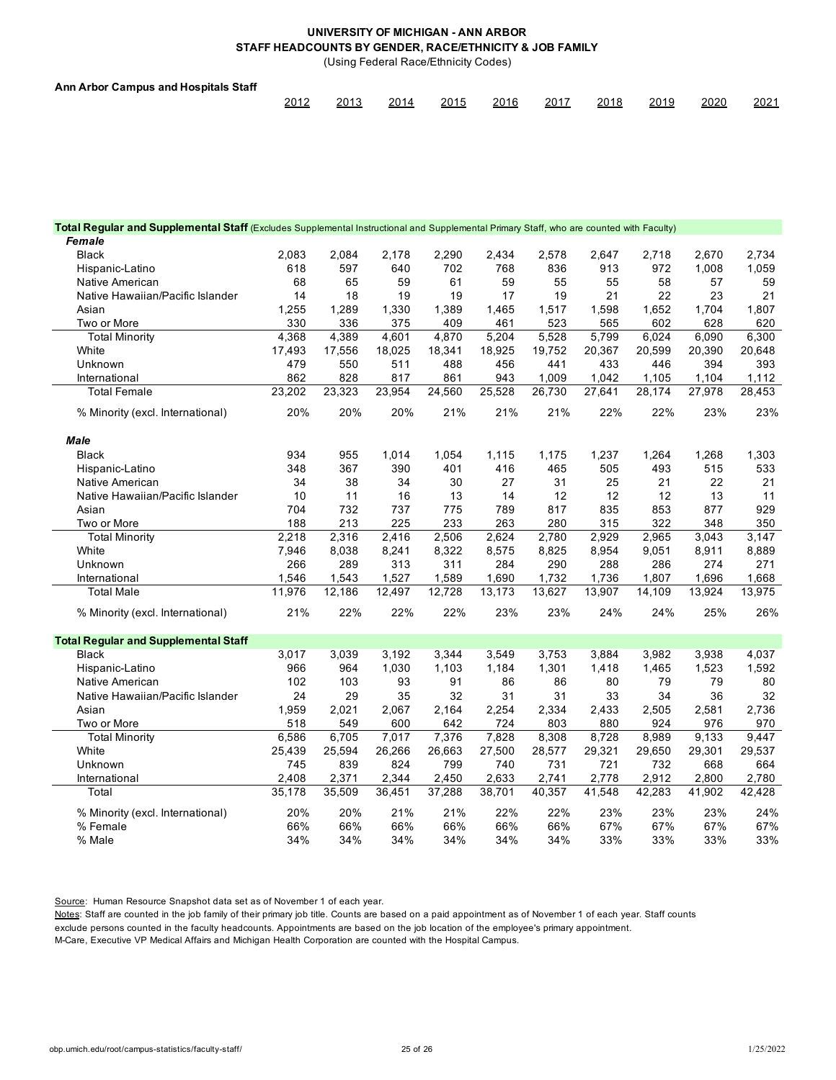(Using Federal Race/Ethnicity Codes)

| Ann Arbor Campus and Hospitals Staff |      |      |      |      |      |      |      |      |      |      |
|--------------------------------------|------|------|------|------|------|------|------|------|------|------|
|                                      | 2012 | 2013 | 2014 | 2015 | 2016 | 2017 | 2018 | 2019 | 2020 | 2021 |

| Total Regular and Supplemental Staff (Excludes Supplemental Instructional and Supplemental Primary Staff, who are counted with Faculty) |        |        |        |        |        |        |        |        |                    |        |
|-----------------------------------------------------------------------------------------------------------------------------------------|--------|--------|--------|--------|--------|--------|--------|--------|--------------------|--------|
| Female                                                                                                                                  |        |        |        |        |        |        |        |        |                    |        |
| <b>Black</b>                                                                                                                            | 2,083  | 2,084  | 2,178  | 2,290  | 2,434  | 2,578  | 2,647  | 2,718  | 2,670              | 2,734  |
| Hispanic-Latino                                                                                                                         | 618    | 597    | 640    | 702    | 768    | 836    | 913    | 972    | 1,008              | 1,059  |
| Native American                                                                                                                         | 68     | 65     | 59     | 61     | 59     | 55     | 55     | 58     | 57                 | 59     |
| Native Hawaiian/Pacific Islander                                                                                                        | 14     | 18     | 19     | 19     | 17     | 19     | 21     | 22     | 23                 | 21     |
| Asian                                                                                                                                   | 1,255  | 1,289  | 1,330  | 1,389  | 1,465  | 1,517  | 1,598  | 1,652  | 1,704              | 1,807  |
| Two or More                                                                                                                             | 330    | 336    | 375    | 409    | 461    | 523    | 565    | 602    | 628                | 620    |
| <b>Total Minority</b>                                                                                                                   | 4,368  | 4,389  | 4,601  | 4,870  | 5,204  | 5,528  | 5,799  | 6,024  | 6,090              | 6,300  |
| White                                                                                                                                   | 17,493 | 17,556 | 18,025 | 18,341 | 18,925 | 19,752 | 20,367 | 20,599 | 20,390             | 20,648 |
| Unknown                                                                                                                                 | 479    | 550    | 511    | 488    | 456    | 441    | 433    | 446    | 394                | 393    |
| International                                                                                                                           | 862    | 828    | 817    | 861    | 943    | 1.009  | 1.042  | 1,105  | 1,104              | 1,112  |
| <b>Total Female</b>                                                                                                                     | 23,202 | 23,323 | 23,954 | 24,560 | 25,528 | 26,730 | 27,641 | 28,174 | 27,978             | 28,453 |
| % Minority (excl. International)                                                                                                        | 20%    | 20%    | 20%    | 21%    | 21%    | 21%    | 22%    | 22%    | 23%                | 23%    |
| <b>Male</b>                                                                                                                             |        |        |        |        |        |        |        |        |                    |        |
| <b>Black</b>                                                                                                                            | 934    | 955    | 1,014  | 1,054  | 1,115  | 1,175  | 1,237  | 1,264  | 1,268              | 1,303  |
| Hispanic-Latino                                                                                                                         | 348    | 367    | 390    | 401    | 416    | 465    | 505    | 493    | 515                | 533    |
| Native American                                                                                                                         | 34     | 38     | 34     | 30     | 27     | 31     | 25     | 21     | 22                 | 21     |
| Native Hawaiian/Pacific Islander                                                                                                        | 10     | 11     | 16     | 13     | 14     | 12     | 12     | 12     | 13                 | 11     |
| Asian                                                                                                                                   | 704    | 732    | 737    | 775    | 789    | 817    | 835    | 853    | 877                | 929    |
| Two or More                                                                                                                             | 188    | 213    | 225    | 233    | 263    | 280    | 315    | 322    | 348                | 350    |
| <b>Total Minority</b>                                                                                                                   | 2,218  | 2,316  | 2,416  | 2,506  | 2,624  | 2,780  | 2,929  | 2,965  | 3,043              | 3,147  |
| White                                                                                                                                   | 7,946  | 8,038  | 8,241  | 8,322  | 8,575  | 8,825  | 8,954  | 9,051  | 8,911              | 8,889  |
| Unknown                                                                                                                                 | 266    | 289    | 313    | 311    | 284    | 290    | 288    | 286    | 274                | 271    |
| International                                                                                                                           | 1,546  | 1,543  | 1,527  | 1,589  | 1,690  | 1,732  | 1,736  | 1,807  | 1,696              | 1,668  |
| <b>Total Male</b>                                                                                                                       | 11,976 | 12,186 | 12,497 | 12,728 | 13,173 | 13,627 | 13,907 | 14,109 | 13,924             | 13,975 |
| % Minority (excl. International)                                                                                                        | 21%    | 22%    | 22%    | 22%    | 23%    | 23%    | 24%    | 24%    | 25%                | 26%    |
| <b>Total Regular and Supplemental Staff</b>                                                                                             |        |        |        |        |        |        |        |        |                    |        |
| <b>Black</b>                                                                                                                            | 3,017  | 3,039  | 3,192  | 3,344  | 3,549  | 3,753  | 3,884  | 3,982  | 3,938              | 4,037  |
| Hispanic-Latino                                                                                                                         | 966    | 964    | 1,030  | 1,103  | 1,184  | 1,301  | 1,418  | 1,465  | 1,523              | 1,592  |
| Native American                                                                                                                         | 102    | 103    | 93     | 91     | 86     | 86     | 80     | 79     | 79                 | 80     |
| Native Hawaiian/Pacific Islander                                                                                                        | 24     | 29     | 35     | 32     | 31     | 31     | 33     | 34     | 36                 | 32     |
| Asian                                                                                                                                   | 1,959  | 2,021  | 2,067  | 2,164  | 2,254  | 2,334  | 2,433  | 2,505  | 2,581              | 2,736  |
| Two or More                                                                                                                             | 518    | 549    | 600    | 642    | 724    | 803    | 880    | 924    | 976                | 970    |
| <b>Total Minority</b>                                                                                                                   | 6,586  | 6,705  | 7,017  | 7,376  | 7,828  | 8,308  | 8,728  | 8,989  | $\overline{9,1}33$ | 9,447  |
| White                                                                                                                                   | 25,439 | 25,594 | 26,266 | 26,663 | 27,500 | 28,577 | 29,321 | 29,650 | 29,301             | 29,537 |
| Unknown                                                                                                                                 | 745    | 839    | 824    | 799    | 740    | 731    | 721    | 732    | 668                | 664    |
| International                                                                                                                           | 2,408  | 2,371  | 2,344  | 2,450  | 2,633  | 2,741  | 2,778  | 2,912  | 2,800              | 2,780  |
| Total                                                                                                                                   | 35,178 | 35,509 | 36,451 | 37,288 | 38,701 | 40,357 | 41,548 | 42,283 | 41,902             | 42,428 |
| % Minority (excl. International)                                                                                                        | 20%    | 20%    | 21%    | 21%    | 22%    | 22%    | 23%    | 23%    | 23%                | 24%    |
| % Female                                                                                                                                | 66%    | 66%    | 66%    | 66%    | 66%    | 66%    | 67%    | 67%    | 67%                | 67%    |
| % Male                                                                                                                                  | 34%    | 34%    | 34%    | 34%    | 34%    | 34%    | 33%    | 33%    | 33%                | 33%    |

Source: Human Resource Snapshot data set as of November 1 of each year.

Notes: Staff are counted in the job family of their primary job title. Counts are based on a paid appointment as of November 1 of each year. Staff counts

exclude persons counted in the faculty headcounts. Appointments are based on the job location of the employee's primary appointment.